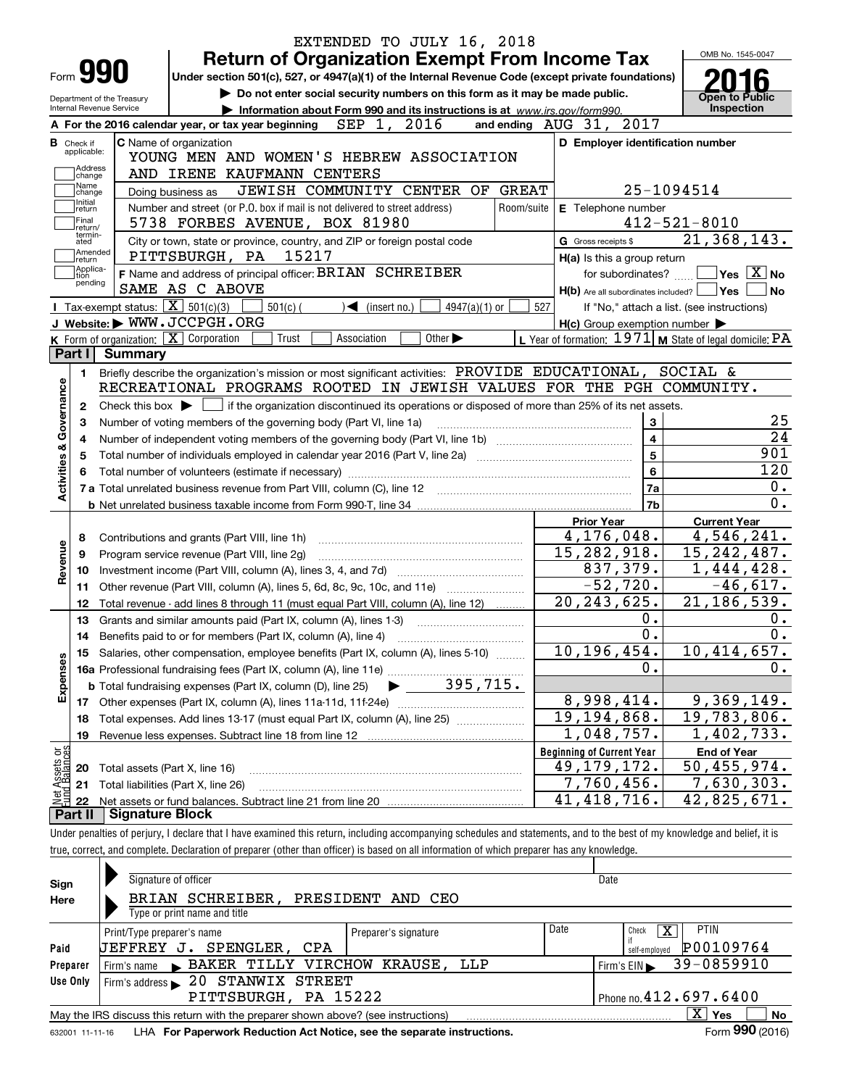|                                                                                                                                                                                                         |                                                   | EXTENDED TO JULY 16, 2018                                                                                                                                                  |                                                           |                                            |  |  |
|---------------------------------------------------------------------------------------------------------------------------------------------------------------------------------------------------------|---------------------------------------------------|----------------------------------------------------------------------------------------------------------------------------------------------------------------------------|-----------------------------------------------------------|--------------------------------------------|--|--|
|                                                                                                                                                                                                         |                                                   | <b>Return of Organization Exempt From Income Tax</b>                                                                                                                       |                                                           | OMB No. 1545-0047                          |  |  |
|                                                                                                                                                                                                         | Form <b>990</b>                                   | Under section 501(c), 527, or 4947(a)(1) of the Internal Revenue Code (except private foundations)                                                                         |                                                           |                                            |  |  |
|                                                                                                                                                                                                         | Department of the Treasury                        | Do not enter social security numbers on this form as it may be made public.                                                                                                |                                                           | <b>Open to Public</b><br>Inspection        |  |  |
| Internal Revenue Service<br>Information about Form 990 and its instructions is at www.irs.gov/form990.<br>SEP 1, 2016<br>and ending AUG 31, 2017<br>A For the 2016 calendar year, or tax year beginning |                                                   |                                                                                                                                                                            |                                                           |                                            |  |  |
|                                                                                                                                                                                                         |                                                   |                                                                                                                                                                            |                                                           |                                            |  |  |
| <b>B</b> Check if<br>applicable:                                                                                                                                                                        |                                                   | C Name of organization<br>YOUNG MEN AND WOMEN'S HEBREW ASSOCIATION                                                                                                         | D Employer identification number                          |                                            |  |  |
|                                                                                                                                                                                                         | Address                                           | AND IRENE KAUFMANN CENTERS                                                                                                                                                 |                                                           |                                            |  |  |
| change<br>Name                                                                                                                                                                                          |                                                   | JEWISH COMMUNITY CENTER OF<br><b>GREAT</b><br>Doing business as                                                                                                            |                                                           | 25-1094514                                 |  |  |
| change<br>Initial<br>return                                                                                                                                                                             |                                                   | Number and street (or P.O. box if mail is not delivered to street address)<br>Room/suite                                                                                   | E Telephone number                                        |                                            |  |  |
| Final                                                                                                                                                                                                   |                                                   | 5738 FORBES AVENUE, BOX 81980                                                                                                                                              |                                                           | $412 - 521 - 8010$                         |  |  |
| return/<br>termin-<br>ated                                                                                                                                                                              |                                                   | City or town, state or province, country, and ZIP or foreign postal code                                                                                                   | G Gross receipts \$                                       | 21,368,143.                                |  |  |
| return                                                                                                                                                                                                  | Amended                                           | PITTSBURGH, PA<br>15217                                                                                                                                                    | H(a) Is this a group return                               |                                            |  |  |
| Applica-<br>tion                                                                                                                                                                                        |                                                   | F Name and address of principal officer: BRIAN SCHREIBER                                                                                                                   | for subordinates?                                         | $\sqrt{}$ Yes $\sqrt{}$ X $\sqrt{}$ No     |  |  |
|                                                                                                                                                                                                         | pending                                           | SAME AS C ABOVE                                                                                                                                                            | $H(b)$ Are all subordinates included? $\Box$ Yes          | No                                         |  |  |
|                                                                                                                                                                                                         | Tax-exempt status: $\boxed{\mathbf{X}}$ 501(c)(3) | $501(c)$ (<br>$\blacktriangleleft$ (insert no.)<br>$4947(a)(1)$ or                                                                                                         | 527                                                       | If "No," attach a list. (see instructions) |  |  |
|                                                                                                                                                                                                         |                                                   | J Website: WWW.JCCPGH.ORG                                                                                                                                                  | $H(c)$ Group exemption number $\blacktriangleright$       |                                            |  |  |
|                                                                                                                                                                                                         | K Form of organization: X Corporation             | Trust<br>Other $\blacktriangleright$<br>Association                                                                                                                        | L Year of formation: 1971   M State of legal domicile: PA |                                            |  |  |
| Part I                                                                                                                                                                                                  | <b>Summary</b>                                    |                                                                                                                                                                            |                                                           |                                            |  |  |
| 1.                                                                                                                                                                                                      |                                                   | Briefly describe the organization's mission or most significant activities: PROVIDE EDUCATIONAL, SOCIAL &                                                                  |                                                           |                                            |  |  |
|                                                                                                                                                                                                         |                                                   | RECREATIONAL PROGRAMS ROOTED IN JEWISH VALUES FOR THE PGH COMMUNITY.                                                                                                       |                                                           |                                            |  |  |
| 2                                                                                                                                                                                                       |                                                   | Check this box $\blacktriangleright$ $\Box$ if the organization discontinued its operations or disposed of more than 25% of its net assets.                                |                                                           |                                            |  |  |
| з                                                                                                                                                                                                       |                                                   | Number of voting members of the governing body (Part VI, line 1a)                                                                                                          | 3                                                         | 25                                         |  |  |
| 4                                                                                                                                                                                                       |                                                   |                                                                                                                                                                            | $\overline{\mathbf{4}}$                                   | $\overline{24}$                            |  |  |
| 5                                                                                                                                                                                                       |                                                   | 901                                                                                                                                                                        |                                                           |                                            |  |  |
|                                                                                                                                                                                                         |                                                   |                                                                                                                                                                            | $\overline{5}$<br>$\bf{6}$                                | 120                                        |  |  |
| Activities & Governance                                                                                                                                                                                 |                                                   |                                                                                                                                                                            | 7a                                                        | 0.                                         |  |  |
|                                                                                                                                                                                                         |                                                   |                                                                                                                                                                            | 7b                                                        | 0.                                         |  |  |
|                                                                                                                                                                                                         |                                                   |                                                                                                                                                                            | <b>Prior Year</b>                                         | <b>Current Year</b>                        |  |  |
| 8                                                                                                                                                                                                       |                                                   | Contributions and grants (Part VIII, line 1h)                                                                                                                              | 4,176,048.                                                | 4,546,241.                                 |  |  |
| 9                                                                                                                                                                                                       |                                                   | Program service revenue (Part VIII, line 2g)                                                                                                                               | 15, 282, 918.                                             | 15, 242, 487.                              |  |  |
| Revenue<br>10                                                                                                                                                                                           |                                                   |                                                                                                                                                                            | 837,379.                                                  | $\overline{1,444,428}$ .                   |  |  |
| 11                                                                                                                                                                                                      |                                                   | Other revenue (Part VIII, column (A), lines 5, 6d, 8c, 9c, 10c, and 11e)                                                                                                   | $-52,720.$                                                | $-46,617.$                                 |  |  |
| 12                                                                                                                                                                                                      |                                                   | Total revenue - add lines 8 through 11 (must equal Part VIII, column (A), line 12)                                                                                         | $\overline{20, 243, 625}$ .                               | 21, 186, 539.                              |  |  |
| 13                                                                                                                                                                                                      |                                                   | Grants and similar amounts paid (Part IX, column (A), lines 1-3)                                                                                                           | 0.                                                        | 0.                                         |  |  |
| 14                                                                                                                                                                                                      |                                                   | Benefits paid to or for members (Part IX, column (A), line 4)                                                                                                              | 0.                                                        | 0.                                         |  |  |
| 15                                                                                                                                                                                                      |                                                   | Salaries, other compensation, employee benefits (Part IX, column (A), lines 5-10)                                                                                          | 10, 196, 454.                                             | 10,414,657.                                |  |  |
|                                                                                                                                                                                                         |                                                   | 16a Professional fundraising fees (Part IX, column (A), line 11e)                                                                                                          | 0.                                                        | 0.                                         |  |  |
| Expenses                                                                                                                                                                                                |                                                   | $\frac{395,715}{ }$<br><b>b</b> Total fundraising expenses (Part IX, column (D), line 25)                                                                                  |                                                           |                                            |  |  |
| 17                                                                                                                                                                                                      |                                                   |                                                                                                                                                                            | 8,998,414.                                                | 9,369,149.                                 |  |  |
| 18                                                                                                                                                                                                      |                                                   | Total expenses. Add lines 13-17 (must equal Part IX, column (A), line 25)                                                                                                  | $\overline{19}$ , 194, 868.                               | 19,783,806.                                |  |  |
| 19                                                                                                                                                                                                      |                                                   | Revenue less expenses. Subtract line 18 from line 12                                                                                                                       | 1,048,757.                                                | 1,402,733.                                 |  |  |
|                                                                                                                                                                                                         |                                                   |                                                                                                                                                                            | <b>Beginning of Current Year</b>                          | <b>End of Year</b>                         |  |  |
| 20                                                                                                                                                                                                      |                                                   | Total assets (Part X, line 16)                                                                                                                                             | 49,179,172.                                               | 50,455,974.                                |  |  |
| Net Assets or<br>Eund Balances<br>21                                                                                                                                                                    |                                                   | Total liabilities (Part X, line 26)                                                                                                                                        | 7,760,456.                                                | $\overline{7,630,303}$ .                   |  |  |
| 22                                                                                                                                                                                                      |                                                   |                                                                                                                                                                            | $\overline{41}$ , 418, 716.                               | $\overline{42}$ , 825, 671.                |  |  |
| Part II                                                                                                                                                                                                 | <b>Signature Block</b>                            |                                                                                                                                                                            |                                                           |                                            |  |  |
|                                                                                                                                                                                                         |                                                   | Under penalties of perjury, I declare that I have examined this return, including accompanying schedules and statements, and to the best of my knowledge and belief, it is |                                                           |                                            |  |  |
|                                                                                                                                                                                                         |                                                   | true, correct, and complete. Declaration of preparer (other than officer) is based on all information of which preparer has any knowledge.                                 |                                                           |                                            |  |  |
|                                                                                                                                                                                                         |                                                   |                                                                                                                                                                            |                                                           |                                            |  |  |
|                                                                                                                                                                                                         |                                                   |                                                                                                                                                                            |                                                           |                                            |  |  |

| Sign<br>Here | Signature of officer<br>Type or print name and title                                                                                                                                                                              | Date<br>BRIAN SCHREIBER, PRESIDENT AND CEO |                                                                 |    |  |  |  |  |  |
|--------------|-----------------------------------------------------------------------------------------------------------------------------------------------------------------------------------------------------------------------------------|--------------------------------------------|-----------------------------------------------------------------|----|--|--|--|--|--|
| Paid         | Print/Type preparer's name<br>UEFFREY J. SPENGLER, CPA                                                                                                                                                                            | Preparer's signature                       | Date<br><b>PTIN</b><br>x<br>Check<br>P00109764<br>self-emploved |    |  |  |  |  |  |
| Preparer     | Firm's name BAKER TILLY VIRCHOW KRAUSE, LLP                                                                                                                                                                                       |                                            | Firm's EIN $\rightarrow$ 39-0859910                             |    |  |  |  |  |  |
| Use Only     | 20 STANWIX STREET<br>Firm's address<br>Phone no. $412.697.6400$<br>PITTSBURGH, PA 15222                                                                                                                                           |                                            |                                                                 |    |  |  |  |  |  |
|              | May the IRS discuss this return with the preparer shown above? (see instructions)                                                                                                                                                 |                                            | $\mathbf{X}$<br>Yes                                             | No |  |  |  |  |  |
|              | $\mathbf{r}$ . The contract of the contract of the contract of the contract of the contract of the contract of the contract of the contract of the contract of the contract of the contract of the contract of the contract of th |                                            | $\sim$ 000 $\sim$                                               |    |  |  |  |  |  |

632001 11-11-16 **For Paperwork Reduction Act Notice, see the separate instructions.** LHA Form (2016)

**990**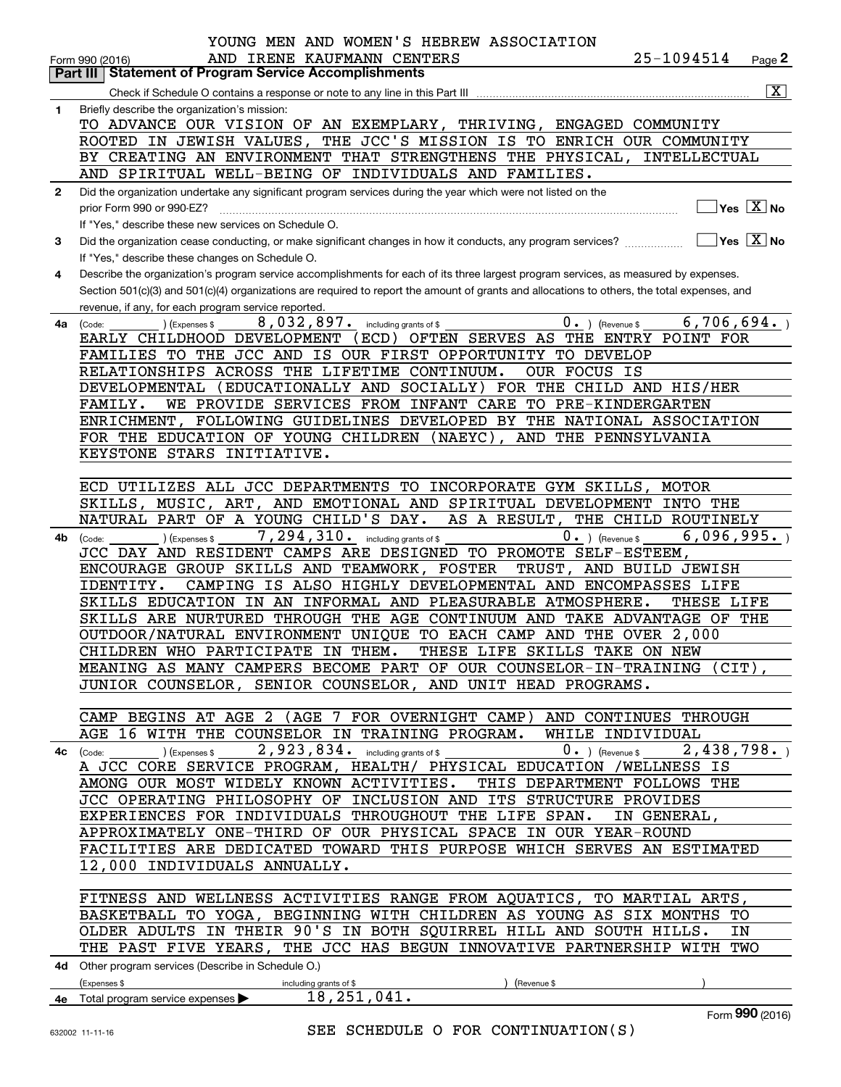|              | YOUNG MEN AND WOMEN'S HEBREW ASSOCIATION                                                                                                                                               |
|--------------|----------------------------------------------------------------------------------------------------------------------------------------------------------------------------------------|
|              | 25-1094514<br>AND IRENE KAUFMANN CENTERS<br>Page 2<br>Form 990 (2016)                                                                                                                  |
|              | <b>Statement of Program Service Accomplishments</b><br>Part III<br>$\overline{\mathbf{x}}$                                                                                             |
| 1            | Briefly describe the organization's mission:                                                                                                                                           |
|              | TO ADVANCE OUR VISION OF AN EXEMPLARY, THRIVING,<br>ENGAGED<br>COMMUNITY                                                                                                               |
|              | THE JCC'S MISSION IS TO ENRICH OUR COMMUNITY<br>ROOTED IN JEWISH VALUES,                                                                                                               |
|              | BY CREATING AN ENVIRONMENT THAT STRENGTHENS THE PHYSICAL,<br>INTELLECTUAL                                                                                                              |
|              | AND SPIRITUAL WELL-BEING OF INDIVIDUALS AND FAMILIES.                                                                                                                                  |
| $\mathbf{2}$ | Did the organization undertake any significant program services during the year which were not listed on the                                                                           |
|              | $\overline{\mathsf{Yes}}$ $\overline{\mathsf{X}}$ No<br>prior Form 990 or 990-EZ?                                                                                                      |
|              | If "Yes," describe these new services on Schedule O.                                                                                                                                   |
| 3            | $\Box$ Yes $\Box X \overline{X}$ No<br>Did the organization cease conducting, or make significant changes in how it conducts, any program services?                                    |
|              | If "Yes," describe these changes on Schedule O.                                                                                                                                        |
| 4            | Describe the organization's program service accomplishments for each of its three largest program services, as measured by expenses.                                                   |
|              | Section 501(c)(3) and 501(c)(4) organizations are required to report the amount of grants and allocations to others, the total expenses, and                                           |
|              | revenue, if any, for each program service reported.                                                                                                                                    |
| 4a           | 6,706,694.<br>8,032,897.<br>$0 \cdot$ ) (Revenue \$<br>(Expenses \$<br>including grants of \$<br>(Code:<br>(ECD)<br>OFTEN SERVES AS THE ENTRY POINT FOR<br>EARLY CHILDHOOD DEVELOPMENT |
|              | FAMILIES TO THE JCC AND IS OUR FIRST OPPORTUNITY TO DEVELOP                                                                                                                            |
|              | RELATIONSHIPS ACROSS THE LIFETIME CONTINUUM.<br>OUR FOCUS IS                                                                                                                           |
|              | (EDUCATIONALLY AND SOCIALLY)<br>FOR THE CHILD AND HIS/HER<br>DEVELOPMENTAL                                                                                                             |
|              | WE PROVIDE SERVICES FROM INFANT CARE TO PRE-KINDERGARTEN<br>FAMILY.                                                                                                                    |
|              | ENRICHMENT, FOLLOWING GUIDELINES DEVELOPED BY THE NATIONAL ASSOCIATION                                                                                                                 |
|              | FOR THE EDUCATION OF YOUNG CHILDREN (NAEYC),<br>AND THE PENNSYLVANIA                                                                                                                   |
|              | KEYSTONE STARS INITIATIVE.                                                                                                                                                             |
|              |                                                                                                                                                                                        |
|              | ECD UTILIZES ALL JCC DEPARTMENTS TO INCORPORATE GYM SKILLS,<br><b>MOTOR</b>                                                                                                            |
|              | MUSIC, ART, AND EMOTIONAL AND SPIRITUAL DEVELOPMENT<br>INTO THE<br>SKILLS,                                                                                                             |
|              | NATURAL PART OF A YOUNG CHILD'S DAY.<br>AS A RESULT,<br>THE CHILD ROUTINELY                                                                                                            |
| 4b           | 7,294,310.<br>6,096,995.<br>$0 \cdot$ ) (Revenue \$<br>including grants of \$<br>) (Expenses \$<br>(Code:<br>JCC DAY AND RESIDENT CAMPS ARE DESIGNED TO PROMOTE SELF-ESTEEM,           |
|              | ENCOURAGE GROUP SKILLS AND TEAMWORK, FOSTER<br>TRUST,<br>AND BUILD JEWISH                                                                                                              |
|              | CAMPING IS ALSO HIGHLY DEVELOPMENTAL AND ENCOMPASSES LIFE<br>IDENTITY.                                                                                                                 |
|              | SKILLS EDUCATION IN AN INFORMAL AND PLEASURABLE ATMOSPHERE.<br>THESE LIFE                                                                                                              |
|              | SKILLS ARE NURTURED THROUGH THE AGE CONTINUUM AND TAKE ADVANTAGE OF THE                                                                                                                |
|              | OUTDOOR/NATURAL ENVIRONMENT UNIQUE TO EACH CAMP AND THE OVER 2,000                                                                                                                     |
|              | CHILDREN WHO PARTICIPATE IN THEM.<br>THESE LIFE SKILLS TAKE ON NEW                                                                                                                     |
|              | MEANING AS MANY CAMPERS BECOME PART OF OUR COUNSELOR-IN-TRAINING (CIT),                                                                                                                |
|              | JUNIOR COUNSELOR, SENIOR COUNSELOR, AND UNIT HEAD PROGRAMS.                                                                                                                            |
|              |                                                                                                                                                                                        |
|              | CAMP BEGINS AT AGE 2 (AGE 7 FOR OVERNIGHT CAMP) AND CONTINUES THROUGH                                                                                                                  |
|              | AGE 16 WITH THE COUNSELOR IN TRAINING PROGRAM.<br>WHILE INDIVIDUAL                                                                                                                     |
|              | 2,438,798.<br>2,923,834. including grants of \$<br>$0.$ ) (Revenue \$<br>(Expenses \$<br>4c (Code:<br>A JCC CORE SERVICE PROGRAM, HEALTH/ PHYSICAL EDUCATION /WELLNESS IS              |
|              | AMONG OUR MOST WIDELY KNOWN ACTIVITIES.<br>THIS DEPARTMENT FOLLOWS THE                                                                                                                 |
|              | JCC OPERATING PHILOSOPHY OF INCLUSION AND ITS STRUCTURE PROVIDES                                                                                                                       |
|              | EXPERIENCES FOR INDIVIDUALS THROUGHOUT THE LIFE SPAN.<br>IN GENERAL,                                                                                                                   |
|              | APPROXIMATELY ONE-THIRD OF OUR PHYSICAL SPACE IN OUR YEAR-ROUND                                                                                                                        |
|              | FACILITIES ARE DEDICATED TOWARD THIS PURPOSE WHICH SERVES AN ESTIMATED                                                                                                                 |
|              | 12,000 INDIVIDUALS ANNUALLY.                                                                                                                                                           |
|              |                                                                                                                                                                                        |
|              | FITNESS AND WELLNESS ACTIVITIES RANGE FROM AQUATICS, TO MARTIAL ARTS,                                                                                                                  |
|              | BASKETBALL TO YOGA, BEGINNING WITH CHILDREN AS YOUNG AS SIX MONTHS TO                                                                                                                  |
|              | OLDER ADULTS IN THEIR 90'S IN BOTH SQUIRREL HILL AND SOUTH HILLS.<br>IN                                                                                                                |
|              | THE PAST FIVE YEARS, THE JCC HAS BEGUN INNOVATIVE PARTNERSHIP WITH TWO                                                                                                                 |
|              | 4d Other program services (Describe in Schedule O.)                                                                                                                                    |
|              | (Expenses \$<br>including grants of \$<br>(Revenue \$<br>18, 251, 041.<br>4e Total program service expenses                                                                            |
|              | Form 990 (2016)                                                                                                                                                                        |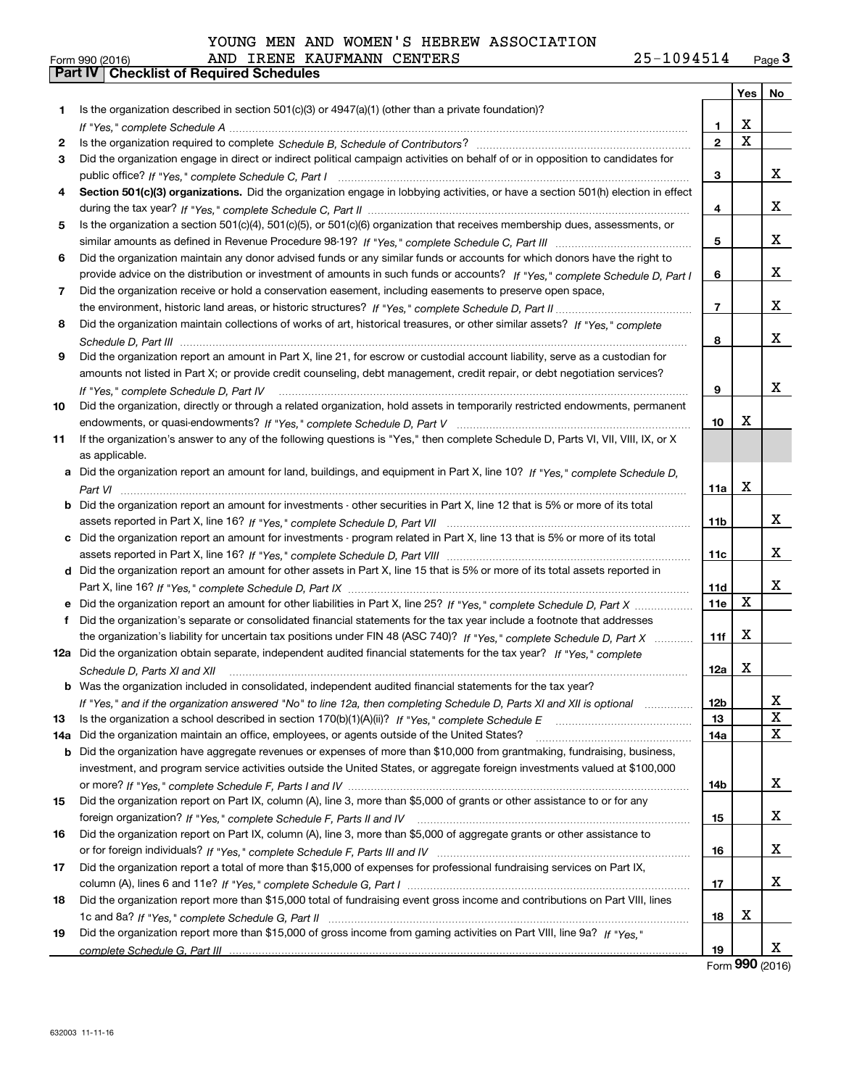|  |  |  |  |  |  | YOUNG MEN AND WOMEN'S HEBREW ASSOCIATION |
|--|--|--|--|--|--|------------------------------------------|
|--|--|--|--|--|--|------------------------------------------|

Form 990 (2016) AND IRENE KAUFMANN CENTERS 25-1094514 <sub>Page</sub> 3<br>**Part IV | Checklist of Required Schedules** 

|     |                                                                                                                                      |                 | Yes         | No     |
|-----|--------------------------------------------------------------------------------------------------------------------------------------|-----------------|-------------|--------|
| 1.  | Is the organization described in section $501(c)(3)$ or $4947(a)(1)$ (other than a private foundation)?                              |                 |             |        |
|     |                                                                                                                                      | 1.              | x           |        |
| 2   |                                                                                                                                      | $\mathbf{2}$    | $\mathbf X$ |        |
| З   | Did the organization engage in direct or indirect political campaign activities on behalf of or in opposition to candidates for      |                 |             |        |
|     |                                                                                                                                      | 3               |             | X.     |
| 4   | Section 501(c)(3) organizations. Did the organization engage in lobbying activities, or have a section 501(h) election in effect     |                 |             |        |
|     |                                                                                                                                      | 4               |             | X.     |
| 5   | Is the organization a section 501(c)(4), 501(c)(5), or 501(c)(6) organization that receives membership dues, assessments, or         |                 |             |        |
|     |                                                                                                                                      | 5               |             | x      |
| 6   | Did the organization maintain any donor advised funds or any similar funds or accounts for which donors have the right to            |                 |             |        |
|     | provide advice on the distribution or investment of amounts in such funds or accounts? If "Yes," complete Schedule D, Part I         | 6               |             | x      |
| 7   | Did the organization receive or hold a conservation easement, including easements to preserve open space,                            |                 |             |        |
|     |                                                                                                                                      | $\overline{7}$  |             | X.     |
| 8   | Did the organization maintain collections of works of art, historical treasures, or other similar assets? If "Yes," complete         |                 |             |        |
|     |                                                                                                                                      | 8               |             | x      |
| 9   | Did the organization report an amount in Part X, line 21, for escrow or custodial account liability, serve as a custodian for        |                 |             |        |
|     | amounts not listed in Part X; or provide credit counseling, debt management, credit repair, or debt negotiation services?            |                 |             |        |
|     | If "Yes," complete Schedule D, Part IV                                                                                               | 9               |             | X.     |
| 10  | Did the organization, directly or through a related organization, hold assets in temporarily restricted endowments, permanent        |                 |             |        |
|     |                                                                                                                                      | 10              | x           |        |
| 11  | If the organization's answer to any of the following questions is "Yes," then complete Schedule D, Parts VI, VII, VIII, IX, or X     |                 |             |        |
|     | as applicable.                                                                                                                       |                 |             |        |
| a   | Did the organization report an amount for land, buildings, and equipment in Part X, line 10? If "Yes," complete Schedule D,          |                 |             |        |
|     |                                                                                                                                      | 11a             | x           |        |
|     | <b>b</b> Did the organization report an amount for investments - other securities in Part X, line 12 that is 5% or more of its total |                 |             |        |
|     |                                                                                                                                      | 11 <sub>b</sub> |             | X.     |
|     | c Did the organization report an amount for investments - program related in Part X, line 13 that is 5% or more of its total         |                 |             |        |
|     |                                                                                                                                      | 11c             |             | X.     |
|     | d Did the organization report an amount for other assets in Part X, line 15 that is 5% or more of its total assets reported in       |                 |             |        |
|     |                                                                                                                                      | 11d             |             | x      |
|     |                                                                                                                                      | 11e             | X           |        |
| f   | Did the organization's separate or consolidated financial statements for the tax year include a footnote that addresses              |                 |             |        |
|     | the organization's liability for uncertain tax positions under FIN 48 (ASC 740)? If "Yes," complete Schedule D, Part X               | 11f             | х           |        |
|     | 12a Did the organization obtain separate, independent audited financial statements for the tax year? If "Yes," complete              |                 |             |        |
|     | Schedule D, Parts XI and XII                                                                                                         | 12a             | x           |        |
|     | <b>b</b> Was the organization included in consolidated, independent audited financial statements for the tax year?                   |                 |             |        |
|     | If "Yes," and if the organization answered "No" to line 12a, then completing Schedule D, Parts XI and XII is optional                | 12b             |             | х<br>X |
| 13  |                                                                                                                                      | 13              |             |        |
| 14a | Did the organization maintain an office, employees, or agents outside of the United States?                                          | 14a             |             | X      |
| b   | Did the organization have aggregate revenues or expenses of more than \$10,000 from grantmaking, fundraising, business,              |                 |             |        |
|     | investment, and program service activities outside the United States, or aggregate foreign investments valued at \$100,000           |                 |             |        |
|     |                                                                                                                                      | 14b             |             | x      |
| 15  | Did the organization report on Part IX, column (A), line 3, more than \$5,000 of grants or other assistance to or for any            |                 |             |        |
|     | Did the organization report on Part IX, column (A), line 3, more than \$5,000 of aggregate grants or other assistance to             | 15              |             | x      |
| 16  |                                                                                                                                      |                 |             | x      |
|     |                                                                                                                                      | 16              |             |        |
| 17  | Did the organization report a total of more than \$15,000 of expenses for professional fundraising services on Part IX,              |                 |             | x      |
|     |                                                                                                                                      | 17              |             |        |
| 18  | Did the organization report more than \$15,000 total of fundraising event gross income and contributions on Part VIII, lines         |                 | x           |        |
|     |                                                                                                                                      | 18              |             |        |
| 19  | Did the organization report more than \$15,000 of gross income from gaming activities on Part VIII, line 9a? If "Yes."               |                 |             | X.     |
|     |                                                                                                                                      | 19              |             |        |

Form (2016) **990**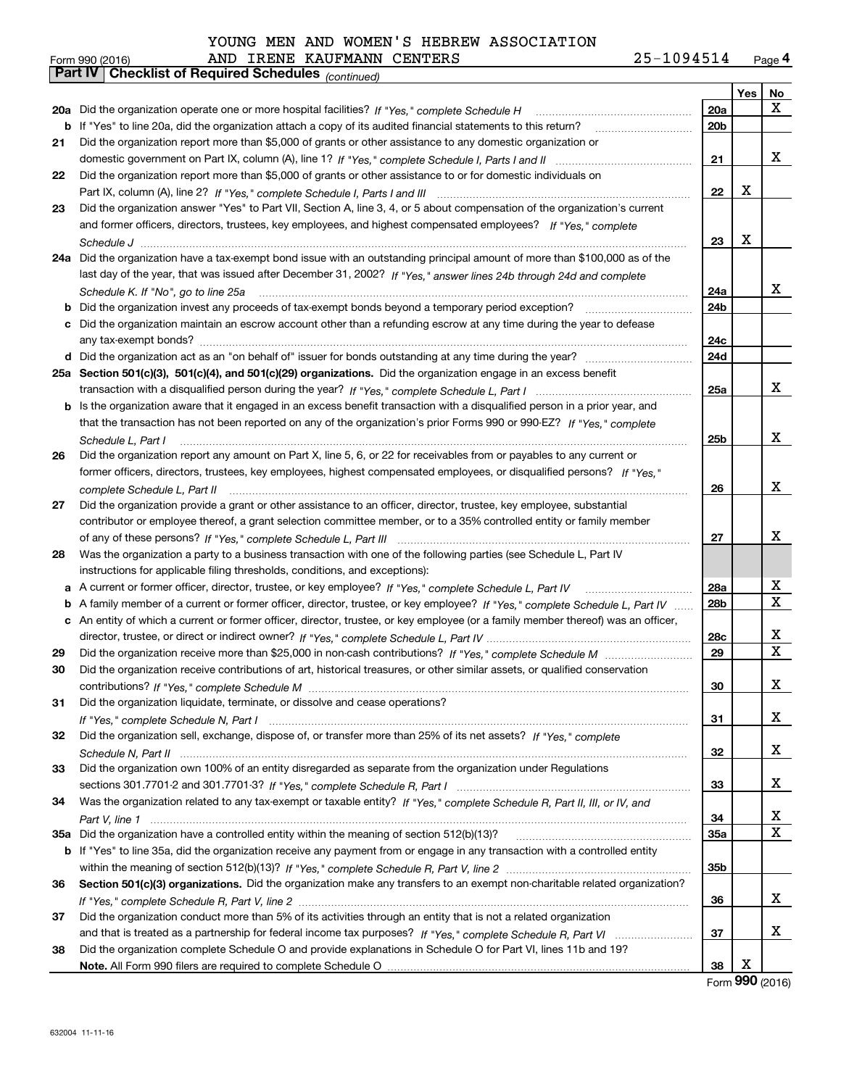|    | 25-1094514<br>AND IRENE KAUFMANN CENTERS<br>Form 990 (2016)                                                                       |                 |     | Page 4       |
|----|-----------------------------------------------------------------------------------------------------------------------------------|-----------------|-----|--------------|
|    | <b>Checklist of Required Schedules (continued)</b><br>Part IV                                                                     |                 |     |              |
|    |                                                                                                                                   |                 | Yes | No           |
|    | 20a Did the organization operate one or more hospital facilities? If "Yes," complete Schedule H                                   | 20a             |     | X            |
|    | <b>b</b> If "Yes" to line 20a, did the organization attach a copy of its audited financial statements to this return?             | 20 <sub>b</sub> |     |              |
| 21 | Did the organization report more than \$5,000 of grants or other assistance to any domestic organization or                       |                 |     |              |
|    |                                                                                                                                   | 21              |     | X            |
| 22 | Did the organization report more than \$5,000 of grants or other assistance to or for domestic individuals on                     |                 |     |              |
|    |                                                                                                                                   | 22              | х   |              |
| 23 | Did the organization answer "Yes" to Part VII, Section A, line 3, 4, or 5 about compensation of the organization's current        |                 |     |              |
|    | and former officers, directors, trustees, key employees, and highest compensated employees? If "Yes," complete                    |                 |     |              |
|    |                                                                                                                                   | 23              | х   |              |
|    | 24a Did the organization have a tax-exempt bond issue with an outstanding principal amount of more than \$100,000 as of the       |                 |     |              |
|    | last day of the year, that was issued after December 31, 2002? If "Yes," answer lines 24b through 24d and complete                |                 |     |              |
|    | Schedule K. If "No", go to line 25a                                                                                               | 24a             |     | X            |
| b  |                                                                                                                                   | 24b             |     |              |
| c  | Did the organization maintain an escrow account other than a refunding escrow at any time during the year to defease              |                 |     |              |
|    |                                                                                                                                   | 24c             |     |              |
|    |                                                                                                                                   | 24d             |     |              |
|    |                                                                                                                                   |                 |     |              |
|    | 25a Section 501(c)(3), 501(c)(4), and 501(c)(29) organizations. Did the organization engage in an excess benefit                  |                 |     | X            |
|    |                                                                                                                                   | 25a             |     |              |
|    | b Is the organization aware that it engaged in an excess benefit transaction with a disqualified person in a prior year, and      |                 |     |              |
|    | that the transaction has not been reported on any of the organization's prior Forms 990 or 990-EZ? If "Yes," complete             |                 |     |              |
|    | Schedule L, Part I                                                                                                                | 25b             |     | x            |
| 26 | Did the organization report any amount on Part X, line 5, 6, or 22 for receivables from or payables to any current or             |                 |     |              |
|    | former officers, directors, trustees, key employees, highest compensated employees, or disqualified persons? If "Yes."            |                 |     |              |
|    |                                                                                                                                   | 26              |     | x            |
| 27 | Did the organization provide a grant or other assistance to an officer, director, trustee, key employee, substantial              |                 |     |              |
|    | contributor or employee thereof, a grant selection committee member, or to a 35% controlled entity or family member               |                 |     |              |
|    |                                                                                                                                   | 27              |     | x            |
| 28 | Was the organization a party to a business transaction with one of the following parties (see Schedule L, Part IV                 |                 |     |              |
|    | instructions for applicable filing thresholds, conditions, and exceptions):                                                       |                 |     |              |
|    | a A current or former officer, director, trustee, or key employee? If "Yes," complete Schedule L, Part IV                         | 28a             |     | х            |
|    | b A family member of a current or former officer, director, trustee, or key employee? If "Yes," complete Schedule L, Part IV      | 28 <sub>b</sub> |     | X            |
|    | c An entity of which a current or former officer, director, trustee, or key employee (or a family member thereof) was an officer, |                 |     |              |
|    |                                                                                                                                   | 28c             |     | X            |
| 29 |                                                                                                                                   | 29              |     | $\mathbf{X}$ |
|    | Did the organization receive contributions of art, historical treasures, or other similar assets, or qualified conservation       |                 |     |              |
|    |                                                                                                                                   | 30              |     | X            |
| 31 | Did the organization liquidate, terminate, or dissolve and cease operations?                                                      |                 |     |              |
|    |                                                                                                                                   | 31              |     | х            |
| 32 | Did the organization sell, exchange, dispose of, or transfer more than 25% of its net assets? If "Yes," complete                  |                 |     |              |
|    |                                                                                                                                   | 32              |     | х            |
| 33 | Did the organization own 100% of an entity disregarded as separate from the organization under Regulations                        |                 |     |              |
|    |                                                                                                                                   | 33              |     | х            |
| 34 | Was the organization related to any tax-exempt or taxable entity? If "Yes," complete Schedule R, Part II, III, or IV, and         |                 |     |              |
|    |                                                                                                                                   | 34              |     | х            |
|    | 35a Did the organization have a controlled entity within the meaning of section 512(b)(13)?                                       |                 |     | X            |
|    |                                                                                                                                   | 35a             |     |              |
|    | b If "Yes" to line 35a, did the organization receive any payment from or engage in any transaction with a controlled entity       |                 |     |              |
|    |                                                                                                                                   | 35b             |     |              |
| 36 | Section 501(c)(3) organizations. Did the organization make any transfers to an exempt non-charitable related organization?        |                 |     |              |
|    |                                                                                                                                   | 36              |     | x            |
| 37 | Did the organization conduct more than 5% of its activities through an entity that is not a related organization                  |                 |     |              |
|    |                                                                                                                                   | 37              |     | х            |
| 38 | Did the organization complete Schedule O and provide explanations in Schedule O for Part VI, lines 11b and 19?                    |                 |     |              |
|    |                                                                                                                                   | 38              | х   |              |

Form (2016) **990**

 $\overline{\phantom{a}}$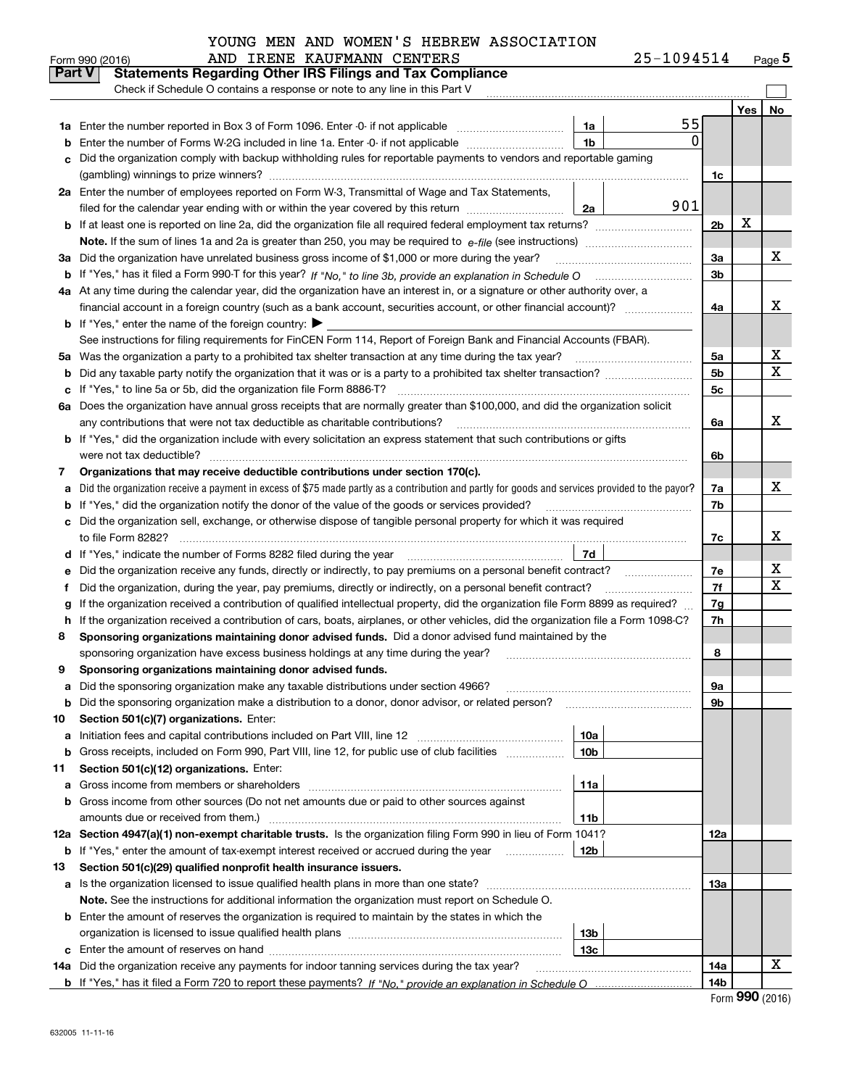| 25-1094514 | Page $5$ |
|------------|----------|
|------------|----------|

|               | AND IRENE KAUFMANN CENTERS<br>Form 990 (2016)                                                                                                   |                 | 25-1094514 |                |     | <u>Page</u> 5 |
|---------------|-------------------------------------------------------------------------------------------------------------------------------------------------|-----------------|------------|----------------|-----|---------------|
| <b>Part V</b> | <b>Statements Regarding Other IRS Filings and Tax Compliance</b>                                                                                |                 |            |                |     |               |
|               | Check if Schedule O contains a response or note to any line in this Part V                                                                      |                 |            |                |     |               |
|               |                                                                                                                                                 |                 |            |                | Yes | No            |
|               |                                                                                                                                                 | 1a              | 55         |                |     |               |
| b             | Enter the number of Forms W-2G included in line 1a. Enter -0- if not applicable                                                                 | 1 <sub>b</sub>  | $\Omega$   |                |     |               |
|               | Did the organization comply with backup withholding rules for reportable payments to vendors and reportable gaming                              |                 |            |                |     |               |
|               |                                                                                                                                                 |                 |            | 1c             |     |               |
|               | 2a Enter the number of employees reported on Form W-3, Transmittal of Wage and Tax Statements,                                                  |                 |            |                |     |               |
|               | filed for the calendar year ending with or within the year covered by this return                                                               | 2a              | 901        |                |     |               |
|               |                                                                                                                                                 |                 |            | 2 <sub>b</sub> | х   |               |
|               |                                                                                                                                                 |                 |            |                |     |               |
| За            | Did the organization have unrelated business gross income of \$1,000 or more during the year?                                                   |                 |            | 3a             |     | х             |
|               |                                                                                                                                                 |                 |            | 3 <sub>b</sub> |     |               |
|               | 4a At any time during the calendar year, did the organization have an interest in, or a signature or other authority over, a                    |                 |            |                |     |               |
|               | financial account in a foreign country (such as a bank account, securities account, or other financial account)?                                |                 |            | 4a             |     | x             |
|               | <b>b</b> If "Yes," enter the name of the foreign country: $\blacktriangleright$                                                                 |                 |            |                |     |               |
|               | See instructions for filing requirements for FinCEN Form 114, Report of Foreign Bank and Financial Accounts (FBAR).                             |                 |            |                |     |               |
| 5a            | Was the organization a party to a prohibited tax shelter transaction at any time during the tax year?                                           |                 |            | 5a             |     | х             |
| b             |                                                                                                                                                 |                 |            | 5 <sub>b</sub> |     | X             |
| c             | If "Yes," to line 5a or 5b, did the organization file Form 8886-T?                                                                              |                 |            | 5c             |     |               |
| 6а            | Does the organization have annual gross receipts that are normally greater than \$100,000, and did the organization solicit                     |                 |            |                |     |               |
|               | any contributions that were not tax deductible as charitable contributions?                                                                     |                 |            | 6a             |     | X             |
|               | <b>b</b> If "Yes," did the organization include with every solicitation an express statement that such contributions or gifts                   |                 |            |                |     |               |
|               | were not tax deductible?                                                                                                                        |                 |            | 6b             |     |               |
| 7             | Organizations that may receive deductible contributions under section 170(c).                                                                   |                 |            |                |     |               |
| a             | Did the organization receive a payment in excess of \$75 made partly as a contribution and partly for goods and services provided to the payor? |                 |            | 7a             |     | x             |
| b             | If "Yes," did the organization notify the donor of the value of the goods or services provided?                                                 |                 |            | 7b             |     |               |
|               | Did the organization sell, exchange, or otherwise dispose of tangible personal property for which it was required                               |                 |            |                |     |               |
|               |                                                                                                                                                 |                 |            | 7c             |     | X             |
| d             |                                                                                                                                                 | 7d              |            |                |     |               |
| е             | Did the organization receive any funds, directly or indirectly, to pay premiums on a personal benefit contract?                                 |                 |            | 7e             |     | x             |
| f             | Did the organization, during the year, pay premiums, directly or indirectly, on a personal benefit contract?                                    |                 |            | 7f             |     | X             |
| g             | If the organization received a contribution of qualified intellectual property, did the organization file Form 8899 as required?                |                 |            | 7g             |     |               |
| h.            | If the organization received a contribution of cars, boats, airplanes, or other vehicles, did the organization file a Form 1098-C?              |                 |            | 7h             |     |               |
| 8             | Sponsoring organizations maintaining donor advised funds. Did a donor advised fund maintained by the                                            |                 |            |                |     |               |
|               | sponsoring organization have excess business holdings at any time during the year?                                                              |                 |            | 8              |     |               |
|               | Sponsoring organizations maintaining donor advised funds.                                                                                       |                 |            |                |     |               |
| a             | Did the sponsoring organization make any taxable distributions under section 4966?                                                              |                 |            | 9а             |     |               |
| b             | Did the sponsoring organization make a distribution to a donor, donor advisor, or related person?                                               |                 |            | 9b             |     |               |
| 10            | Section 501(c)(7) organizations. Enter:                                                                                                         |                 |            |                |     |               |
| а             | Initiation fees and capital contributions included on Part VIII, line 12 <i>manuarrouus</i> manuations of the lates                             | 10a             |            |                |     |               |
| b             | Gross receipts, included on Form 990, Part VIII, line 12, for public use of club facilities                                                     | 10 <sub>b</sub> |            |                |     |               |
| 11            | Section 501(c)(12) organizations. Enter:                                                                                                        |                 |            |                |     |               |
| a             | Gross income from members or shareholders                                                                                                       | 11a             |            |                |     |               |
| b             | Gross income from other sources (Do not net amounts due or paid to other sources against                                                        |                 |            |                |     |               |
|               | amounts due or received from them.)                                                                                                             | 11b             |            |                |     |               |
| 12a           | Section 4947(a)(1) non-exempt charitable trusts. Is the organization filing Form 990 in lieu of Form 1041?                                      |                 |            | 12a            |     |               |
|               | <b>b</b> If "Yes," enter the amount of tax-exempt interest received or accrued during the year <i>manument</i>                                  | 12b             |            |                |     |               |
| 13            | Section 501(c)(29) qualified nonprofit health insurance issuers.                                                                                |                 |            |                |     |               |
|               | a Is the organization licensed to issue qualified health plans in more than one state?                                                          |                 |            | 13а            |     |               |
|               | Note. See the instructions for additional information the organization must report on Schedule O.                                               |                 |            |                |     |               |
|               | <b>b</b> Enter the amount of reserves the organization is required to maintain by the states in which the                                       |                 |            |                |     |               |
|               |                                                                                                                                                 | 13b             |            |                |     |               |
|               |                                                                                                                                                 | 13с             |            |                |     |               |
|               | 14a Did the organization receive any payments for indoor tanning services during the tax year?                                                  |                 |            | 14a            |     | x             |
|               |                                                                                                                                                 |                 |            | 14b            |     |               |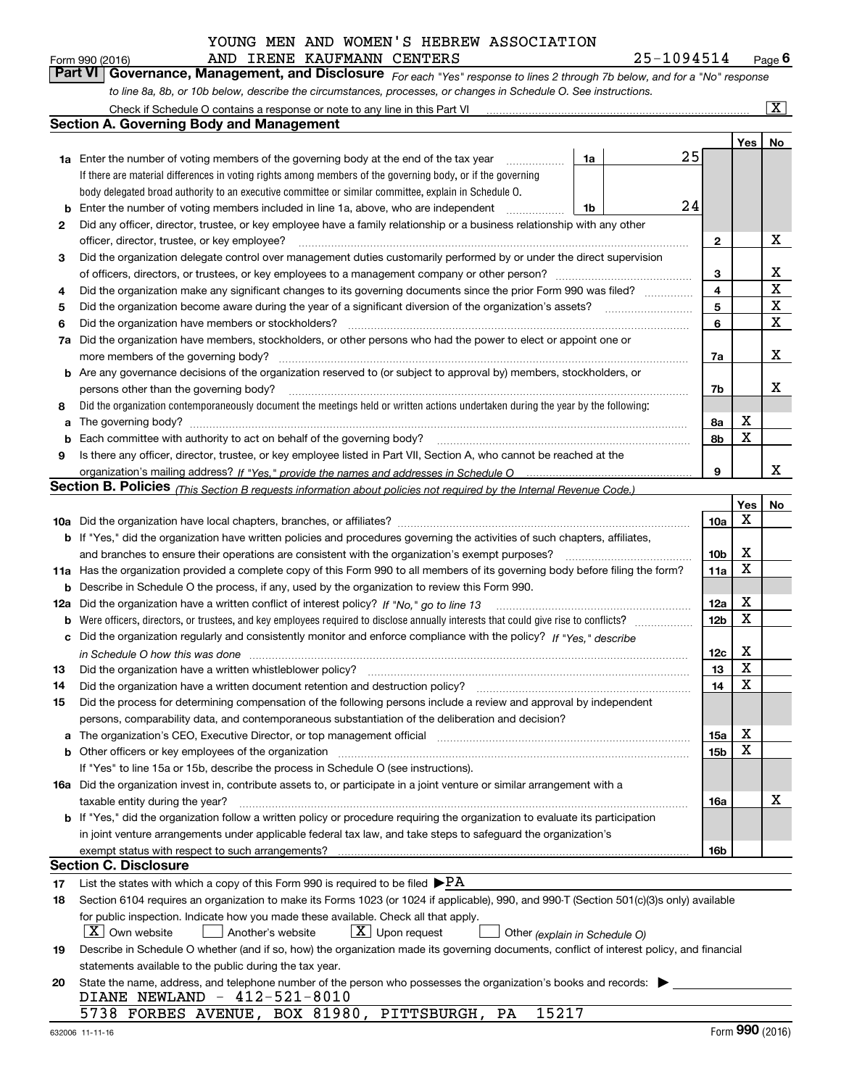| Form 990 (2016) |  | AND IRENE KAUFMANN CENTERS |                                                                                                                  | 25-1094514                                                                                                                    | $P_{\text{aqe}}$ 6 |
|-----------------|--|----------------------------|------------------------------------------------------------------------------------------------------------------|-------------------------------------------------------------------------------------------------------------------------------|--------------------|
|                 |  |                            |                                                                                                                  | Part VI   Governance, Management, and Disclosure For each "Yes" response to lines 2 through 7b below, and for a "No" response |                    |
|                 |  |                            | to line 8a, 8b, or 10b below, describe the circumstances, processes, or changes in Schedule O. See instructions. |                                                                                                                               |                    |

|     | Check if Schedule O contains a response or note to any line in this Part VI                                                                                                                                      |    |  |    |                        |                            | $\overline{\mathbf{x}}$ |  |
|-----|------------------------------------------------------------------------------------------------------------------------------------------------------------------------------------------------------------------|----|--|----|------------------------|----------------------------|-------------------------|--|
|     | Section A. Governing Body and Management                                                                                                                                                                         |    |  |    |                        |                            |                         |  |
|     |                                                                                                                                                                                                                  |    |  |    |                        | Yes                        | No                      |  |
|     | <b>1a</b> Enter the number of voting members of the governing body at the end of the tax year                                                                                                                    | 1a |  | 25 |                        |                            |                         |  |
|     | If there are material differences in voting rights among members of the governing body, or if the governing                                                                                                      |    |  |    |                        |                            |                         |  |
|     | body delegated broad authority to an executive committee or similar committee, explain in Schedule O.                                                                                                            |    |  |    |                        |                            |                         |  |
| b   | Enter the number of voting members included in line 1a, above, who are independent                                                                                                                               | 1b |  | 24 |                        |                            |                         |  |
| 2   | Did any officer, director, trustee, or key employee have a family relationship or a business relationship with any other                                                                                         |    |  |    |                        |                            |                         |  |
|     | officer, director, trustee, or key employee?                                                                                                                                                                     |    |  |    | $\mathbf{2}$           |                            | X                       |  |
| 3   | Did the organization delegate control over management duties customarily performed by or under the direct supervision                                                                                            |    |  |    |                        |                            |                         |  |
|     |                                                                                                                                                                                                                  |    |  |    | 3                      |                            | X                       |  |
| 4   | Did the organization make any significant changes to its governing documents since the prior Form 990 was filed?                                                                                                 |    |  |    | $\overline{4}$         |                            | X                       |  |
| 5   |                                                                                                                                                                                                                  |    |  |    | 5                      |                            | X                       |  |
| 6   | Did the organization have members or stockholders?                                                                                                                                                               |    |  |    | 6                      |                            | X                       |  |
| 7a  | Did the organization have members, stockholders, or other persons who had the power to elect or appoint one or                                                                                                   |    |  |    |                        |                            |                         |  |
|     | more members of the governing body?                                                                                                                                                                              |    |  |    | 7a                     |                            | X                       |  |
|     | <b>b</b> Are any governance decisions of the organization reserved to (or subject to approval by) members, stockholders, or                                                                                      |    |  |    |                        |                            |                         |  |
|     | persons other than the governing body?                                                                                                                                                                           |    |  |    | 7b                     |                            | x                       |  |
| 8   | Did the organization contemporaneously document the meetings held or written actions undertaken during the year by the following:                                                                                |    |  |    |                        |                            |                         |  |
| a   | The governing body?                                                                                                                                                                                              |    |  |    | 8а                     | X                          |                         |  |
| b   |                                                                                                                                                                                                                  |    |  |    | 8b                     | $\mathbf X$                |                         |  |
| 9   | Is there any officer, director, trustee, or key employee listed in Part VII, Section A, who cannot be reached at the                                                                                             |    |  |    |                        |                            |                         |  |
|     |                                                                                                                                                                                                                  |    |  |    | 9                      |                            | x                       |  |
|     | Section B. Policies <sub>(This Section B requests information about policies not required by the Internal Revenue Code.)</sub>                                                                                   |    |  |    |                        |                            |                         |  |
|     |                                                                                                                                                                                                                  |    |  |    |                        | Yes                        | No                      |  |
|     |                                                                                                                                                                                                                  |    |  |    | 10a                    | X                          |                         |  |
|     | <b>b</b> If "Yes," did the organization have written policies and procedures governing the activities of such chapters, affiliates,                                                                              |    |  |    |                        |                            |                         |  |
|     | and branches to ensure their operations are consistent with the organization's exempt purposes?                                                                                                                  |    |  |    | 10 <sub>b</sub><br>11a | X<br>X                     |                         |  |
|     | 11a Has the organization provided a complete copy of this Form 990 to all members of its governing body before filing the form?                                                                                  |    |  |    |                        |                            |                         |  |
| b   | Describe in Schedule O the process, if any, used by the organization to review this Form 990.                                                                                                                    |    |  |    |                        |                            |                         |  |
| 12a | Did the organization have a written conflict of interest policy? If "No," go to line 13                                                                                                                          |    |  |    | 12a                    | X                          |                         |  |
| b   | Were officers, directors, or trustees, and key employees required to disclose annually interests that could give rise to conflicts?                                                                              |    |  |    | 12 <sub>b</sub>        | X                          |                         |  |
| с   | Did the organization regularly and consistently monitor and enforce compliance with the policy? If "Yes." describe                                                                                               |    |  |    |                        |                            |                         |  |
|     | in Schedule O how this was done www.communication.com/www.communications.com/www.communications.com/                                                                                                             |    |  |    | 12c                    | X                          |                         |  |
| 13  | Did the organization have a written whistleblower policy?                                                                                                                                                        |    |  |    | 13                     | $\mathbf X$<br>$\mathbf X$ |                         |  |
| 14  | Did the organization have a written document retention and destruction policy?                                                                                                                                   |    |  |    | 14                     |                            |                         |  |
| 15  | Did the process for determining compensation of the following persons include a review and approval by independent                                                                                               |    |  |    |                        |                            |                         |  |
|     | persons, comparability data, and contemporaneous substantiation of the deliberation and decision?                                                                                                                |    |  |    |                        | Х                          |                         |  |
| a   | The organization's CEO, Executive Director, or top management official manufactured content of the organization's CEO, Executive Director, or top management official                                            |    |  |    | 15a                    | X                          |                         |  |
|     | <b>b</b> Other officers or key employees of the organization                                                                                                                                                     |    |  |    | 15b                    |                            |                         |  |
|     | If "Yes" to line 15a or 15b, describe the process in Schedule O (see instructions).<br>16a Did the organization invest in, contribute assets to, or participate in a joint venture or similar arrangement with a |    |  |    |                        |                            |                         |  |
|     | taxable entity during the year?                                                                                                                                                                                  |    |  |    | 16a                    |                            | X                       |  |
|     | b If "Yes," did the organization follow a written policy or procedure requiring the organization to evaluate its participation                                                                                   |    |  |    |                        |                            |                         |  |
|     | in joint venture arrangements under applicable federal tax law, and take steps to safeguard the organization's                                                                                                   |    |  |    |                        |                            |                         |  |
|     | exempt status with respect to such arrangements?                                                                                                                                                                 |    |  |    | 16b                    |                            |                         |  |
|     | Section C. Disclosure                                                                                                                                                                                            |    |  |    |                        |                            |                         |  |
| 17  | List the states with which a copy of this Form 990 is required to be filed $\blacktriangleright$ PA                                                                                                              |    |  |    |                        |                            |                         |  |
| 18  | Section 6104 requires an organization to make its Forms 1023 (or 1024 if applicable), 990, and 990-T (Section 501(c)(3)s only) available                                                                         |    |  |    |                        |                            |                         |  |
|     | for public inspection. Indicate how you made these available. Check all that apply.                                                                                                                              |    |  |    |                        |                            |                         |  |
|     | $X$ Own website<br>$\boxed{\textbf{X}}$ Upon request<br>Another's website<br>Other (explain in Schedule O)                                                                                                       |    |  |    |                        |                            |                         |  |
| 19  | Describe in Schedule O whether (and if so, how) the organization made its governing documents, conflict of interest policy, and financial                                                                        |    |  |    |                        |                            |                         |  |
|     | statements available to the public during the tax year.                                                                                                                                                          |    |  |    |                        |                            |                         |  |
| 20  | State the name, address, and telephone number of the person who possesses the organization's books and records:                                                                                                  |    |  |    |                        |                            |                         |  |
|     | DIANE NEWLAND - 412-521-8010                                                                                                                                                                                     |    |  |    |                        |                            |                         |  |
|     | 5738 FORBES AVENUE, BOX 81980, PITTSBURGH, PA<br>15217                                                                                                                                                           |    |  |    |                        |                            |                         |  |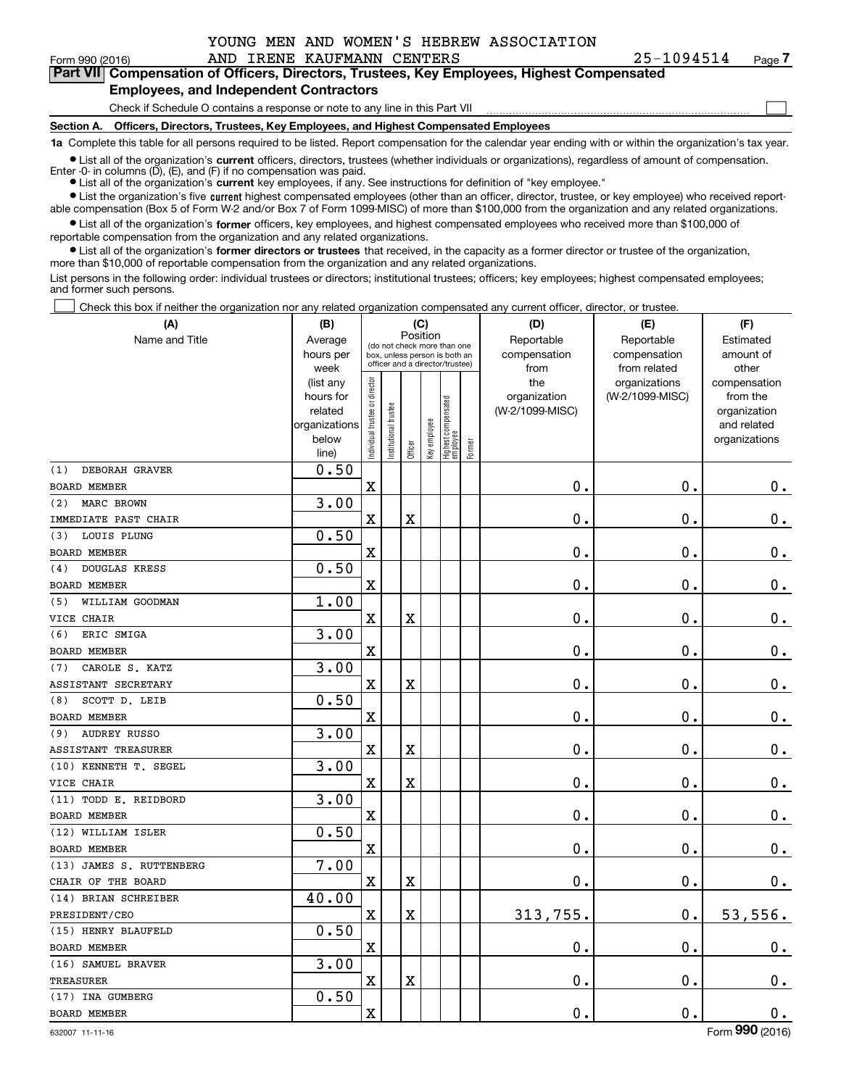|  |  |  | YOUNG MEN AND WOMEN'S HEBREW ASSOCIATION |
|--|--|--|------------------------------------------|
|  |  |  |                                          |

| 25-1094514 | Pag |
|------------|-----|
|------------|-----|

 $\mathcal{L}^{\text{max}}$ 

| Form 990 (2016) |                                               | AND IRENE KAUFMANN CENTERS | 25-1094514                                                                                 | Page 7 |
|-----------------|-----------------------------------------------|----------------------------|--------------------------------------------------------------------------------------------|--------|
|                 |                                               |                            | Part VII Compensation of Officers, Directors, Trustees, Key Employees, Highest Compensated |        |
|                 | <b>Employees, and Independent Contractors</b> |                            |                                                                                            |        |

Check if Schedule O contains a response or note to any line in this Part VII

**Section A. Officers, Directors, Trustees, Key Employees, and Highest Compensated Employees**

**1a**  Complete this table for all persons required to be listed. Report compensation for the calendar year ending with or within the organization's tax year.

**•** List all of the organization's current officers, directors, trustees (whether individuals or organizations), regardless of amount of compensation. Enter -0- in columns  $(D)$ ,  $(E)$ , and  $(F)$  if no compensation was paid.

● List all of the organization's **current** key employees, if any. See instructions for definition of "key employee."

**•** List the organization's five current highest compensated employees (other than an officer, director, trustee, or key employee) who received reportable compensation (Box 5 of Form W-2 and/or Box 7 of Form 1099-MISC) of more than \$100,000 from the organization and any related organizations.

 $\bullet$  List all of the organization's **former** officers, key employees, and highest compensated employees who received more than \$100,000 of reportable compensation from the organization and any related organizations.

**•** List all of the organization's former directors or trustees that received, in the capacity as a former director or trustee of the organization, more than \$10,000 of reportable compensation from the organization and any related organizations.

List persons in the following order: individual trustees or directors; institutional trustees; officers; key employees; highest compensated employees; and former such persons.

Check this box if neither the organization nor any related organization compensated any current officer, director, or trustee.  $\mathcal{L}^{\text{max}}$ 

| (A)                        | (B)                    |                               |                                                                  |                         | (C)          |                                 |        | (D)                 | (E)                              | (F)                      |
|----------------------------|------------------------|-------------------------------|------------------------------------------------------------------|-------------------------|--------------|---------------------------------|--------|---------------------|----------------------------------|--------------------------|
| Name and Title             | Average                |                               | (do not check more than one                                      | Position                |              |                                 |        | Reportable          | Reportable                       | Estimated                |
|                            | hours per              |                               | box, unless person is both an<br>officer and a director/trustee) |                         |              |                                 |        | compensation        | compensation                     | amount of                |
|                            | week                   |                               |                                                                  |                         |              |                                 |        | from                | from related                     | other                    |
|                            | (list any<br>hours for |                               |                                                                  |                         |              |                                 |        | the<br>organization | organizations<br>(W-2/1099-MISC) | compensation<br>from the |
|                            | related                |                               |                                                                  |                         |              |                                 |        | (W-2/1099-MISC)     |                                  | organization             |
|                            | organizations          |                               |                                                                  |                         |              |                                 |        |                     |                                  | and related              |
|                            | below                  | ndividual trustee or director | nstitutional trustee                                             |                         | Key employee | Highest compensated<br>employee |        |                     |                                  | organizations            |
|                            | line)                  |                               |                                                                  | Officer                 |              |                                 | Former |                     |                                  |                          |
| DEBORAH GRAVER<br>(1)      | 0.50                   |                               |                                                                  |                         |              |                                 |        |                     |                                  |                          |
| <b>BOARD MEMBER</b>        |                        | $\mathbf x$                   |                                                                  |                         |              |                                 |        | 0.                  | $\mathbf 0$ .                    | $\mathbf 0$ .            |
| MARC BROWN<br>(2)          | 3.00                   |                               |                                                                  |                         |              |                                 |        |                     |                                  |                          |
| IMMEDIATE PAST CHAIR       |                        | $\mathbf X$                   |                                                                  | $\overline{\textbf{X}}$ |              |                                 |        | 0.                  | $\mathbf 0$ .                    | $\mathbf 0$ .            |
| LOUIS PLUNG<br>(3)         | 0.50                   |                               |                                                                  |                         |              |                                 |        |                     |                                  |                          |
| <b>BOARD MEMBER</b>        |                        | $\mathbf X$                   |                                                                  |                         |              |                                 |        | 0.                  | $\mathbf 0$ .                    | $0$ .                    |
| DOUGLAS KRESS<br>(4)       | 0.50                   |                               |                                                                  |                         |              |                                 |        |                     |                                  |                          |
| <b>BOARD MEMBER</b>        |                        | $\mathbf X$                   |                                                                  |                         |              |                                 |        | $0$ .               | $\mathbf 0$ .                    | $0_{.}$                  |
| WILLIAM GOODMAN<br>(5)     | 1.00                   |                               |                                                                  |                         |              |                                 |        |                     |                                  |                          |
| VICE CHAIR                 |                        | $\mathbf X$                   |                                                                  | $\mathbf X$             |              |                                 |        | 0.                  | $\mathbf 0$ .                    | $\mathbf 0$ .            |
| ERIC SMIGA<br>(6)          | 3.00                   |                               |                                                                  |                         |              |                                 |        |                     |                                  |                          |
| BOARD MEMBER               |                        | $\mathbf X$                   |                                                                  |                         |              |                                 |        | $0$ .               | $\mathbf 0$ .                    | $\mathbf 0$ .            |
| CAROLE S. KATZ<br>(7)      | 3.00                   |                               |                                                                  |                         |              |                                 |        |                     |                                  |                          |
| ASSISTANT SECRETARY        |                        | $\mathbf X$                   |                                                                  | $\mathbf X$             |              |                                 |        | 0.                  | $\mathbf 0$ .                    | $0$ .                    |
| SCOTT D. LEIB<br>(8)       | 0.50                   |                               |                                                                  |                         |              |                                 |        |                     |                                  |                          |
| BOARD MEMBER               |                        | $\overline{\mathbf{X}}$       |                                                                  |                         |              |                                 |        | 0.                  | 0.                               | $0_{.}$                  |
| <b>AUDREY RUSSO</b><br>(9) | 3.00                   |                               |                                                                  |                         |              |                                 |        |                     |                                  |                          |
| <b>ASSISTANT TREASURER</b> |                        | $\mathbf x$                   |                                                                  | $\mathbf X$             |              |                                 |        | 0.                  | $\mathbf 0$ .                    | $\mathbf 0$ .            |
| (10) KENNETH T. SEGEL      | 3.00                   |                               |                                                                  |                         |              |                                 |        |                     |                                  |                          |
| VICE CHAIR                 |                        | $\mathbf X$                   |                                                                  | $\overline{\textbf{X}}$ |              |                                 |        | 0.                  | $\mathbf 0$ .                    | $\mathbf 0$ .            |
| (11) TODD E. REIDBORD      | 3.00                   |                               |                                                                  |                         |              |                                 |        |                     |                                  |                          |
| <b>BOARD MEMBER</b>        |                        | $\mathbf X$                   |                                                                  |                         |              |                                 |        | $\mathbf 0$ .       | $\mathbf 0$ .                    | $\mathbf 0$ .            |
| (12) WILLIAM ISLER         | 0.50                   |                               |                                                                  |                         |              |                                 |        |                     |                                  |                          |
| <b>BOARD MEMBER</b>        |                        | $\mathbf X$                   |                                                                  |                         |              |                                 |        | 0.                  | $\mathbf 0$ .                    | $\mathbf 0$ .            |
| (13) JAMES S. RUTTENBERG   | 7.00                   |                               |                                                                  |                         |              |                                 |        |                     |                                  |                          |
| CHAIR OF THE BOARD         |                        | $\mathbf X$                   |                                                                  | $\overline{\textbf{X}}$ |              |                                 |        | 0.                  | 0.                               | $0_{.}$                  |
| (14) BRIAN SCHREIBER       | 40.00                  |                               |                                                                  |                         |              |                                 |        |                     |                                  |                          |
| PRESIDENT/CEO              |                        | $\overline{\mathbf{X}}$       |                                                                  | $\overline{\mathbf{X}}$ |              |                                 |        | 313,755.            | $\mathbf 0$ .                    | 53,556.                  |
| (15) HENRY BLAUFELD        | 0.50                   |                               |                                                                  |                         |              |                                 |        |                     |                                  |                          |
| BOARD MEMBER               |                        | $\mathbf X$                   |                                                                  |                         |              |                                 |        | $\mathbf 0$ .       | $\mathbf 0$ .                    | $\mathbf 0$ .            |
| (16) SAMUEL BRAVER         | 3.00                   |                               |                                                                  |                         |              |                                 |        |                     |                                  |                          |
| TREASURER                  |                        | $\overline{\mathbf{X}}$       |                                                                  | $\overline{\textbf{X}}$ |              |                                 |        | 0.                  | $\mathbf 0$ .                    | $\mathbf 0$ .            |
| (17) INA GUMBERG           | 0.50                   |                               |                                                                  |                         |              |                                 |        |                     |                                  |                          |
| <b>BOARD MEMBER</b>        |                        | $\mathbf X$                   |                                                                  |                         |              |                                 |        | 0.                  | $\mathbf 0$ .                    | $0_{.}$                  |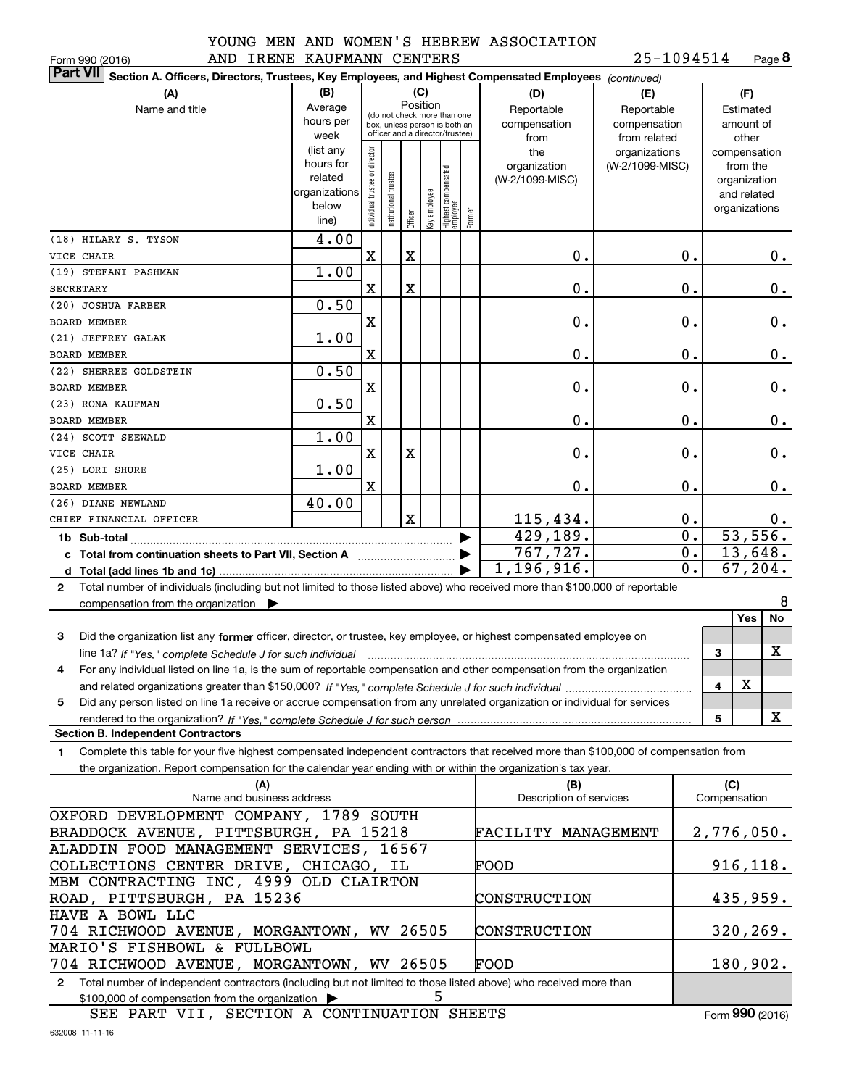|  |  | IOUNG MEN AND W |  |
|--|--|-----------------|--|
|  |  |                 |  |

**8**25-1094514

| AND IRENE KAUFMANN CENTERS<br>Form 990 (2016)                                                                                                        |                |                                |                      |             |              |                                                              |        |                                | 25-1094514      |                  |                     | Page 8           |
|------------------------------------------------------------------------------------------------------------------------------------------------------|----------------|--------------------------------|----------------------|-------------|--------------|--------------------------------------------------------------|--------|--------------------------------|-----------------|------------------|---------------------|------------------|
| <b>Part VII</b><br>Section A. Officers, Directors, Trustees, Key Employees, and Highest Compensated Employees (continued)                            |                |                                |                      |             |              |                                                              |        |                                |                 |                  |                     |                  |
| (A)                                                                                                                                                  | (B)            |                                |                      | (C)         |              |                                                              |        | (D)                            | (E)             |                  | (F)                 |                  |
| Name and title                                                                                                                                       | Average        |                                |                      |             | Position     |                                                              |        | Reportable                     | Reportable      |                  | Estimated           |                  |
|                                                                                                                                                      | hours per      |                                |                      |             |              | (do not check more than one<br>box, unless person is both an |        | compensation                   | compensation    |                  |                     | amount of        |
|                                                                                                                                                      | week           |                                |                      |             |              | officer and a director/trustee)                              |        | from                           | from related    |                  | other               |                  |
|                                                                                                                                                      | (list any      |                                |                      |             |              |                                                              |        | the                            | organizations   |                  | compensation        |                  |
|                                                                                                                                                      | hours for      |                                |                      |             |              |                                                              |        | organization                   | (W-2/1099-MISC) |                  | from the            |                  |
|                                                                                                                                                      | related        |                                |                      |             |              |                                                              |        | (W-2/1099-MISC)                |                 |                  |                     | organization     |
|                                                                                                                                                      | organizations  |                                |                      |             |              |                                                              |        |                                |                 |                  | and related         |                  |
|                                                                                                                                                      | below<br>line) | Individual trustee or director | nstitutional trustee | Officer     | əə/olduə /əy | Highest compensated<br> employee                             | Former |                                |                 |                  | organizations       |                  |
|                                                                                                                                                      |                |                                |                      |             |              |                                                              |        |                                |                 |                  |                     |                  |
| (18) HILARY S. TYSON<br>VICE CHAIR                                                                                                                   | 4.00           | X                              |                      | X           |              |                                                              |        | 0.                             |                 | 0.               |                     |                  |
| (19) STEFANI PASHMAN                                                                                                                                 | 1.00           |                                |                      |             |              |                                                              |        |                                |                 |                  |                     | $0$ .            |
| <b>SECRETARY</b>                                                                                                                                     |                | X                              |                      | X           |              |                                                              |        | 0.                             |                 | 0.               |                     | 0.               |
| (20) JOSHUA FARBER                                                                                                                                   | 0.50           |                                |                      |             |              |                                                              |        |                                |                 |                  |                     |                  |
| <b>BOARD MEMBER</b>                                                                                                                                  |                | X                              |                      |             |              |                                                              |        | 0.                             |                 | 0.               |                     | 0.               |
| (21) JEFFREY GALAK                                                                                                                                   | 1.00           |                                |                      |             |              |                                                              |        |                                |                 |                  |                     |                  |
| <b>BOARD MEMBER</b>                                                                                                                                  |                | $\mathbf X$                    |                      |             |              |                                                              |        | 0.                             |                 | 0.               |                     | 0.               |
| (22) SHERREE GOLDSTEIN                                                                                                                               | 0.50           |                                |                      |             |              |                                                              |        |                                |                 |                  |                     |                  |
| <b>BOARD MEMBER</b>                                                                                                                                  |                | $\mathbf X$                    |                      |             |              |                                                              |        | 0.                             |                 | 0.               |                     | 0.               |
| (23) RONA KAUFMAN                                                                                                                                    | 0.50           |                                |                      |             |              |                                                              |        |                                |                 |                  |                     |                  |
| BOARD MEMBER                                                                                                                                         |                | $\mathbf X$                    |                      |             |              |                                                              |        | 0.                             |                 | $0$ .            |                     | 0.               |
| (24) SCOTT SEEWALD                                                                                                                                   | 1.00           |                                |                      |             |              |                                                              |        |                                |                 |                  |                     |                  |
| VICE CHAIR                                                                                                                                           |                | X                              |                      | $\mathbf X$ |              |                                                              |        | 0.                             |                 | 0.               |                     | 0.               |
| (25) LORI SHURE                                                                                                                                      | 1.00           |                                |                      |             |              |                                                              |        |                                |                 |                  |                     |                  |
| BOARD MEMBER                                                                                                                                         |                | X                              |                      |             |              |                                                              |        | 0.                             |                 | 0.               |                     | $0$ .            |
| (26) DIANE NEWLAND<br>CHIEF FINANCIAL OFFICER                                                                                                        | 40.00          |                                |                      | $\mathbf X$ |              |                                                              |        |                                |                 | 0.               |                     |                  |
|                                                                                                                                                      |                |                                |                      |             |              |                                                              | ▶      | 115,434.<br>429,189.           |                 | $\overline{0}$ . |                     | $0$ .<br>53,556. |
| c Total from continuation sheets to Part VII, Section A <b>Constant Contact Part</b>                                                                 |                |                                |                      |             |              |                                                              |        | 767,727.                       |                 | 0.               |                     | 13,648.          |
|                                                                                                                                                      |                |                                |                      |             |              |                                                              |        | 1,196,916.                     |                 | $\overline{0}$ . |                     | 67, 204.         |
| Total number of individuals (including but not limited to those listed above) who received more than \$100,000 of reportable<br>$\mathbf{2}$         |                |                                |                      |             |              |                                                              |        |                                |                 |                  |                     |                  |
| compensation from the organization $\blacktriangleright$                                                                                             |                |                                |                      |             |              |                                                              |        |                                |                 |                  |                     | 8                |
|                                                                                                                                                      |                |                                |                      |             |              |                                                              |        |                                |                 |                  | Yes                 | No               |
| Did the organization list any former officer, director, or trustee, key employee, or highest compensated employee on<br>3                            |                |                                |                      |             |              |                                                              |        |                                |                 |                  |                     |                  |
| line 1a? If "Yes," complete Schedule J for such individual manufactured contained and the line 1a? If "Yes," complete Schedule J for such individual |                |                                |                      |             |              |                                                              |        |                                |                 |                  | 3                   | x                |
| For any individual listed on line 1a, is the sum of reportable compensation and other compensation from the organization                             |                |                                |                      |             |              |                                                              |        |                                |                 |                  |                     |                  |
|                                                                                                                                                      |                |                                |                      |             |              |                                                              |        |                                |                 |                  | х<br>4              |                  |
| Did any person listed on line 1a receive or accrue compensation from any unrelated organization or individual for services<br>5                      |                |                                |                      |             |              |                                                              |        |                                |                 |                  |                     |                  |
|                                                                                                                                                      |                |                                |                      |             |              |                                                              |        |                                |                 |                  | 5                   | X                |
| <b>Section B. Independent Contractors</b>                                                                                                            |                |                                |                      |             |              |                                                              |        |                                |                 |                  |                     |                  |
| Complete this table for your five highest compensated independent contractors that received more than \$100,000 of compensation from<br>1.           |                |                                |                      |             |              |                                                              |        |                                |                 |                  |                     |                  |
| the organization. Report compensation for the calendar year ending with or within the organization's tax year.                                       |                |                                |                      |             |              |                                                              |        |                                |                 |                  |                     |                  |
| (A)<br>Name and business address                                                                                                                     |                |                                |                      |             |              |                                                              |        | (B)<br>Description of services |                 |                  | (C)<br>Compensation |                  |
|                                                                                                                                                      |                |                                |                      |             |              |                                                              |        |                                |                 |                  |                     |                  |
| OXFORD DEVELOPMENT COMPANY, 1789 SOUTH<br>BRADDOCK AVENUE, PITTSBURGH, PA 15218                                                                      |                |                                |                      |             |              |                                                              |        | FACILITY MANAGEMENT            |                 |                  |                     |                  |
| ALADDIN FOOD MANAGEMENT SERVICES, 16567                                                                                                              |                |                                |                      |             |              |                                                              |        |                                |                 |                  |                     | 2,776,050.       |
| COLLECTIONS CENTER DRIVE, CHICAGO, IL                                                                                                                |                |                                |                      |             |              |                                                              |        | FOOD                           |                 |                  |                     | 916, 118.        |
| MBM CONTRACTING INC, 4999 OLD CLAIRTON                                                                                                               |                |                                |                      |             |              |                                                              |        |                                |                 |                  |                     |                  |
| ROAD, PITTSBURGH, PA 15236                                                                                                                           |                |                                |                      |             |              |                                                              |        | CONSTRUCTION                   |                 |                  |                     | <u>435,959.</u>  |
| HAVE A BOWL LLC                                                                                                                                      |                |                                |                      |             |              |                                                              |        |                                |                 |                  |                     |                  |
| 704 RICHWOOD AVENUE, MORGANTOWN, WV 26505                                                                                                            |                |                                |                      |             |              |                                                              |        | CONSTRUCTION                   |                 |                  |                     | <u>320,269.</u>  |
| MARIO'S FISHBOWL & FULLBOWL                                                                                                                          |                |                                |                      |             |              |                                                              |        |                                |                 |                  |                     |                  |
| 704 RICHWOOD AVENUE, MORGANTOWN, WV 26505                                                                                                            |                |                                |                      |             |              |                                                              |        | FOOD                           |                 |                  |                     | 180,902.         |
| 2 Total number of independent contractors (including but not limited to those listed above) who received more than                                   |                |                                |                      |             |              |                                                              |        |                                |                 |                  |                     |                  |

\$100,000 of compensation from the organization 5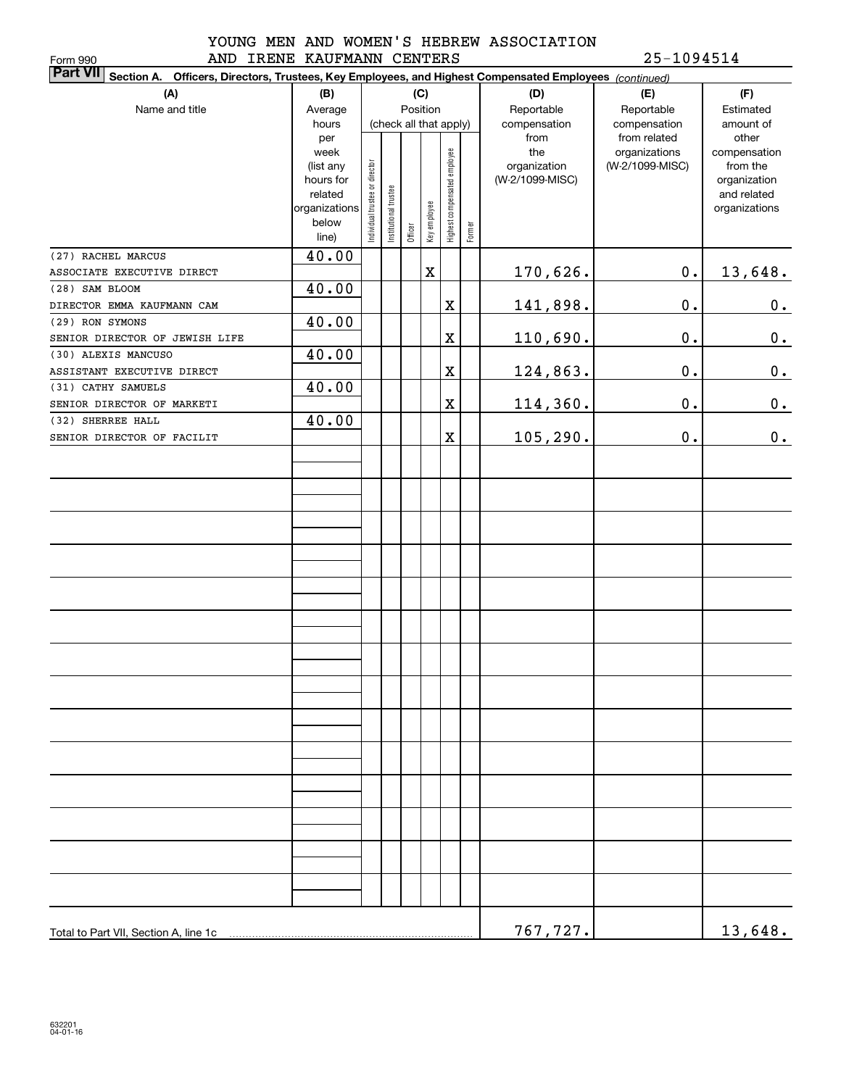Form 990

# YOUNG MEN AND WOMEN'S HEBREW ASSOCIATION AND IRENE KAUFMANN CENTERS 25-1094514

| <b>Part VII</b> Section A. Officers, Directors, Trustees, Key Employees, and Highest Compensated Employees (continued) |                                                                            |                                |                        |          |              |                              |        |                                                |                                                  |                                                                                   |
|------------------------------------------------------------------------------------------------------------------------|----------------------------------------------------------------------------|--------------------------------|------------------------|----------|--------------|------------------------------|--------|------------------------------------------------|--------------------------------------------------|-----------------------------------------------------------------------------------|
| (A)                                                                                                                    | (B)                                                                        |                                |                        |          | (C)          |                              |        | (D)                                            | (E)                                              | (F)                                                                               |
| Name and title                                                                                                         | Average                                                                    |                                |                        | Position |              |                              |        | Reportable                                     | Reportable                                       | Estimated                                                                         |
|                                                                                                                        | hours                                                                      |                                | (check all that apply) |          |              |                              |        | compensation                                   | compensation                                     | amount of                                                                         |
|                                                                                                                        | per<br>week<br>(list any<br>hours for<br>related<br>organizations<br>below | Individual trustee or director | Institutional trustee  |          | Key employee | Highest compensated employee |        | from<br>the<br>organization<br>(W-2/1099-MISC) | from related<br>organizations<br>(W-2/1099-MISC) | other<br>compensation<br>from the<br>organization<br>and related<br>organizations |
|                                                                                                                        | line)                                                                      |                                |                        | Officer  |              |                              | Former |                                                |                                                  |                                                                                   |
| (27) RACHEL MARCUS                                                                                                     | 40.00                                                                      |                                |                        |          |              |                              |        |                                                |                                                  |                                                                                   |
| ASSOCIATE EXECUTIVE DIRECT                                                                                             |                                                                            |                                |                        |          | $\mathbf X$  |                              |        | 170,626.                                       | $\mathbf 0$ .                                    | 13,648.                                                                           |
| (28) SAM BLOOM                                                                                                         | 40.00                                                                      |                                |                        |          |              |                              |        |                                                |                                                  |                                                                                   |
| DIRECTOR EMMA KAUFMANN CAM                                                                                             |                                                                            |                                |                        |          |              | X                            |        | 141,898.                                       | $\mathbf 0$ .                                    | 0.                                                                                |
| (29) RON SYMONS                                                                                                        | 40.00                                                                      |                                |                        |          |              |                              |        |                                                |                                                  |                                                                                   |
| SENIOR DIRECTOR OF JEWISH LIFE                                                                                         |                                                                            |                                |                        |          |              | X                            |        | 110,690.                                       | $0$ .                                            | 0.                                                                                |
| (30) ALEXIS MANCUSO                                                                                                    | 40.00                                                                      |                                |                        |          |              |                              |        |                                                |                                                  |                                                                                   |
| ASSISTANT EXECUTIVE DIRECT                                                                                             |                                                                            |                                |                        |          |              | X                            |        | 124,863.                                       | $0$ .                                            | 0.                                                                                |
| (31) CATHY SAMUELS                                                                                                     | 40.00                                                                      |                                |                        |          |              |                              |        |                                                |                                                  |                                                                                   |
| SENIOR DIRECTOR OF MARKETI                                                                                             |                                                                            |                                |                        |          |              | X                            |        | 114,360.                                       | $0$ .                                            | 0.                                                                                |
| (32) SHERREE HALL                                                                                                      | 40.00                                                                      |                                |                        |          |              |                              |        |                                                |                                                  |                                                                                   |
| SENIOR DIRECTOR OF FACILIT                                                                                             |                                                                            |                                |                        |          |              | X                            |        | 105, 290.                                      | $\mathbf 0$ .                                    | 0.                                                                                |
|                                                                                                                        |                                                                            |                                |                        |          |              |                              |        |                                                |                                                  |                                                                                   |
|                                                                                                                        |                                                                            |                                |                        |          |              |                              |        |                                                |                                                  |                                                                                   |
|                                                                                                                        |                                                                            |                                |                        |          |              |                              |        |                                                |                                                  |                                                                                   |
|                                                                                                                        |                                                                            |                                |                        |          |              |                              |        |                                                |                                                  |                                                                                   |
|                                                                                                                        |                                                                            |                                |                        |          |              |                              |        |                                                |                                                  |                                                                                   |
|                                                                                                                        |                                                                            |                                |                        |          |              |                              |        |                                                |                                                  |                                                                                   |
|                                                                                                                        |                                                                            |                                |                        |          |              |                              |        |                                                |                                                  |                                                                                   |
|                                                                                                                        |                                                                            |                                |                        |          |              |                              |        |                                                |                                                  |                                                                                   |
|                                                                                                                        |                                                                            |                                |                        |          |              |                              |        |                                                |                                                  |                                                                                   |
|                                                                                                                        |                                                                            |                                |                        |          |              |                              |        |                                                |                                                  |                                                                                   |
|                                                                                                                        |                                                                            |                                |                        |          |              |                              |        |                                                |                                                  |                                                                                   |
|                                                                                                                        |                                                                            |                                |                        |          |              |                              |        |                                                |                                                  |                                                                                   |
|                                                                                                                        |                                                                            |                                |                        |          |              |                              |        |                                                |                                                  |                                                                                   |
|                                                                                                                        |                                                                            |                                |                        |          |              |                              |        |                                                |                                                  |                                                                                   |
|                                                                                                                        |                                                                            |                                |                        |          |              |                              |        |                                                |                                                  |                                                                                   |
|                                                                                                                        |                                                                            |                                |                        |          |              |                              |        |                                                |                                                  |                                                                                   |
|                                                                                                                        |                                                                            |                                |                        |          |              |                              |        |                                                |                                                  |                                                                                   |
|                                                                                                                        |                                                                            |                                |                        |          |              |                              |        |                                                |                                                  |                                                                                   |
|                                                                                                                        |                                                                            |                                |                        |          |              |                              |        |                                                |                                                  |                                                                                   |
|                                                                                                                        |                                                                            |                                |                        |          |              |                              |        |                                                |                                                  |                                                                                   |
|                                                                                                                        |                                                                            |                                |                        |          |              |                              |        |                                                |                                                  |                                                                                   |
|                                                                                                                        |                                                                            |                                |                        |          |              |                              |        |                                                |                                                  |                                                                                   |
|                                                                                                                        |                                                                            |                                |                        |          |              |                              |        |                                                |                                                  |                                                                                   |
|                                                                                                                        |                                                                            |                                |                        |          |              |                              |        | 767,727.                                       |                                                  | 13,648.                                                                           |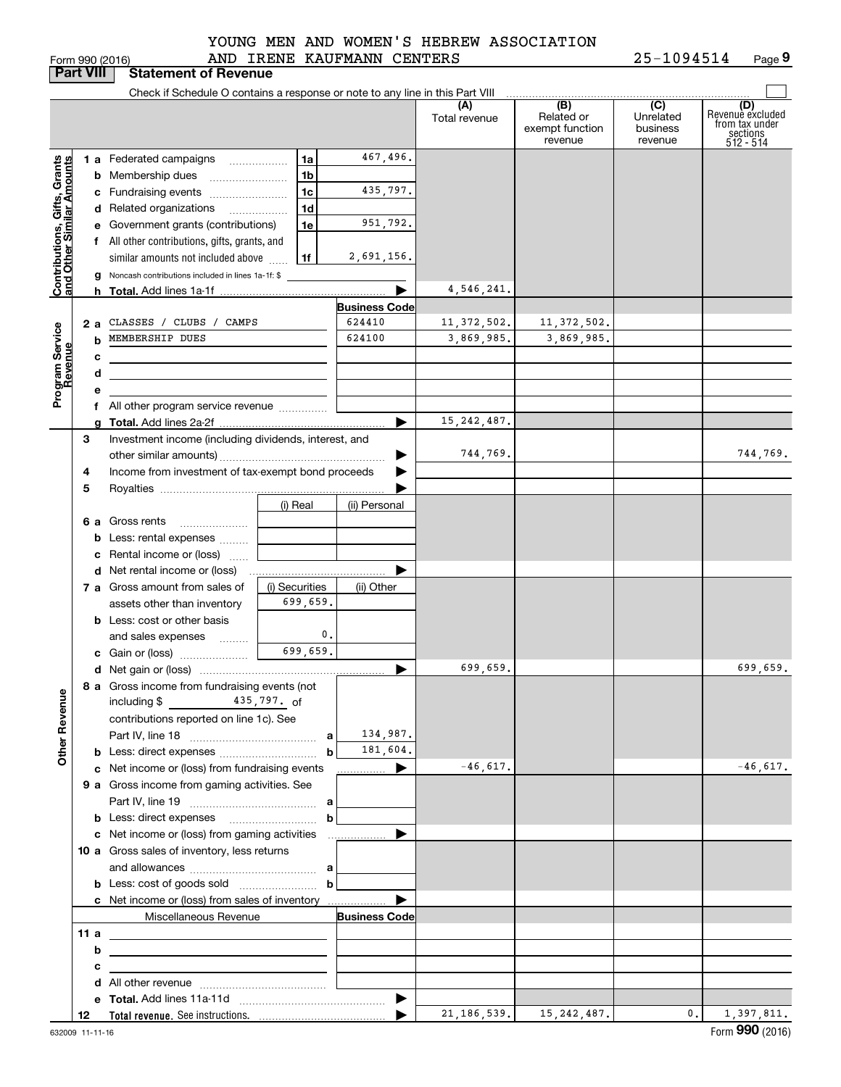|  | orm 990 (2016) |  |
|--|----------------|--|

## AND IRENE KAUFMANN CENTERS YOUNG MEN AND WOMEN'S HEBREW ASSOCIATION

|                                                           | <b>Part VIII</b> |                 | <b>Statement of Revenue</b>                                                                                          |                  |                      |                      |                                                 |                                         |                                                                    |
|-----------------------------------------------------------|------------------|-----------------|----------------------------------------------------------------------------------------------------------------------|------------------|----------------------|----------------------|-------------------------------------------------|-----------------------------------------|--------------------------------------------------------------------|
|                                                           |                  |                 | Check if Schedule O contains a response or note to any line in this Part VIII                                        |                  |                      |                      |                                                 |                                         |                                                                    |
|                                                           |                  |                 |                                                                                                                      |                  |                      | (A)<br>Total revenue | (B)<br>Related or<br>exempt function<br>revenue | (C)<br>Unrelated<br>business<br>revenue | (D)<br>Revenuè excluded<br>from tax under<br>sections<br>512 - 514 |
|                                                           |                  |                 | 1 a Federated campaigns                                                                                              | 1a               | 467,496.             |                      |                                                 |                                         |                                                                    |
|                                                           |                  |                 | <b>b</b> Membership dues                                                                                             | 1 <sub>b</sub>   |                      |                      |                                                 |                                         |                                                                    |
|                                                           |                  |                 | c Fundraising events                                                                                                 | 1 <sub>c</sub>   | 435,797.             |                      |                                                 |                                         |                                                                    |
|                                                           |                  |                 | d Related organizations                                                                                              | 1 <sub>d</sub>   |                      |                      |                                                 |                                         |                                                                    |
|                                                           |                  |                 | e Government grants (contributions)                                                                                  | 1e               | 951,792.             |                      |                                                 |                                         |                                                                    |
|                                                           |                  |                 | f All other contributions, gifts, grants, and                                                                        |                  |                      |                      |                                                 |                                         |                                                                    |
|                                                           |                  |                 | similar amounts not included above                                                                                   | 1f               | 2,691,156.           |                      |                                                 |                                         |                                                                    |
|                                                           |                  |                 | g Noncash contributions included in lines 1a-1f: \$                                                                  |                  |                      |                      |                                                 |                                         |                                                                    |
| Contributions, Gifts, Grants<br>and Other Similar Amounts |                  |                 |                                                                                                                      |                  |                      | 4,546,241.           |                                                 |                                         |                                                                    |
|                                                           |                  |                 |                                                                                                                      |                  | Business Code        |                      |                                                 |                                         |                                                                    |
|                                                           | 2 a              |                 | CLASSES / CLUBS / CAMPS                                                                                              |                  | 624410               | 11, 372, 502.        | 11,372,502.                                     |                                         |                                                                    |
| Program Service<br>Revenue                                | b                |                 | MEMBERSHIP DUES                                                                                                      |                  | 624100               | 3,869,985.           | 3,869,985.                                      |                                         |                                                                    |
|                                                           | с                |                 |                                                                                                                      |                  |                      |                      |                                                 |                                         |                                                                    |
|                                                           | d                |                 | <u> 1989 - Johann Stein, marwolaethau a bhann an t-Amhain an t-Amhain an t-Amhain an t-Amhain an t-Amhain an t-A</u> |                  |                      |                      |                                                 |                                         |                                                                    |
|                                                           | е                |                 |                                                                                                                      |                  |                      |                      |                                                 |                                         |                                                                    |
|                                                           |                  |                 | f All other program service revenue                                                                                  |                  |                      |                      |                                                 |                                         |                                                                    |
|                                                           |                  |                 |                                                                                                                      |                  | ▶                    | 15, 242, 487.        |                                                 |                                         |                                                                    |
|                                                           | З                |                 | Investment income (including dividends, interest, and                                                                |                  |                      |                      |                                                 |                                         |                                                                    |
|                                                           |                  |                 |                                                                                                                      |                  |                      | 744,769.             |                                                 |                                         | 744,769.                                                           |
|                                                           | 4<br>5           |                 | Income from investment of tax-exempt bond proceeds                                                                   |                  |                      |                      |                                                 |                                         |                                                                    |
|                                                           |                  |                 |                                                                                                                      | (i) Real         | (ii) Personal        |                      |                                                 |                                         |                                                                    |
|                                                           |                  | 6 a Gross rents |                                                                                                                      |                  |                      |                      |                                                 |                                         |                                                                    |
|                                                           |                  |                 | <b>b</b> Less: rental expenses                                                                                       |                  |                      |                      |                                                 |                                         |                                                                    |
|                                                           | c                |                 | Rental income or (loss)                                                                                              |                  |                      |                      |                                                 |                                         |                                                                    |
|                                                           |                  |                 |                                                                                                                      |                  |                      |                      |                                                 |                                         |                                                                    |
|                                                           |                  |                 | 7 a Gross amount from sales of                                                                                       | (i) Securities   | (ii) Other           |                      |                                                 |                                         |                                                                    |
|                                                           |                  |                 | assets other than inventory                                                                                          | 699,659.         |                      |                      |                                                 |                                         |                                                                    |
|                                                           |                  |                 | <b>b</b> Less: cost or other basis                                                                                   |                  |                      |                      |                                                 |                                         |                                                                    |
|                                                           |                  |                 | and sales expenses                                                                                                   | 0.               |                      |                      |                                                 |                                         |                                                                    |
|                                                           |                  |                 |                                                                                                                      | 699.659.         |                      |                      |                                                 |                                         |                                                                    |
|                                                           |                  |                 |                                                                                                                      |                  | ▶                    | 699,659.             |                                                 |                                         | 699,659.                                                           |
|                                                           |                  |                 | 8 a Gross income from fundraising events (not                                                                        |                  |                      |                      |                                                 |                                         |                                                                    |
|                                                           |                  | including $$$   | $\frac{435,797.6f}{2}$                                                                                               |                  |                      |                      |                                                 |                                         |                                                                    |
|                                                           |                  |                 | contributions reported on line 1c). See                                                                              |                  | 134,987.             |                      |                                                 |                                         |                                                                    |
| <b>Other Revenue</b>                                      |                  |                 |                                                                                                                      | a<br>$\mathbf b$ | 181,604.             |                      |                                                 |                                         |                                                                    |
|                                                           |                  |                 | c Net income or (loss) from fundraising events                                                                       |                  | <u></u> >            | $-46,617.$           |                                                 |                                         | $-46,617.$                                                         |
|                                                           |                  |                 | 9 a Gross income from gaming activities. See                                                                         |                  |                      |                      |                                                 |                                         |                                                                    |
|                                                           |                  |                 |                                                                                                                      |                  |                      |                      |                                                 |                                         |                                                                    |
|                                                           |                  |                 |                                                                                                                      | b                |                      |                      |                                                 |                                         |                                                                    |
|                                                           |                  |                 | c Net income or (loss) from gaming activities                                                                        |                  |                      |                      |                                                 |                                         |                                                                    |
|                                                           |                  |                 | 10 a Gross sales of inventory, less returns                                                                          |                  |                      |                      |                                                 |                                         |                                                                    |
|                                                           |                  |                 |                                                                                                                      |                  |                      |                      |                                                 |                                         |                                                                    |
|                                                           |                  |                 |                                                                                                                      |                  |                      |                      |                                                 |                                         |                                                                    |
|                                                           |                  |                 | c Net income or (loss) from sales of inventory                                                                       |                  | ▶                    |                      |                                                 |                                         |                                                                    |
|                                                           |                  |                 | Miscellaneous Revenue                                                                                                |                  | <b>Business Code</b> |                      |                                                 |                                         |                                                                    |
|                                                           | 11a              |                 | <u> 1989 - Andrea Stadt Britain, amerikansk politiker (</u>                                                          |                  |                      |                      |                                                 |                                         |                                                                    |
|                                                           | b                |                 |                                                                                                                      |                  |                      |                      |                                                 |                                         |                                                                    |
|                                                           | с                |                 | the contract of the contract of the contract of the contract of the contract of                                      |                  |                      |                      |                                                 |                                         |                                                                    |
|                                                           |                  |                 |                                                                                                                      |                  |                      |                      |                                                 |                                         |                                                                    |
|                                                           |                  |                 |                                                                                                                      |                  | ▶                    | 21, 186, 539.        | 15, 242, 487.                                   | $\mathbf{0}$ .                          | 1,397,811.                                                         |
|                                                           | 12               |                 |                                                                                                                      |                  |                      |                      |                                                 |                                         |                                                                    |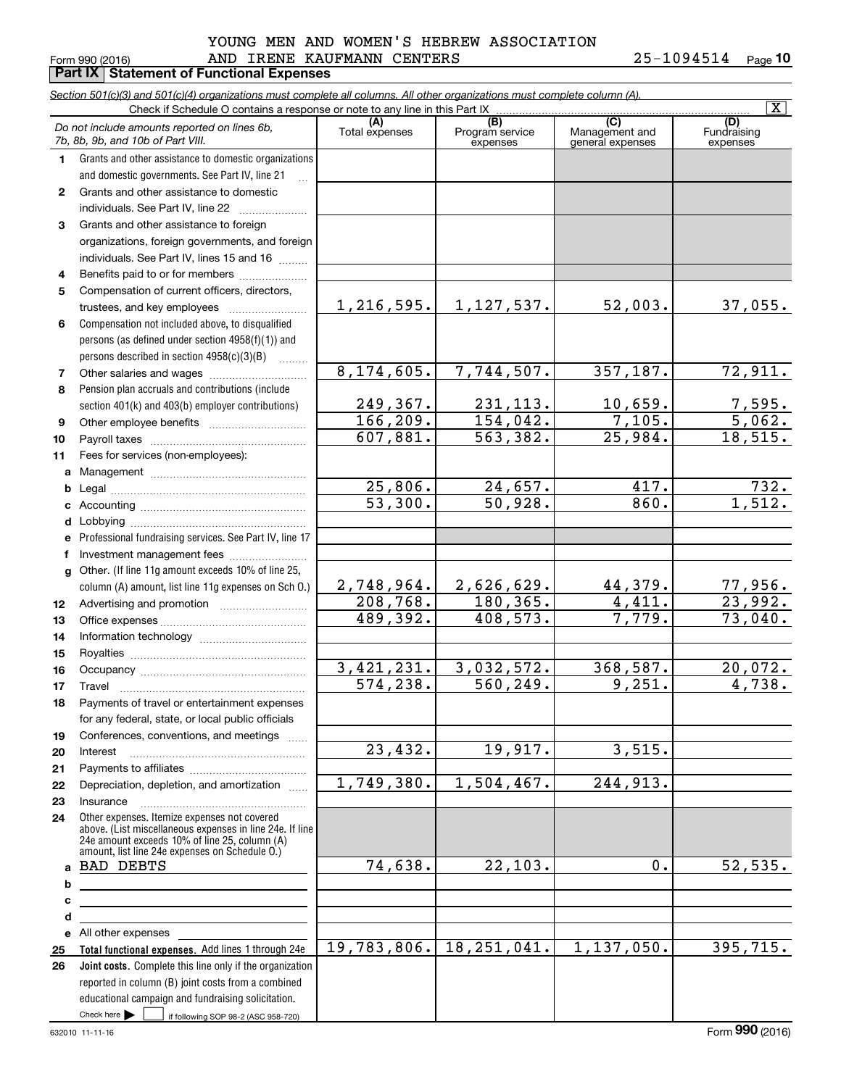#### Form 990 (2016) AND I.KENE KAUFMANN CENTERS Z.5-I.U94514 Page AND IRENE KAUFMANN CENTERS YOUNG MEN AND WOMEN'S HEBREW ASSOCIATION

**Part IX Statement of Functional Expenses**

**10**

|              | Section 501(c)(3) and 501(c)(4) organizations must complete all columns. All other organizations must complete column (A).                                |                |                             |                                    | $\overline{\mathbf{x}}$ |
|--------------|-----------------------------------------------------------------------------------------------------------------------------------------------------------|----------------|-----------------------------|------------------------------------|-------------------------|
|              | Check if Schedule O contains a response or note to any line in this Part IX                                                                               | (A)            | (B)                         | (C)                                | (D)                     |
|              | Do not include amounts reported on lines 6b,<br>7b, 8b, 9b, and 10b of Part VIII.                                                                         | Total expenses | Program service<br>expenses | Management and<br>general expenses | Fundraising<br>expenses |
| 1.           | Grants and other assistance to domestic organizations                                                                                                     |                |                             |                                    |                         |
|              | and domestic governments. See Part IV, line 21                                                                                                            |                |                             |                                    |                         |
| $\mathbf{2}$ | Grants and other assistance to domestic                                                                                                                   |                |                             |                                    |                         |
|              | individuals. See Part IV, line 22                                                                                                                         |                |                             |                                    |                         |
| 3            | Grants and other assistance to foreign                                                                                                                    |                |                             |                                    |                         |
|              | organizations, foreign governments, and foreign                                                                                                           |                |                             |                                    |                         |
|              | individuals. See Part IV, lines 15 and 16                                                                                                                 |                |                             |                                    |                         |
| 4            | Benefits paid to or for members                                                                                                                           |                |                             |                                    |                         |
| 5            | Compensation of current officers, directors,                                                                                                              |                |                             |                                    |                         |
|              | trustees, and key employees                                                                                                                               | 1, 216, 595.   | 1,127,537.                  | 52,003.                            | 37,055.                 |
| 6            | Compensation not included above, to disqualified                                                                                                          |                |                             |                                    |                         |
|              | persons (as defined under section 4958(f)(1)) and<br>persons described in section 4958(c)(3)(B)                                                           |                |                             |                                    |                         |
|              | 1.1.1.1.1.1.1                                                                                                                                             | 8,174,605.     | 7,744,507.                  | 357,187.                           | 72,911.                 |
| 7<br>8       | Pension plan accruals and contributions (include                                                                                                          |                |                             |                                    |                         |
|              | section 401(k) and 403(b) employer contributions)                                                                                                         | 249,367.       | 231, 113.                   | 10,659.                            | 7,595.                  |
| 9            |                                                                                                                                                           | 166, 209.      | 154,042.                    | 7,105.                             | 5,062.                  |
| 10           |                                                                                                                                                           | 607,881.       | 563,382.                    | 25,984.                            | 18,515.                 |
| 11           | Fees for services (non-employees):                                                                                                                        |                |                             |                                    |                         |
| a            |                                                                                                                                                           |                |                             |                                    |                         |
| b            |                                                                                                                                                           | 25,806.        | 24,657.                     | 417.                               | 732.                    |
| c            |                                                                                                                                                           | 53,300.        | 50,928.                     | 860.                               | 1,512.                  |
| d            |                                                                                                                                                           |                |                             |                                    |                         |
| e            | Professional fundraising services. See Part IV, line 17                                                                                                   |                |                             |                                    |                         |
| f            | Investment management fees                                                                                                                                |                |                             |                                    |                         |
| $\mathbf{q}$ | Other. (If line 11g amount exceeds 10% of line 25,                                                                                                        |                |                             |                                    |                         |
|              | column (A) amount, list line 11g expenses on Sch O.)                                                                                                      | 2,748,964.     | 2,626,629.                  | 44,379.                            | 77,956.                 |
| 12           |                                                                                                                                                           | 208,768.       | 180,365.                    | 4,411.                             | 23,992.                 |
| 13           |                                                                                                                                                           | 489,392.       | 408,573.                    | 7,779.                             | 73,040.                 |
| 14           |                                                                                                                                                           |                |                             |                                    |                         |
| 15           |                                                                                                                                                           |                |                             |                                    |                         |
| 16           |                                                                                                                                                           | 3,421,231.     | 3,032,572.                  | 368,587.                           | 20,072.                 |
| 17           |                                                                                                                                                           | 574, 238.      | 560,249.                    | 9, 251.                            | 4,738.                  |
| 18           | Payments of travel or entertainment expenses                                                                                                              |                |                             |                                    |                         |
|              | for any federal, state, or local public officials                                                                                                         |                |                             |                                    |                         |
| 19           | Conferences, conventions, and meetings                                                                                                                    |                |                             |                                    |                         |
| 20           | Interest                                                                                                                                                  | 23,432.        | 19,917.                     | 3,515.                             |                         |
| 21           |                                                                                                                                                           |                |                             |                                    |                         |
| 22           | Depreciation, depletion, and amortization                                                                                                                 | 1,749,380.     | 1,504,467.                  | 244,913.                           |                         |
| 23           | Insurance                                                                                                                                                 |                |                             |                                    |                         |
| 24           | Other expenses. Itemize expenses not covered<br>above. (List miscellaneous expenses in line 24e. If line<br>24e amount exceeds 10% of line 25, column (A) |                |                             |                                    |                         |
|              | amount, list line 24e expenses on Schedule O.)                                                                                                            |                |                             |                                    |                         |
| a            | BAD DEBTS                                                                                                                                                 | 74,638.        | 22,103.                     | $0$ .                              | 52,535.                 |
| b            |                                                                                                                                                           |                |                             |                                    |                         |
| c            |                                                                                                                                                           |                |                             |                                    |                         |
| d            | All other expenses                                                                                                                                        |                |                             |                                    |                         |
| е<br>25      | Total functional expenses. Add lines 1 through 24e                                                                                                        | 19,783,806.    | 18, 251, 041.               | 1, 137, 050.                       | 395,715.                |
| 26           | Joint costs. Complete this line only if the organization                                                                                                  |                |                             |                                    |                         |
|              | reported in column (B) joint costs from a combined                                                                                                        |                |                             |                                    |                         |
|              | educational campaign and fundraising solicitation.                                                                                                        |                |                             |                                    |                         |
|              | Check here $\blacktriangleright$<br>if following SOP 98-2 (ASC 958-720)                                                                                   |                |                             |                                    |                         |
|              |                                                                                                                                                           |                |                             |                                    |                         |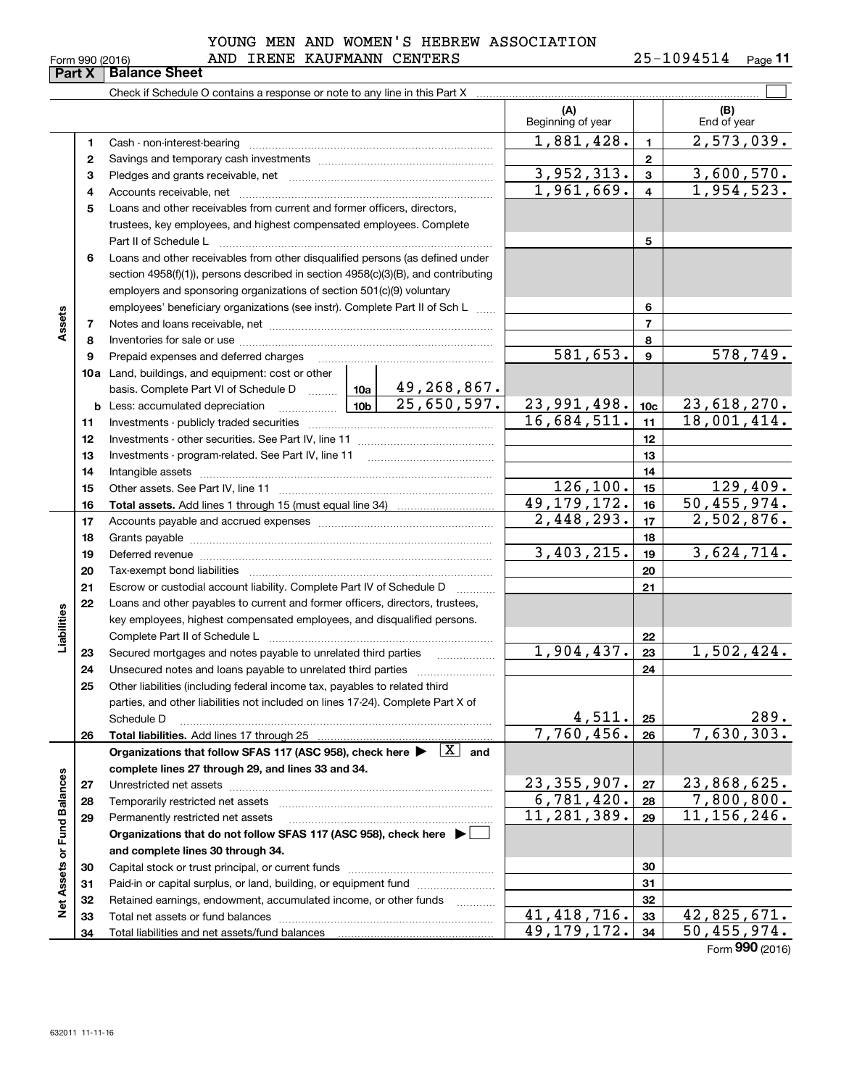|             | Form 990 (2016)<br>Part X | AND IRENE KAUFMANN CENTERS<br><b>Balance Sheet</b>                                     |                           |                     | 25-1094514<br>Page 11 |
|-------------|---------------------------|----------------------------------------------------------------------------------------|---------------------------|---------------------|-----------------------|
|             |                           | Check if Schedule O contains a response or note to any line in this Part X             |                           |                     |                       |
|             |                           |                                                                                        | (A)<br>Beginning of year  |                     | (B)<br>End of year    |
|             | 1                         |                                                                                        | 1,881,428.                | 1                   | 2,573,039.            |
|             | $\mathbf{2}$              |                                                                                        |                           | $\mathbf{2}$        |                       |
|             | з                         |                                                                                        | 3,952,313.                | $\mathbf{3}$        | 3,600,570.            |
|             | 4                         |                                                                                        | 1,961,669.                | 4                   | 1,954,523.            |
|             | 5                         | Loans and other receivables from current and former officers, directors,               |                           |                     |                       |
|             |                           | trustees, key employees, and highest compensated employees. Complete                   |                           |                     |                       |
|             |                           | Part II of Schedule L                                                                  |                           | 5                   |                       |
|             | 6                         | Loans and other receivables from other disqualified persons (as defined under          |                           |                     |                       |
|             |                           | section $4958(f)(1)$ , persons described in section $4958(c)(3)(B)$ , and contributing |                           |                     |                       |
|             |                           | employers and sponsoring organizations of section 501(c)(9) voluntary                  |                           |                     |                       |
| Assets      |                           | employees' beneficiary organizations (see instr). Complete Part II of Sch L            |                           | 6<br>$\overline{7}$ |                       |
|             | 7<br>8                    |                                                                                        |                           | 8                   |                       |
|             | 9                         | Prepaid expenses and deferred charges                                                  | 581,653.                  | 9                   | 578,749.              |
|             |                           | 10a Land, buildings, and equipment: cost or other                                      |                           |                     |                       |
|             |                           | 49,268,867.<br>basis. Complete Part VI of Schedule D  10a                              |                           |                     |                       |
|             |                           | 25,650,597.<br><u>  1</u> 0b<br><b>b</b> Less: accumulated depreciation                | 23,991,498.               | 10 <sub>c</sub>     | 23,618,270.           |
|             | 11                        |                                                                                        | 16,684,511.               | 11                  | 18,001,414.           |
|             | 12                        |                                                                                        |                           | 12                  |                       |
|             | 13                        | Investments - program-related. See Part IV, line 11                                    |                           | 13                  |                       |
|             | 14                        |                                                                                        |                           | 14                  |                       |
|             | 15                        |                                                                                        | 126, 100.                 | 15                  | 129,409.              |
|             | 16                        |                                                                                        | $\overline{49,179,172}$ . | 16                  | 50,455,974.           |
|             | 17                        |                                                                                        | 2,448,293.                | 17                  | 2,502,876.            |
|             | 18                        |                                                                                        |                           | 18                  |                       |
|             | 19                        |                                                                                        | 3,403,215.                | 19                  | 3,624,714.            |
|             | 20                        |                                                                                        |                           | 20                  |                       |
|             | 21                        | Escrow or custodial account liability. Complete Part IV of Schedule D                  |                           | 21                  |                       |
|             | 22                        | Loans and other payables to current and former officers, directors, trustees,          |                           |                     |                       |
|             |                           | key employees, highest compensated employees, and disqualified persons.                |                           |                     |                       |
| Liabilities |                           |                                                                                        |                           | 22                  |                       |
|             | 23                        | Secured mortgages and notes payable to unrelated third parties                         | 1,904,437.                | 23                  | 1,502,424.            |
|             | 24                        | Unsecured notes and loans payable to unrelated third parties                           |                           | 24                  |                       |
|             | 25                        | Other liabilities (including federal income tax, payables to related third             |                           |                     |                       |

|                   |    | parties, and other liabilities not included on lines 17-24). Complete Part X of       |               |    |                          |
|-------------------|----|---------------------------------------------------------------------------------------|---------------|----|--------------------------|
|                   |    | Schedule D                                                                            | 4,511.        | 25 | 289.                     |
|                   | 26 |                                                                                       | 7,760,456.    | 26 | 7,630,303.               |
|                   |    | X<br>Organizations that follow SFAS 117 (ASC 958), check here ><br>and                |               |    |                          |
|                   |    | complete lines 27 through 29, and lines 33 and 34.                                    |               |    |                          |
|                   | 27 | Unrestricted net assets                                                               | 23, 355, 907. | 27 | 23,868,625.              |
|                   | 28 | Temporarily restricted net assets                                                     | 6,781,420.    | 28 | 7,800,800.               |
|                   | 29 | Permanently restricted net assets                                                     | 11,281,389.   | 29 | 11, 156, 246.            |
| or Fund Balances  |    | Organizations that do not follow SFAS 117 (ASC 958), check here $\blacktriangleright$ |               |    |                          |
|                   |    | and complete lines 30 through 34.                                                     |               |    |                          |
|                   | 30 | Capital stock or trust principal, or current funds                                    |               | 30 |                          |
| <b>Net Assets</b> | 31 | Paid-in or capital surplus, or land, building, or equipment fund                      |               | 31 |                          |
|                   | 32 | Retained earnings, endowment, accumulated income, or other funds                      |               | 32 |                          |
|                   | 33 | Total net assets or fund balances                                                     | 41, 418, 716. | 33 | 42,825,671.              |
|                   | 34 | Total liabilities and net assets/fund balances                                        | 49,179,172.   | 34 | 50,455,974.              |
|                   |    |                                                                                       |               |    | $F = 000 \text{ (0010)}$ |

Form (2016) **990**

| Form 990 (2016 |  |  |
|----------------|--|--|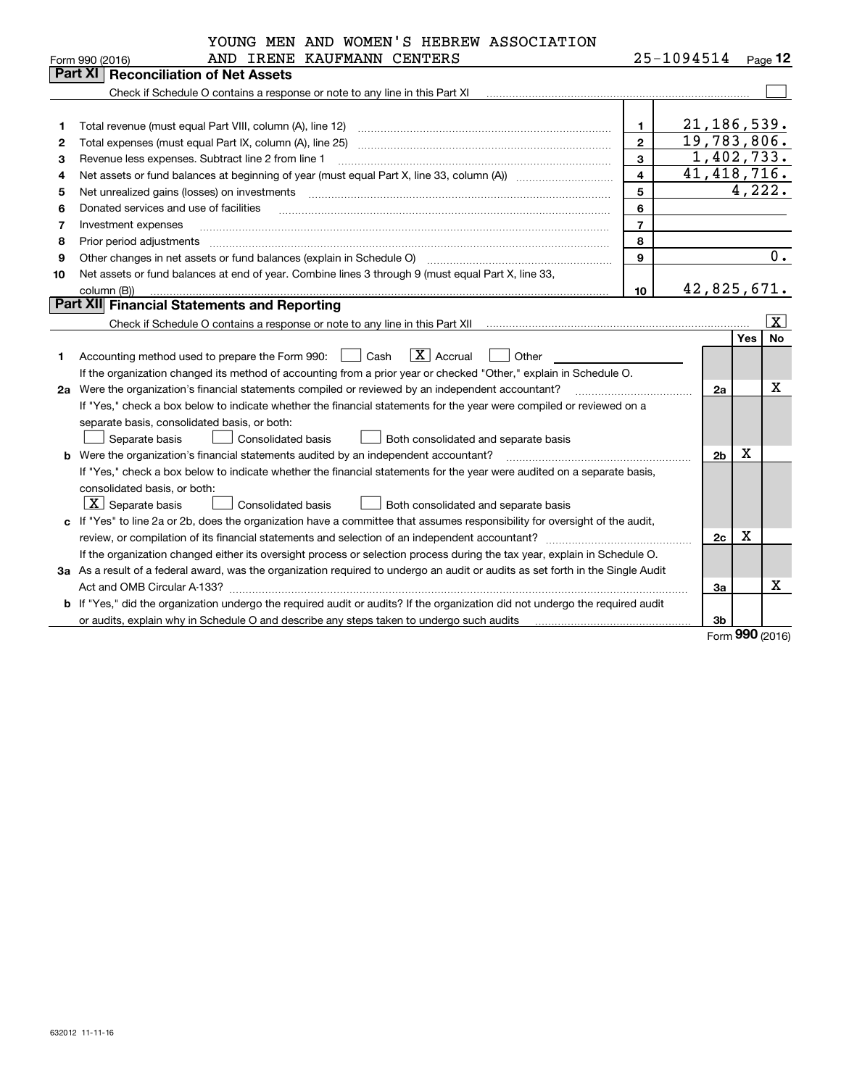| 25-1094514<br>AND IRENE KAUFMANN CENTERS<br>Form 990 (2016)<br><b>Part XI   Reconciliation of Net Assets</b><br>Check if Schedule O contains a response or note to any line in this Part XI [11] [12] Check if Schedule O contains a response or note to any line in this Part XI<br>21, 186, 539.<br>$\mathbf{1}$<br>Total revenue (must equal Part VIII, column (A), line 12)<br>1.<br>19,783,806.<br>$\overline{2}$<br>Total expenses (must equal Part IX, column (A), line 25)<br>2<br>1,402,733.<br>3<br>З<br>Revenue less expenses. Subtract line 2 from line 1<br>41, 418, 716.<br>$\overline{\mathbf{4}}$<br>4 | $_{\text{Page}}$ 12<br>4,222.<br>0. |
|------------------------------------------------------------------------------------------------------------------------------------------------------------------------------------------------------------------------------------------------------------------------------------------------------------------------------------------------------------------------------------------------------------------------------------------------------------------------------------------------------------------------------------------------------------------------------------------------------------------------|-------------------------------------|
|                                                                                                                                                                                                                                                                                                                                                                                                                                                                                                                                                                                                                        |                                     |
|                                                                                                                                                                                                                                                                                                                                                                                                                                                                                                                                                                                                                        |                                     |
|                                                                                                                                                                                                                                                                                                                                                                                                                                                                                                                                                                                                                        |                                     |
|                                                                                                                                                                                                                                                                                                                                                                                                                                                                                                                                                                                                                        |                                     |
|                                                                                                                                                                                                                                                                                                                                                                                                                                                                                                                                                                                                                        |                                     |
|                                                                                                                                                                                                                                                                                                                                                                                                                                                                                                                                                                                                                        |                                     |
|                                                                                                                                                                                                                                                                                                                                                                                                                                                                                                                                                                                                                        |                                     |
|                                                                                                                                                                                                                                                                                                                                                                                                                                                                                                                                                                                                                        |                                     |
| 5<br>5<br>Net unrealized gains (losses) on investments                                                                                                                                                                                                                                                                                                                                                                                                                                                                                                                                                                 |                                     |
| 6<br>Donated services and use of facilities<br>6                                                                                                                                                                                                                                                                                                                                                                                                                                                                                                                                                                       |                                     |
| $\overline{7}$<br>Investment expenses<br>7                                                                                                                                                                                                                                                                                                                                                                                                                                                                                                                                                                             |                                     |
| 8<br>8<br>Prior period adjustments                                                                                                                                                                                                                                                                                                                                                                                                                                                                                                                                                                                     |                                     |
| $\mathbf{q}$<br>Other changes in net assets or fund balances (explain in Schedule O)<br>9                                                                                                                                                                                                                                                                                                                                                                                                                                                                                                                              |                                     |
| Net assets or fund balances at end of year. Combine lines 3 through 9 (must equal Part X, line 33,<br>10                                                                                                                                                                                                                                                                                                                                                                                                                                                                                                               |                                     |
| 42,825,671.<br>10<br>column (B))                                                                                                                                                                                                                                                                                                                                                                                                                                                                                                                                                                                       |                                     |
| <b>Part XII Financial Statements and Reporting</b>                                                                                                                                                                                                                                                                                                                                                                                                                                                                                                                                                                     |                                     |
|                                                                                                                                                                                                                                                                                                                                                                                                                                                                                                                                                                                                                        | $\overline{\mathtt{x}}$             |
| <b>Yes</b>                                                                                                                                                                                                                                                                                                                                                                                                                                                                                                                                                                                                             | <b>No</b>                           |
| $\boxed{\mathbf{X}}$ Accrual<br>Accounting method used to prepare the Form 990: <u>II</u> Cash<br>Other<br>1.                                                                                                                                                                                                                                                                                                                                                                                                                                                                                                          |                                     |
| If the organization changed its method of accounting from a prior year or checked "Other," explain in Schedule O.                                                                                                                                                                                                                                                                                                                                                                                                                                                                                                      |                                     |
| 2a Were the organization's financial statements compiled or reviewed by an independent accountant?<br>2a                                                                                                                                                                                                                                                                                                                                                                                                                                                                                                               | х                                   |
| If "Yes," check a box below to indicate whether the financial statements for the year were compiled or reviewed on a                                                                                                                                                                                                                                                                                                                                                                                                                                                                                                   |                                     |
| separate basis, consolidated basis, or both:                                                                                                                                                                                                                                                                                                                                                                                                                                                                                                                                                                           |                                     |
| Separate basis<br><b>Consolidated basis</b><br>Both consolidated and separate basis                                                                                                                                                                                                                                                                                                                                                                                                                                                                                                                                    |                                     |
| x<br>Were the organization's financial statements audited by an independent accountant?<br>2 <sub>b</sub><br>b                                                                                                                                                                                                                                                                                                                                                                                                                                                                                                         |                                     |
| If "Yes," check a box below to indicate whether the financial statements for the year were audited on a separate basis,                                                                                                                                                                                                                                                                                                                                                                                                                                                                                                |                                     |
| consolidated basis, or both:                                                                                                                                                                                                                                                                                                                                                                                                                                                                                                                                                                                           |                                     |
| $\boxed{\textbf{X}}$ Separate basis<br>Consolidated basis<br>Both consolidated and separate basis                                                                                                                                                                                                                                                                                                                                                                                                                                                                                                                      |                                     |
| c If "Yes" to line 2a or 2b, does the organization have a committee that assumes responsibility for oversight of the audit,                                                                                                                                                                                                                                                                                                                                                                                                                                                                                            |                                     |
| X<br>2c                                                                                                                                                                                                                                                                                                                                                                                                                                                                                                                                                                                                                |                                     |
| If the organization changed either its oversight process or selection process during the tax year, explain in Schedule O.                                                                                                                                                                                                                                                                                                                                                                                                                                                                                              |                                     |
| 3a As a result of a federal award, was the organization required to undergo an audit or audits as set forth in the Single Audit                                                                                                                                                                                                                                                                                                                                                                                                                                                                                        |                                     |
| За                                                                                                                                                                                                                                                                                                                                                                                                                                                                                                                                                                                                                     | Х                                   |
| b If "Yes," did the organization undergo the required audit or audits? If the organization did not undergo the required audit                                                                                                                                                                                                                                                                                                                                                                                                                                                                                          |                                     |
| or audits, explain why in Schedule O and describe any steps taken to undergo such audits<br>3b<br>nnn                                                                                                                                                                                                                                                                                                                                                                                                                                                                                                                  |                                     |

Form (2016) **990**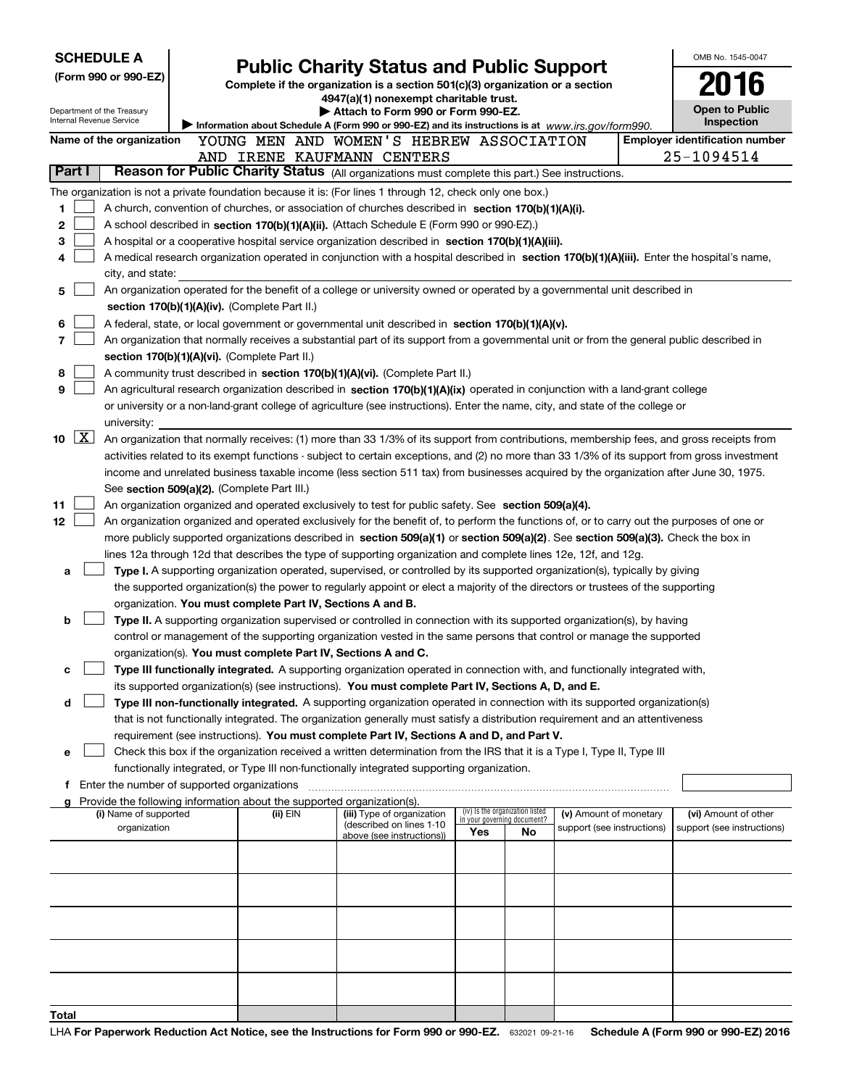| <b>SCHEDULE A</b><br><b>Public Charity Status and Public Support</b> |                                                                                                      |  |                                                                        |                                                                                                                                                                                                               | OMB No. 1545-0047                                              |    |                            |  |                                       |
|----------------------------------------------------------------------|------------------------------------------------------------------------------------------------------|--|------------------------------------------------------------------------|---------------------------------------------------------------------------------------------------------------------------------------------------------------------------------------------------------------|----------------------------------------------------------------|----|----------------------------|--|---------------------------------------|
| (Form 990 or 990-EZ)                                                 |                                                                                                      |  |                                                                        | Complete if the organization is a section 501(c)(3) organization or a section                                                                                                                                 |                                                                |    |                            |  |                                       |
|                                                                      |                                                                                                      |  |                                                                        | 4947(a)(1) nonexempt charitable trust.                                                                                                                                                                        |                                                                |    |                            |  |                                       |
| Internal Revenue Service                                             | Department of the Treasury                                                                           |  |                                                                        | Attach to Form 990 or Form 990-EZ.                                                                                                                                                                            |                                                                |    |                            |  | <b>Open to Public</b><br>Inspection   |
|                                                                      | Name of the organization                                                                             |  |                                                                        | Information about Schedule A (Form 990 or 990-EZ) and its instructions is at www.irs.gov/form990.<br>YOUNG MEN AND WOMEN'S HEBREW ASSOCIATION                                                                 |                                                                |    |                            |  | <b>Employer identification number</b> |
|                                                                      |                                                                                                      |  |                                                                        | AND IRENE KAUFMANN CENTERS                                                                                                                                                                                    |                                                                |    |                            |  | 25-1094514                            |
| Part I                                                               |                                                                                                      |  |                                                                        | Reason for Public Charity Status (All organizations must complete this part.) See instructions.                                                                                                               |                                                                |    |                            |  |                                       |
|                                                                      |                                                                                                      |  |                                                                        | The organization is not a private foundation because it is: (For lines 1 through 12, check only one box.)                                                                                                     |                                                                |    |                            |  |                                       |
| 1                                                                    |                                                                                                      |  |                                                                        | A church, convention of churches, or association of churches described in section 170(b)(1)(A)(i).                                                                                                            |                                                                |    |                            |  |                                       |
| 2                                                                    |                                                                                                      |  |                                                                        | A school described in section 170(b)(1)(A)(ii). (Attach Schedule E (Form 990 or 990-EZ).)                                                                                                                     |                                                                |    |                            |  |                                       |
| з                                                                    |                                                                                                      |  |                                                                        | A hospital or a cooperative hospital service organization described in section 170(b)(1)(A)(iii).                                                                                                             |                                                                |    |                            |  |                                       |
| 4                                                                    |                                                                                                      |  |                                                                        | A medical research organization operated in conjunction with a hospital described in section 170(b)(1)(A)(iii). Enter the hospital's name,                                                                    |                                                                |    |                            |  |                                       |
|                                                                      | city, and state:                                                                                     |  |                                                                        |                                                                                                                                                                                                               |                                                                |    |                            |  |                                       |
| 5                                                                    |                                                                                                      |  |                                                                        | An organization operated for the benefit of a college or university owned or operated by a governmental unit described in                                                                                     |                                                                |    |                            |  |                                       |
|                                                                      |                                                                                                      |  | section $170(b)(1)(A)(iv)$ . (Complete Part II.)                       |                                                                                                                                                                                                               |                                                                |    |                            |  |                                       |
| 6                                                                    |                                                                                                      |  |                                                                        | A federal, state, or local government or governmental unit described in section 170(b)(1)(A)(v).                                                                                                              |                                                                |    |                            |  |                                       |
| 7                                                                    |                                                                                                      |  |                                                                        | An organization that normally receives a substantial part of its support from a governmental unit or from the general public described in                                                                     |                                                                |    |                            |  |                                       |
|                                                                      |                                                                                                      |  | section 170(b)(1)(A)(vi). (Complete Part II.)                          |                                                                                                                                                                                                               |                                                                |    |                            |  |                                       |
| 8<br>9                                                               |                                                                                                      |  |                                                                        | A community trust described in section 170(b)(1)(A)(vi). (Complete Part II.)<br>An agricultural research organization described in section 170(b)(1)(A)(ix) operated in conjunction with a land-grant college |                                                                |    |                            |  |                                       |
|                                                                      |                                                                                                      |  |                                                                        | or university or a non-land-grant college of agriculture (see instructions). Enter the name, city, and state of the college or                                                                                |                                                                |    |                            |  |                                       |
|                                                                      | university:                                                                                          |  |                                                                        |                                                                                                                                                                                                               |                                                                |    |                            |  |                                       |
| X  <br>10                                                            |                                                                                                      |  |                                                                        | An organization that normally receives: (1) more than 33 1/3% of its support from contributions, membership fees, and gross receipts from                                                                     |                                                                |    |                            |  |                                       |
|                                                                      |                                                                                                      |  |                                                                        | activities related to its exempt functions - subject to certain exceptions, and (2) no more than 33 1/3% of its support from gross investment                                                                 |                                                                |    |                            |  |                                       |
|                                                                      |                                                                                                      |  |                                                                        | income and unrelated business taxable income (less section 511 tax) from businesses acquired by the organization after June 30, 1975.                                                                         |                                                                |    |                            |  |                                       |
|                                                                      |                                                                                                      |  | See section 509(a)(2). (Complete Part III.)                            |                                                                                                                                                                                                               |                                                                |    |                            |  |                                       |
| 11                                                                   | An organization organized and operated exclusively to test for public safety. See section 509(a)(4). |  |                                                                        |                                                                                                                                                                                                               |                                                                |    |                            |  |                                       |
| 12                                                                   |                                                                                                      |  |                                                                        | An organization organized and operated exclusively for the benefit of, to perform the functions of, or to carry out the purposes of one or                                                                    |                                                                |    |                            |  |                                       |
|                                                                      |                                                                                                      |  |                                                                        | more publicly supported organizations described in section 509(a)(1) or section 509(a)(2). See section 509(a)(3). Check the box in                                                                            |                                                                |    |                            |  |                                       |
|                                                                      |                                                                                                      |  |                                                                        | lines 12a through 12d that describes the type of supporting organization and complete lines 12e, 12f, and 12g.                                                                                                |                                                                |    |                            |  |                                       |
| a                                                                    |                                                                                                      |  |                                                                        | Type I. A supporting organization operated, supervised, or controlled by its supported organization(s), typically by giving                                                                                   |                                                                |    |                            |  |                                       |
|                                                                      |                                                                                                      |  | organization. You must complete Part IV, Sections A and B.             | the supported organization(s) the power to regularly appoint or elect a majority of the directors or trustees of the supporting                                                                               |                                                                |    |                            |  |                                       |
| b                                                                    |                                                                                                      |  |                                                                        | Type II. A supporting organization supervised or controlled in connection with its supported organization(s), by having                                                                                       |                                                                |    |                            |  |                                       |
|                                                                      |                                                                                                      |  |                                                                        | control or management of the supporting organization vested in the same persons that control or manage the supported                                                                                          |                                                                |    |                            |  |                                       |
|                                                                      |                                                                                                      |  | organization(s). You must complete Part IV, Sections A and C.          |                                                                                                                                                                                                               |                                                                |    |                            |  |                                       |
| с                                                                    |                                                                                                      |  |                                                                        | Type III functionally integrated. A supporting organization operated in connection with, and functionally integrated with,                                                                                    |                                                                |    |                            |  |                                       |
|                                                                      |                                                                                                      |  |                                                                        | its supported organization(s) (see instructions). You must complete Part IV, Sections A, D, and E.                                                                                                            |                                                                |    |                            |  |                                       |
| d                                                                    |                                                                                                      |  |                                                                        | Type III non-functionally integrated. A supporting organization operated in connection with its supported organization(s)                                                                                     |                                                                |    |                            |  |                                       |
|                                                                      |                                                                                                      |  |                                                                        | that is not functionally integrated. The organization generally must satisfy a distribution requirement and an attentiveness                                                                                  |                                                                |    |                            |  |                                       |
|                                                                      |                                                                                                      |  |                                                                        | requirement (see instructions). You must complete Part IV, Sections A and D, and Part V.                                                                                                                      |                                                                |    |                            |  |                                       |
| е                                                                    |                                                                                                      |  |                                                                        | Check this box if the organization received a written determination from the IRS that it is a Type I, Type II, Type III                                                                                       |                                                                |    |                            |  |                                       |
|                                                                      | Enter the number of supported organizations                                                          |  |                                                                        | functionally integrated, or Type III non-functionally integrated supporting organization.                                                                                                                     |                                                                |    |                            |  |                                       |
| Ť.                                                                   |                                                                                                      |  | Provide the following information about the supported organization(s). |                                                                                                                                                                                                               |                                                                |    |                            |  |                                       |
|                                                                      | (i) Name of supported                                                                                |  | (ii) EIN                                                               | (iii) Type of organization                                                                                                                                                                                    | (iv) Is the organization listed<br>in your governing document? |    | (v) Amount of monetary     |  | (vi) Amount of other                  |
|                                                                      | organization                                                                                         |  |                                                                        | (described on lines 1-10<br>above (see instructions))                                                                                                                                                         | Yes                                                            | No | support (see instructions) |  | support (see instructions)            |
|                                                                      |                                                                                                      |  |                                                                        |                                                                                                                                                                                                               |                                                                |    |                            |  |                                       |
|                                                                      |                                                                                                      |  |                                                                        |                                                                                                                                                                                                               |                                                                |    |                            |  |                                       |
|                                                                      |                                                                                                      |  |                                                                        |                                                                                                                                                                                                               |                                                                |    |                            |  |                                       |
|                                                                      |                                                                                                      |  |                                                                        |                                                                                                                                                                                                               |                                                                |    |                            |  |                                       |
|                                                                      |                                                                                                      |  |                                                                        |                                                                                                                                                                                                               |                                                                |    |                            |  |                                       |
|                                                                      |                                                                                                      |  |                                                                        |                                                                                                                                                                                                               |                                                                |    |                            |  |                                       |
|                                                                      |                                                                                                      |  |                                                                        |                                                                                                                                                                                                               |                                                                |    |                            |  |                                       |
|                                                                      |                                                                                                      |  |                                                                        |                                                                                                                                                                                                               |                                                                |    |                            |  |                                       |
|                                                                      |                                                                                                      |  |                                                                        |                                                                                                                                                                                                               |                                                                |    |                            |  |                                       |
| Total                                                                |                                                                                                      |  |                                                                        |                                                                                                                                                                                                               |                                                                |    |                            |  |                                       |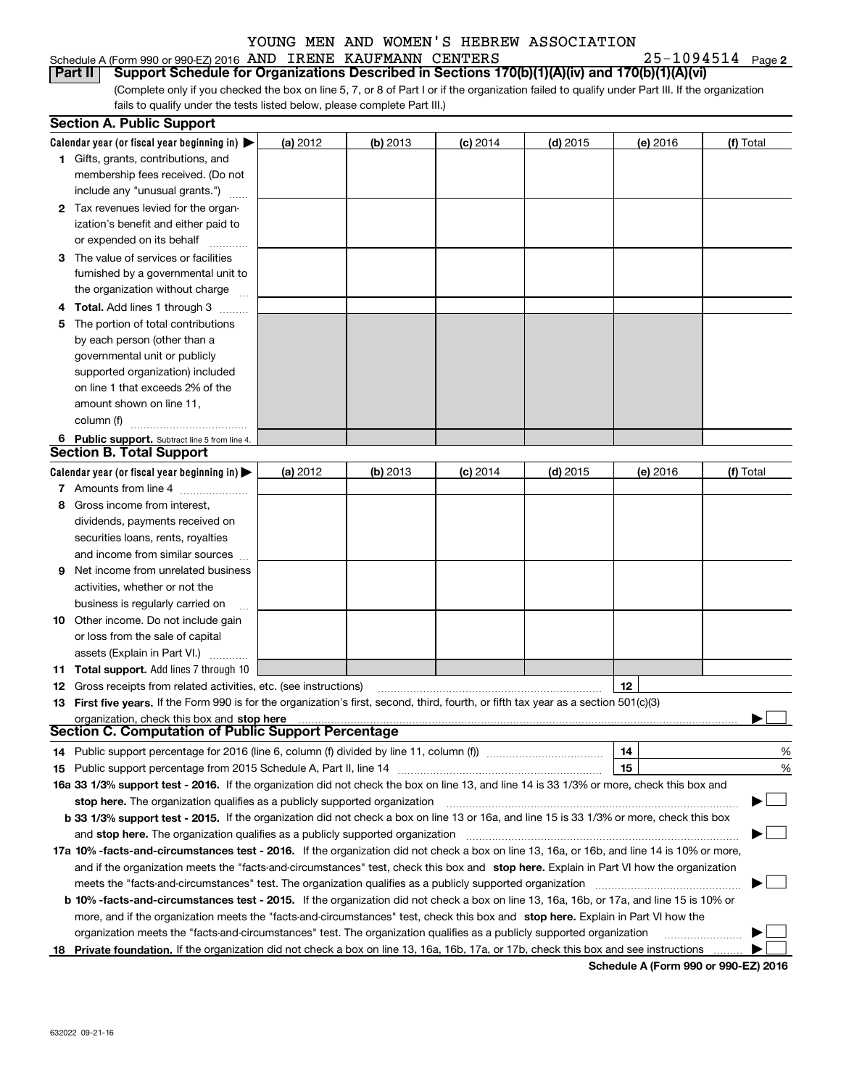# Schedule A (Form 990 or 990-EZ) 2016 Page AND IRENE KAUFMANN CENTERS 25-1094514

**2**

**Part II** | Support Schedule for Organizations Described in Sections 170(b)(1)(A)(iv) and 170(b)(1)(A)(vi)

(Complete only if you checked the box on line 5, 7, or 8 of Part I or if the organization failed to qualify under Part III. If the organization fails to qualify under the tests listed below, please complete Part III.)

|    | <b>Section A. Public Support</b>                                                                                                               |          |            |            |            |          |           |
|----|------------------------------------------------------------------------------------------------------------------------------------------------|----------|------------|------------|------------|----------|-----------|
|    | Calendar year (or fiscal year beginning in) $\blacktriangleright$                                                                              | (a) 2012 | $(b)$ 2013 | $(c)$ 2014 | $(d)$ 2015 | (e) 2016 | (f) Total |
|    | 1 Gifts, grants, contributions, and                                                                                                            |          |            |            |            |          |           |
|    | membership fees received. (Do not                                                                                                              |          |            |            |            |          |           |
|    | include any "unusual grants.")                                                                                                                 |          |            |            |            |          |           |
|    | 2 Tax revenues levied for the organ-                                                                                                           |          |            |            |            |          |           |
|    | ization's benefit and either paid to                                                                                                           |          |            |            |            |          |           |
|    | or expended on its behalf                                                                                                                      |          |            |            |            |          |           |
|    | 3 The value of services or facilities                                                                                                          |          |            |            |            |          |           |
|    | furnished by a governmental unit to                                                                                                            |          |            |            |            |          |           |
|    | the organization without charge                                                                                                                |          |            |            |            |          |           |
|    | 4 Total. Add lines 1 through 3                                                                                                                 |          |            |            |            |          |           |
| 5. | The portion of total contributions                                                                                                             |          |            |            |            |          |           |
|    | by each person (other than a                                                                                                                   |          |            |            |            |          |           |
|    | governmental unit or publicly                                                                                                                  |          |            |            |            |          |           |
|    | supported organization) included                                                                                                               |          |            |            |            |          |           |
|    | on line 1 that exceeds 2% of the                                                                                                               |          |            |            |            |          |           |
|    | amount shown on line 11,                                                                                                                       |          |            |            |            |          |           |
|    | column (f)                                                                                                                                     |          |            |            |            |          |           |
|    | 6 Public support. Subtract line 5 from line 4.                                                                                                 |          |            |            |            |          |           |
|    | <b>Section B. Total Support</b>                                                                                                                |          |            |            |            |          |           |
|    | Calendar year (or fiscal year beginning in) $\blacktriangleright$                                                                              | (a) 2012 | (b) $2013$ | $(c)$ 2014 | $(d)$ 2015 | (e) 2016 | (f) Total |
|    | 7 Amounts from line 4                                                                                                                          |          |            |            |            |          |           |
|    | 8 Gross income from interest,                                                                                                                  |          |            |            |            |          |           |
|    | dividends, payments received on                                                                                                                |          |            |            |            |          |           |
|    | securities loans, rents, royalties                                                                                                             |          |            |            |            |          |           |
|    | and income from similar sources                                                                                                                |          |            |            |            |          |           |
| 9. | Net income from unrelated business                                                                                                             |          |            |            |            |          |           |
|    | activities, whether or not the                                                                                                                 |          |            |            |            |          |           |
|    | business is regularly carried on                                                                                                               |          |            |            |            |          |           |
|    | <b>10</b> Other income. Do not include gain                                                                                                    |          |            |            |            |          |           |
|    | or loss from the sale of capital                                                                                                               |          |            |            |            |          |           |
|    | assets (Explain in Part VI.)                                                                                                                   |          |            |            |            |          |           |
|    | 11 Total support. Add lines 7 through 10                                                                                                       |          |            |            |            |          |           |
|    | <b>12</b> Gross receipts from related activities, etc. (see instructions)                                                                      |          |            |            |            | 12       |           |
|    | 13 First five years. If the Form 990 is for the organization's first, second, third, fourth, or fifth tax year as a section 501(c)(3)          |          |            |            |            |          |           |
|    | organization, check this box and stop here                                                                                                     |          |            |            |            |          |           |
|    | Section C. Computation of Public Support Percentage                                                                                            |          |            |            |            |          |           |
|    | 14 Public support percentage for 2016 (line 6, column (f) divided by line 11, column (f) <i>mummeronom</i>                                     |          |            |            |            | 14       | %         |
|    |                                                                                                                                                |          |            |            |            | 15       | %         |
|    | 16a 33 1/3% support test - 2016. If the organization did not check the box on line 13, and line 14 is 33 1/3% or more, check this box and      |          |            |            |            |          |           |
|    | stop here. The organization qualifies as a publicly supported organization                                                                     |          |            |            |            |          | ▔▁▏       |
|    | b 33 1/3% support test - 2015. If the organization did not check a box on line 13 or 16a, and line 15 is 33 1/3% or more, check this box       |          |            |            |            |          |           |
|    | and stop here. The organization qualifies as a publicly supported organization                                                                 |          |            |            |            |          |           |
|    | 17a 10% -facts-and-circumstances test - 2016. If the organization did not check a box on line 13, 16a, or 16b, and line 14 is 10% or more,     |          |            |            |            |          |           |
|    | and if the organization meets the "facts-and-circumstances" test, check this box and stop here. Explain in Part VI how the organization        |          |            |            |            |          |           |
|    | meets the "facts-and-circumstances" test. The organization qualifies as a publicly supported organization                                      |          |            |            |            |          |           |
|    | <b>b 10% -facts-and-circumstances test - 2015.</b> If the organization did not check a box on line 13, 16a, 16b, or 17a, and line 15 is 10% or |          |            |            |            |          |           |
|    | more, and if the organization meets the "facts-and-circumstances" test, check this box and stop here. Explain in Part VI how the               |          |            |            |            |          |           |
|    | organization meets the "facts-and-circumstances" test. The organization qualifies as a publicly supported organization                         |          |            |            |            |          |           |
|    | 18 Private foundation. If the organization did not check a box on line 13, 16a, 16b, 17a, or 17b, check this box and see instructions          |          |            |            |            |          |           |
|    |                                                                                                                                                |          |            |            |            |          |           |

**Schedule A (Form 990 or 990-EZ) 2016**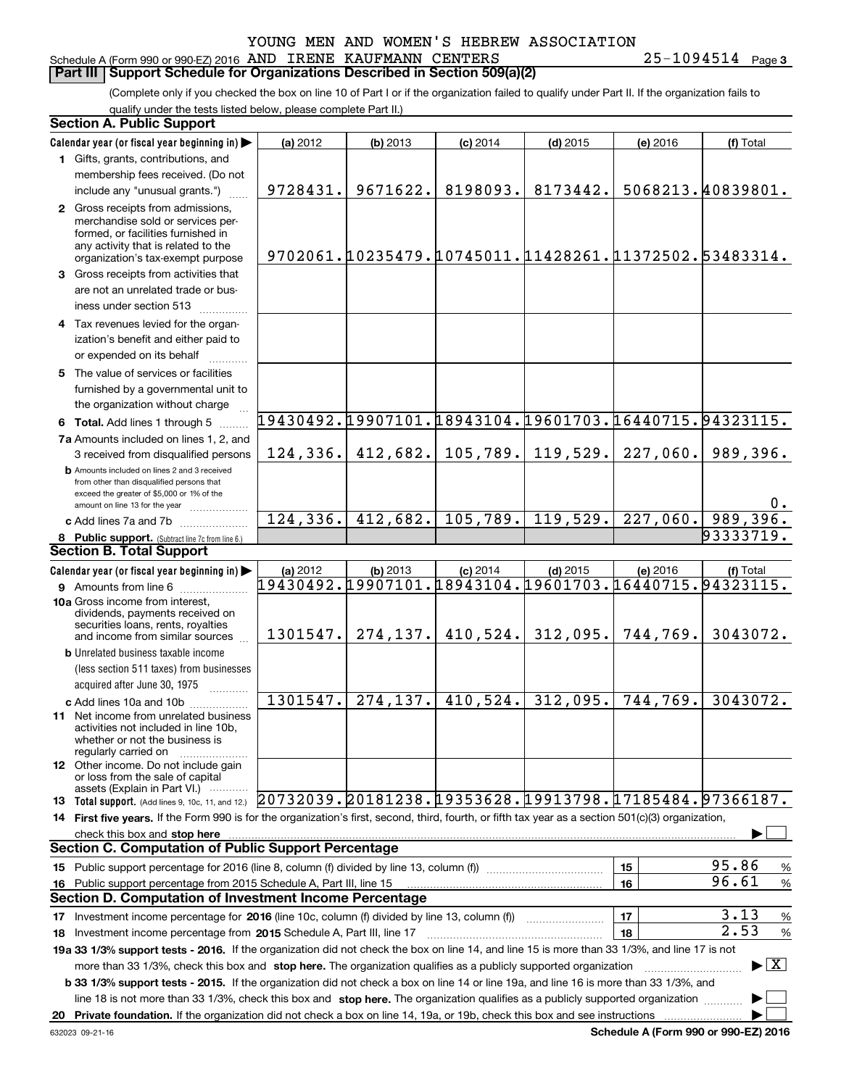#### Schedule A (Form 990 or 990-EZ) 2016 Page AND IRENE KAUFMANN CENTERS 25-1094514 **Part III Support Schedule for Organizations Described in Section 509(a)(2)**

**3**

(Complete only if you checked the box on line 10 of Part I or if the organization failed to qualify under Part II. If the organization fails to qualify under the tests listed below, please complete Part II.)

| <b>Section A. Public Support</b>                                                                                                                    |                                                        |            |            |                       |                                                          |                                          |
|-----------------------------------------------------------------------------------------------------------------------------------------------------|--------------------------------------------------------|------------|------------|-----------------------|----------------------------------------------------------|------------------------------------------|
| Calendar year (or fiscal year beginning in)                                                                                                         | (a) 2012                                               | (b) 2013   | $(c)$ 2014 | $(d)$ 2015            | (e) 2016                                                 | (f) Total                                |
| 1 Gifts, grants, contributions, and                                                                                                                 |                                                        |            |            |                       |                                                          |                                          |
| membership fees received. (Do not                                                                                                                   |                                                        |            |            |                       |                                                          |                                          |
| include any "unusual grants.")                                                                                                                      | 9728431.                                               | 9671622.   | 8198093.   | 8173442.              |                                                          | 5068213.40839801.                        |
| 2 Gross receipts from admissions,                                                                                                                   |                                                        |            |            |                       |                                                          |                                          |
| merchandise sold or services per-                                                                                                                   |                                                        |            |            |                       |                                                          |                                          |
| formed, or facilities furnished in<br>any activity that is related to the                                                                           |                                                        |            |            |                       |                                                          |                                          |
| organization's tax-exempt purpose                                                                                                                   |                                                        |            |            |                       | 9702061. 0235479. 0745011. 01428261. 01372502. 53483314. |                                          |
| 3 Gross receipts from activities that                                                                                                               |                                                        |            |            |                       |                                                          |                                          |
| are not an unrelated trade or bus-                                                                                                                  |                                                        |            |            |                       |                                                          |                                          |
| iness under section 513                                                                                                                             |                                                        |            |            |                       |                                                          |                                          |
| 4 Tax revenues levied for the organ-                                                                                                                |                                                        |            |            |                       |                                                          |                                          |
| ization's benefit and either paid to                                                                                                                |                                                        |            |            |                       |                                                          |                                          |
| or expended on its behalf                                                                                                                           |                                                        |            |            |                       |                                                          |                                          |
| 5 The value of services or facilities                                                                                                               |                                                        |            |            |                       |                                                          |                                          |
| furnished by a governmental unit to                                                                                                                 |                                                        |            |            |                       |                                                          |                                          |
| the organization without charge                                                                                                                     |                                                        |            |            |                       |                                                          |                                          |
| 6 Total. Add lines 1 through 5                                                                                                                      | 19430492.19907101.18943104.19601703.16440715.94323115. |            |            |                       |                                                          |                                          |
| 7a Amounts included on lines 1, 2, and                                                                                                              |                                                        |            |            |                       |                                                          |                                          |
| 3 received from disqualified persons                                                                                                                | 124, 336.                                              | 412,682.   |            | $105, 789.$ 119, 529. | 227,060.                                                 | 989,396.                                 |
| <b>b</b> Amounts included on lines 2 and 3 received                                                                                                 |                                                        |            |            |                       |                                                          |                                          |
| from other than disqualified persons that                                                                                                           |                                                        |            |            |                       |                                                          |                                          |
| exceed the greater of \$5,000 or 1% of the<br>amount on line 13 for the year                                                                        |                                                        |            |            |                       |                                                          | $0$ .                                    |
| c Add lines 7a and 7b                                                                                                                               | 124, 336.                                              | 412,682.   |            | $105, 789.$ 119, 529. | 227,060.                                                 | 989,396.                                 |
| 8 Public support. (Subtract line 7c from line 6.)                                                                                                   |                                                        |            |            |                       |                                                          | 93333719.                                |
| <b>Section B. Total Support</b>                                                                                                                     |                                                        |            |            |                       |                                                          |                                          |
| Calendar year (or fiscal year beginning in)                                                                                                         | (a) 2012                                               | $(b)$ 2013 | $(c)$ 2014 | $(d)$ 2015            | (e) 2016                                                 | (f) Total                                |
| <b>9</b> Amounts from line 6                                                                                                                        | 19430492.19907101.18943104.19601703.16440715.94323115. |            |            |                       |                                                          |                                          |
| 10a Gross income from interest,                                                                                                                     |                                                        |            |            |                       |                                                          |                                          |
| dividends, payments received on                                                                                                                     |                                                        |            |            |                       |                                                          |                                          |
| securities loans, rents, royalties<br>and income from similar sources                                                                               | 1301547.                                               | 274, 137.  | 410,524.   | 312,095.              | 744,769.                                                 | 3043072.                                 |
| <b>b</b> Unrelated business taxable income                                                                                                          |                                                        |            |            |                       |                                                          |                                          |
| (less section 511 taxes) from businesses                                                                                                            |                                                        |            |            |                       |                                                          |                                          |
| acquired after June 30, 1975                                                                                                                        |                                                        |            |            |                       |                                                          |                                          |
| c Add lines 10a and 10b                                                                                                                             | 1301547.                                               | 274, 137.  | 410,524.   | 312,095.              | 744,769.                                                 | 3043072.                                 |
| 11 Net income from unrelated business                                                                                                               |                                                        |            |            |                       |                                                          |                                          |
| activities not included in line 10b,                                                                                                                |                                                        |            |            |                       |                                                          |                                          |
| whether or not the business is<br>regularly carried on                                                                                              |                                                        |            |            |                       |                                                          |                                          |
| 12 Other income. Do not include gain                                                                                                                |                                                        |            |            |                       |                                                          |                                          |
| or loss from the sale of capital                                                                                                                    |                                                        |            |            |                       |                                                          |                                          |
| assets (Explain in Part VI.)<br>13 Total support. (Add lines 9, 10c, 11, and 12.) 20732039. 20181238. 19353628. 19913798. 17185484. 97366187.       |                                                        |            |            |                       |                                                          |                                          |
| 14 First five years. If the Form 990 is for the organization's first, second, third, fourth, or fifth tax year as a section 501(c)(3) organization, |                                                        |            |            |                       |                                                          |                                          |
| check this box and stop here                                                                                                                        |                                                        |            |            |                       |                                                          |                                          |
| <b>Section C. Computation of Public Support Percentage</b>                                                                                          |                                                        |            |            |                       |                                                          |                                          |
| 15 Public support percentage for 2016 (line 8, column (f) divided by line 13, column (f))                                                           |                                                        |            |            |                       | 15                                                       | 95.86<br>%                               |
| 16 Public support percentage from 2015 Schedule A, Part III, line 15                                                                                |                                                        |            |            |                       | 16                                                       | 96.61<br>$\%$                            |
| Section D. Computation of Investment Income Percentage                                                                                              |                                                        |            |            |                       |                                                          |                                          |
| 17 Investment income percentage for 2016 (line 10c, column (f) divided by line 13, column (f))                                                      |                                                        |            |            |                       | 17                                                       | 3.13<br>$\%$                             |
| 18 Investment income percentage from 2015 Schedule A, Part III, line 17                                                                             |                                                        |            |            |                       | 18                                                       | 2.53<br>%                                |
| 19a 33 1/3% support tests - 2016. If the organization did not check the box on line 14, and line 15 is more than 33 1/3%, and line 17 is not        |                                                        |            |            |                       |                                                          |                                          |
| more than 33 1/3%, check this box and stop here. The organization qualifies as a publicly supported organization                                    |                                                        |            |            |                       |                                                          | $\blacktriangleright$ $\boxed{\text{X}}$ |
| <b>b 33 1/3% support tests - 2015.</b> If the organization did not check a box on line 14 or line 19a, and line 16 is more than 33 1/3%, and        |                                                        |            |            |                       |                                                          |                                          |
| line 18 is not more than 33 1/3%, check this box and stop here. The organization qualifies as a publicly supported organization                     |                                                        |            |            |                       |                                                          |                                          |
|                                                                                                                                                     |                                                        |            |            |                       |                                                          |                                          |
|                                                                                                                                                     |                                                        |            |            |                       |                                                          |                                          |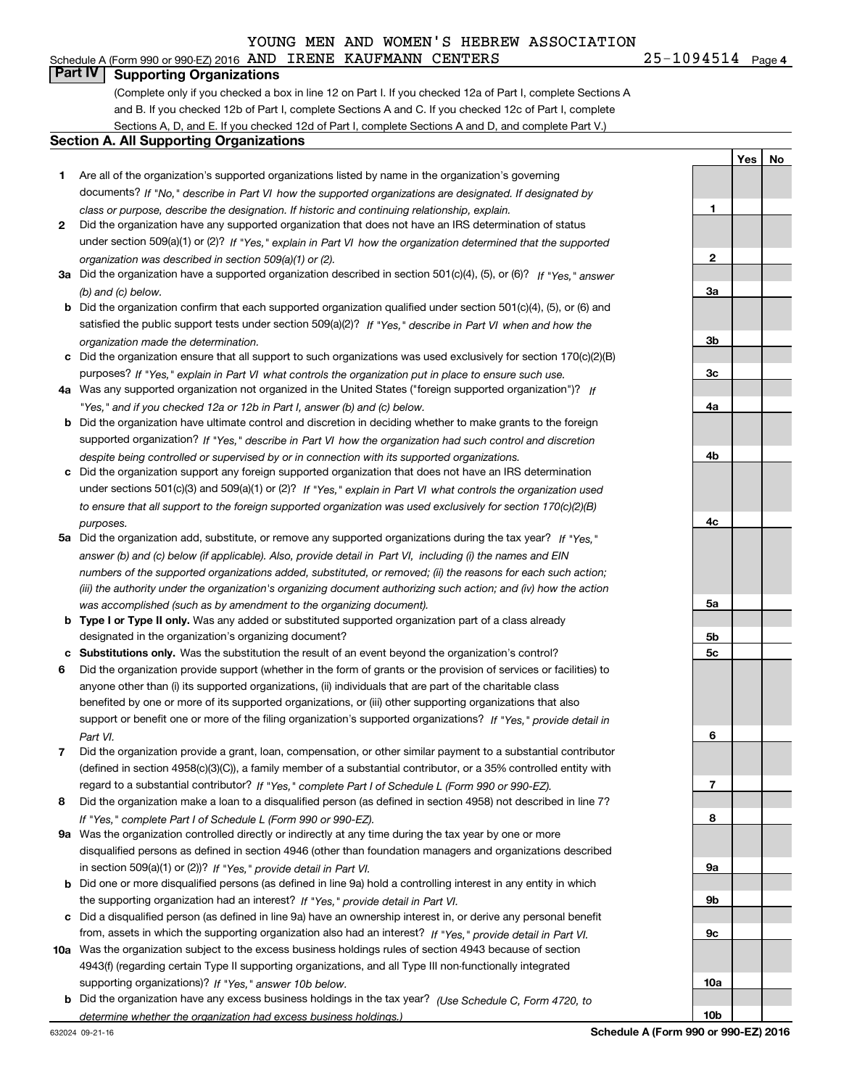# Schedule A (Form 990 or 990-EZ) 2016 Page AND IRENE KAUFMANN CENTERS 25-1094514

25-1094514 Page 4

**1**

**2**

**3a**

**Yes**

**No**

### **Part IV Supporting Organizations**

(Complete only if you checked a box in line 12 on Part I. If you checked 12a of Part I, complete Sections A and B. If you checked 12b of Part I, complete Sections A and C. If you checked 12c of Part I, complete Sections A, D, and E. If you checked 12d of Part I, complete Sections A and D, and complete Part V.)

#### **Section A. All Supporting Organizations**

- **1** Are all of the organization's supported organizations listed by name in the organization's governing documents? If "No," describe in Part VI how the supported organizations are designated. If designated by *class or purpose, describe the designation. If historic and continuing relationship, explain.*
- **2** Did the organization have any supported organization that does not have an IRS determination of status under section 509(a)(1) or (2)? If "Yes," explain in Part VI how the organization determined that the supported *organization was described in section 509(a)(1) or (2).*
- **3a** Did the organization have a supported organization described in section 501(c)(4), (5), or (6)? If "Yes," answer *(b) and (c) below.*
- **b** Did the organization confirm that each supported organization qualified under section 501(c)(4), (5), or (6) and satisfied the public support tests under section 509(a)(2)? If "Yes," describe in Part VI when and how the *organization made the determination.*
- **c**Did the organization ensure that all support to such organizations was used exclusively for section 170(c)(2)(B) purposes? If "Yes," explain in Part VI what controls the organization put in place to ensure such use.
- **4a***If* Was any supported organization not organized in the United States ("foreign supported organization")? *"Yes," and if you checked 12a or 12b in Part I, answer (b) and (c) below.*
- **b** Did the organization have ultimate control and discretion in deciding whether to make grants to the foreign supported organization? If "Yes," describe in Part VI how the organization had such control and discretion *despite being controlled or supervised by or in connection with its supported organizations.*
- **c** Did the organization support any foreign supported organization that does not have an IRS determination under sections 501(c)(3) and 509(a)(1) or (2)? If "Yes," explain in Part VI what controls the organization used *to ensure that all support to the foreign supported organization was used exclusively for section 170(c)(2)(B) purposes.*
- **5a***If "Yes,"* Did the organization add, substitute, or remove any supported organizations during the tax year? answer (b) and (c) below (if applicable). Also, provide detail in Part VI, including (i) the names and EIN *numbers of the supported organizations added, substituted, or removed; (ii) the reasons for each such action; (iii) the authority under the organization's organizing document authorizing such action; and (iv) how the action was accomplished (such as by amendment to the organizing document).*
- **b** Type I or Type II only. Was any added or substituted supported organization part of a class already designated in the organization's organizing document?
- **cSubstitutions only.**  Was the substitution the result of an event beyond the organization's control?
- **6** Did the organization provide support (whether in the form of grants or the provision of services or facilities) to *If "Yes," provide detail in* support or benefit one or more of the filing organization's supported organizations? anyone other than (i) its supported organizations, (ii) individuals that are part of the charitable class benefited by one or more of its supported organizations, or (iii) other supporting organizations that also *Part VI.*
- **7**Did the organization provide a grant, loan, compensation, or other similar payment to a substantial contributor *If "Yes," complete Part I of Schedule L (Form 990 or 990-EZ).* regard to a substantial contributor? (defined in section 4958(c)(3)(C)), a family member of a substantial contributor, or a 35% controlled entity with
- **8** Did the organization make a loan to a disqualified person (as defined in section 4958) not described in line 7? *If "Yes," complete Part I of Schedule L (Form 990 or 990-EZ).*
- **9a** Was the organization controlled directly or indirectly at any time during the tax year by one or more in section 509(a)(1) or (2))? If "Yes," *provide detail in Part VI.* disqualified persons as defined in section 4946 (other than foundation managers and organizations described
- **b** Did one or more disqualified persons (as defined in line 9a) hold a controlling interest in any entity in which the supporting organization had an interest? If "Yes," provide detail in Part VI.
- **c**Did a disqualified person (as defined in line 9a) have an ownership interest in, or derive any personal benefit from, assets in which the supporting organization also had an interest? If "Yes," provide detail in Part VI.
- **10a** Was the organization subject to the excess business holdings rules of section 4943 because of section supporting organizations)? If "Yes," answer 10b below. 4943(f) (regarding certain Type II supporting organizations, and all Type III non-functionally integrated
- **b** Did the organization have any excess business holdings in the tax year? (Use Schedule C, Form 4720, to *determine whether the organization had excess business holdings.)*

**10b**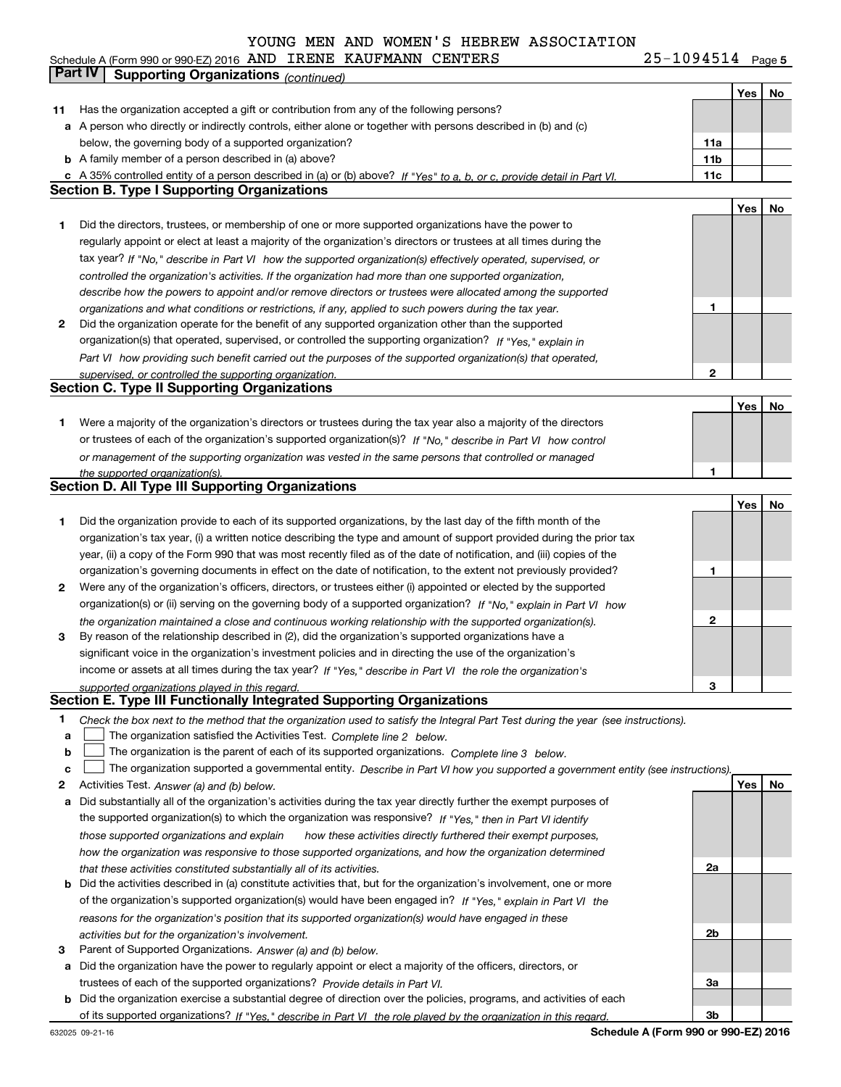#### **Yes No 11** Has the organization accepted a gift or contribution from any of the following persons? **a** A person who directly or indirectly controls, either alone or together with persons described in (b) and (c) **b** A family member of a person described in (a) above? **c** A 35% controlled entity of a person described in (a) or (b) above? If "Yes" to a, b, or c, provide detail in Part VI. **11a11b11cYes No 1** Did the directors, trustees, or membership of one or more supported organizations have the power to **2** Did the organization operate for the benefit of any supported organization other than the supported **12Yes No 1** Were a majority of the organization's directors or trustees during the tax year also a majority of the directors **1Yes No 12** Were any of the organization's officers, directors, or trustees either (i) appointed or elected by the supported **312312**Activities Test.  *Answer (a) and (b) below.* **abcYes No** tax year? If "No," describe in Part VI how the supported organization(s) effectively operated, supervised, or *controlled the organization's activities. If the organization had more than one supported organization, describe how the powers to appoint and/or remove directors or trustees were allocated among the supported organizations and what conditions or restrictions, if any, applied to such powers during the tax year. If "Yes," explain in* organization(s) that operated, supervised, or controlled the supporting organization?  *how providing such benefit carried out the purposes of the supported organization(s) that operated, Part VI supervised, or controlled the supporting organization.* or trustees of each of the organization's supported organization(s)? If "No," describe in Part VI how control *or management of the supporting organization was vested in the same persons that controlled or managed the supported organization(s).* organization(s) or (ii) serving on the governing body of a supported organization? If "No," explain in Part VI how *the organization maintained a close and continuous working relationship with the supported organization(s).* income or assets at all times during the tax year? If "Yes," describe in Part VI the role the organization's *supported organizations played in this regard.* Check the box next to the method that the organization used to satisfy the Integral Part Test during the year (see instructions). The organization satisfied the Activities Test. Complete line 2 below. The organization is the parent of each of its supported organizations. *Complete line 3 below.* The organization supported a governmental entity. *Describe in Part VI how you supported a government entity (see instructions)*. Schedule A (Form 990 or 990-EZ) 2016 Page AND IRENE KAUFMANN CENTERS 25-1094514 below, the governing body of a supported organization? regularly appoint or elect at least a majority of the organization's directors or trustees at all times during the Did the organization provide to each of its supported organizations, by the last day of the fifth month of the organization's tax year, (i) a written notice describing the type and amount of support provided during the prior tax year, (ii) a copy of the Form 990 that was most recently filed as of the date of notification, and (iii) copies of the organization's governing documents in effect on the date of notification, to the extent not previously provided? By reason of the relationship described in (2), did the organization's supported organizations have a significant voice in the organization's investment policies and in directing the use of the organization's **Part IV Supporting Organizations** *(continued)* **Section B. Type I Supporting Organizations Section C. Type II Supporting Organizations Section D. All Type III Supporting Organizations Section E. Type III Functionally Integrated Supporting Organizations**  $\mathcal{L}^{\text{max}}$  $\mathcal{L}^{\text{max}}$

- **a** Did substantially all of the organization's activities during the tax year directly further the exempt purposes of **b** Did the activities described in (a) constitute activities that, but for the organization's involvement, one or more the supported organization(s) to which the organization was responsive? If "Yes," then in Part VI identify  *how these activities directly furthered their exempt purposes, how the organization was responsive to those supported organizations, and how the organization determined that these activities constituted substantially all of its activities.* of the organization's supported organization(s) would have been engaged in? If "Yes," explain in Part VI the *reasons for the organization's position that its supported organization(s) would have engaged in these those supported organizations and explain*
- *activities but for the organization's involvement.*
- **3**Parent of Supported Organizations. *Answer (a) and (b) below.*
- **a** Did the organization have the power to regularly appoint or elect a majority of the officers, directors, or *Provide details in* trustees of each of the supported organizations? *Part VI.*
- **b** Did the organization exercise a substantial degree of direction over the policies, programs, and activities of each of its supported organizations? If "Yes," describe in Part VI the role played by the organization in this regard.

**Schedule A (Form 990 or 990-EZ) 2016**

**2a**

**2b**

**3a**

**3b**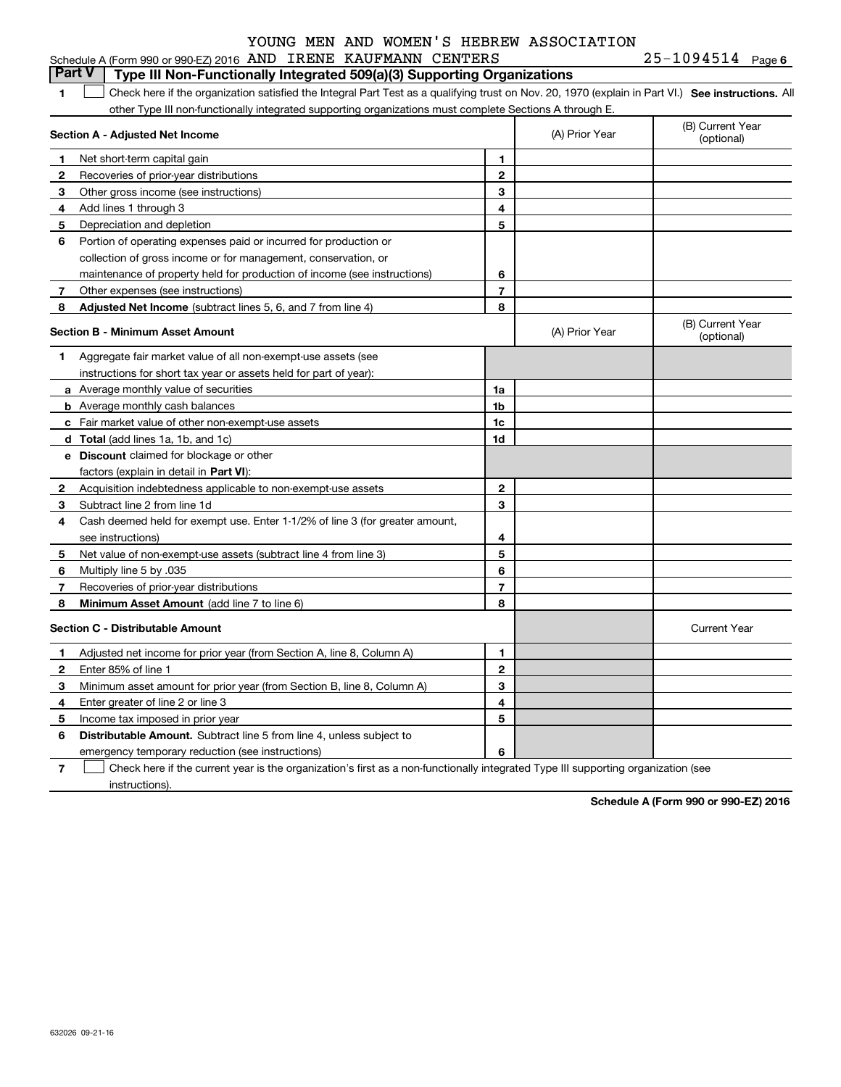|                | Schedule A (Form 990 or 990-EZ) 2016 AND IRENE KAUFMANN CENTERS                                                                                   |                |                | $25 - 1094514$ Page 6          |
|----------------|---------------------------------------------------------------------------------------------------------------------------------------------------|----------------|----------------|--------------------------------|
|                | <b>Part V</b><br>Type III Non-Functionally Integrated 509(a)(3) Supporting Organizations                                                          |                |                |                                |
| 1              | Check here if the organization satisfied the Integral Part Test as a qualifying trust on Nov. 20, 1970 (explain in Part VI.) See instructions. Al |                |                |                                |
|                | other Type III non-functionally integrated supporting organizations must complete Sections A through E.                                           |                |                |                                |
|                | Section A - Adjusted Net Income                                                                                                                   |                | (A) Prior Year | (B) Current Year<br>(optional) |
| -1             | Net short-term capital gain                                                                                                                       | 1              |                |                                |
| $\mathbf{2}$   | Recoveries of prior-year distributions                                                                                                            | $\mathbf{2}$   |                |                                |
| 3              | Other gross income (see instructions)                                                                                                             | 3              |                |                                |
| 4              | Add lines 1 through 3                                                                                                                             | 4              |                |                                |
| 5              | Depreciation and depletion                                                                                                                        | 5              |                |                                |
| 6              | Portion of operating expenses paid or incurred for production or                                                                                  |                |                |                                |
|                | collection of gross income or for management, conservation, or                                                                                    |                |                |                                |
|                | maintenance of property held for production of income (see instructions)                                                                          | 6              |                |                                |
| 7              | Other expenses (see instructions)                                                                                                                 | $\overline{7}$ |                |                                |
| 8              | Adjusted Net Income (subtract lines 5, 6, and 7 from line 4)                                                                                      | 8              |                |                                |
|                | <b>Section B - Minimum Asset Amount</b>                                                                                                           |                | (A) Prior Year | (B) Current Year<br>(optional) |
| 1              | Aggregate fair market value of all non-exempt-use assets (see                                                                                     |                |                |                                |
|                | instructions for short tax year or assets held for part of year):                                                                                 |                |                |                                |
|                | <b>a</b> Average monthly value of securities                                                                                                      | 1a             |                |                                |
|                | <b>b</b> Average monthly cash balances                                                                                                            | 1 <sub>b</sub> |                |                                |
|                | c Fair market value of other non-exempt-use assets                                                                                                | 1c             |                |                                |
|                | d Total (add lines 1a, 1b, and 1c)                                                                                                                | 1d             |                |                                |
|                | e Discount claimed for blockage or other                                                                                                          |                |                |                                |
|                | factors (explain in detail in Part VI):                                                                                                           |                |                |                                |
| $\overline{2}$ | Acquisition indebtedness applicable to non-exempt-use assets                                                                                      | $\mathbf{2}$   |                |                                |
| 3              | Subtract line 2 from line 1d                                                                                                                      | 3              |                |                                |
| 4              | Cash deemed held for exempt use. Enter 1-1/2% of line 3 (for greater amount,                                                                      |                |                |                                |
|                | see instructions)                                                                                                                                 | 4              |                |                                |
| 5              | Net value of non-exempt-use assets (subtract line 4 from line 3)                                                                                  | 5              |                |                                |
| 6              | Multiply line 5 by .035                                                                                                                           | 6              |                |                                |
| 7              | Recoveries of prior-year distributions                                                                                                            | 7              |                |                                |
| 8              | <b>Minimum Asset Amount</b> (add line 7 to line 6)                                                                                                | 8              |                |                                |
|                | <b>Section C - Distributable Amount</b>                                                                                                           |                |                | <b>Current Year</b>            |
| 1              | Adjusted net income for prior year (from Section A, line 8, Column A)                                                                             | 1              |                |                                |
| $\mathbf{2}$   | Enter 85% of line 1                                                                                                                               | $\mathbf{2}$   |                |                                |
| 3              | Minimum asset amount for prior year (from Section B, line 8, Column A)                                                                            | 3              |                |                                |
| 4              | Enter greater of line 2 or line 3                                                                                                                 | 4              |                |                                |
| 5              | Income tax imposed in prior year                                                                                                                  | 5              |                |                                |
| 6              | <b>Distributable Amount.</b> Subtract line 5 from line 4, unless subject to                                                                       |                |                |                                |

emergency temporary reduction (see instructions)

**7**Check here if the current year is the organization's first as a non-functionally integrated Type III supporting organization (see instructions).

**6**

**Schedule A (Form 990 or 990-EZ) 2016**

|  | AND IRENE KAUFMANN CENTERS | $25 - 1094514$ Page 6 |  |
|--|----------------------------|-----------------------|--|
|  |                            |                       |  |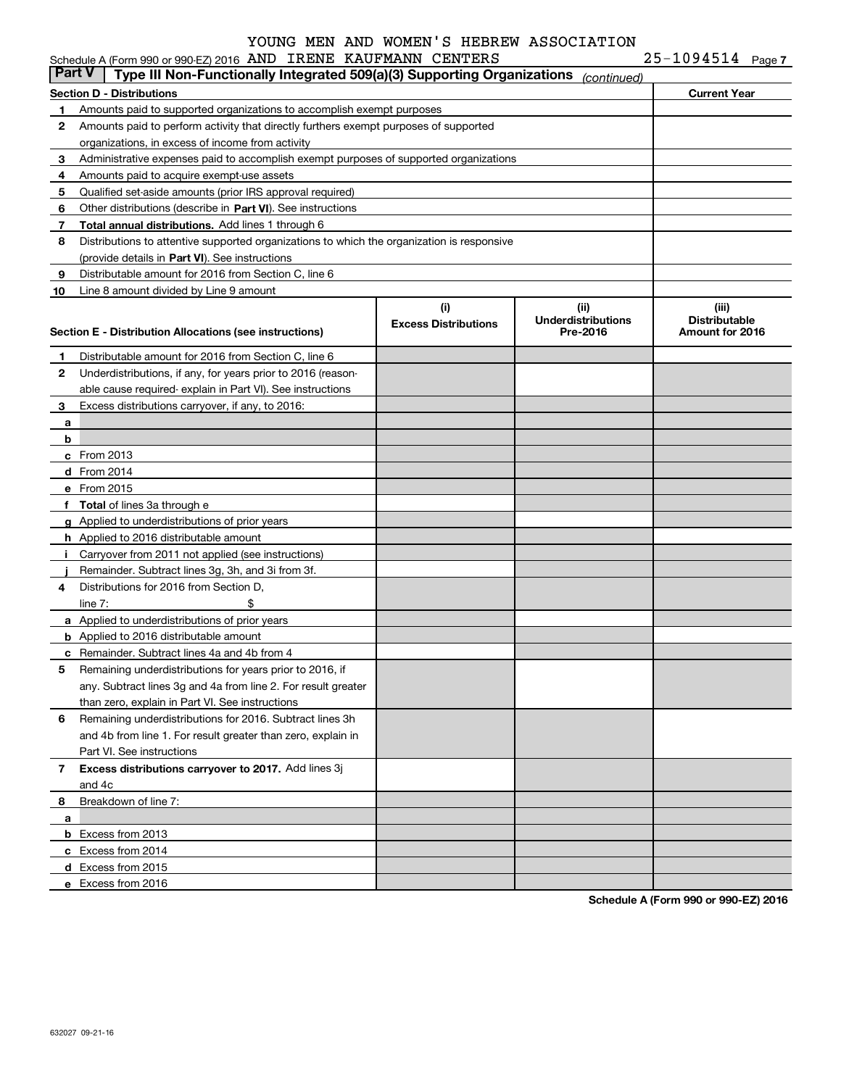| <b>Part V</b> | Schedule A (Form 990 or 990-EZ) 2016 AND IRENE KAUFMANN CENTERS<br>Type III Non-Functionally Integrated 509(a)(3) Supporting Organizations |                             |                                   | $25 - 1094514$ Page 7         |
|---------------|--------------------------------------------------------------------------------------------------------------------------------------------|-----------------------------|-----------------------------------|-------------------------------|
|               |                                                                                                                                            |                             | (continued)                       |                               |
|               | <b>Section D - Distributions</b>                                                                                                           |                             |                                   | <b>Current Year</b>           |
| 1             | Amounts paid to supported organizations to accomplish exempt purposes                                                                      |                             |                                   |                               |
| 2             | Amounts paid to perform activity that directly furthers exempt purposes of supported                                                       |                             |                                   |                               |
|               | organizations, in excess of income from activity                                                                                           |                             |                                   |                               |
| 3             | Administrative expenses paid to accomplish exempt purposes of supported organizations                                                      |                             |                                   |                               |
| 4             | Amounts paid to acquire exempt-use assets                                                                                                  |                             |                                   |                               |
| 5             | Qualified set-aside amounts (prior IRS approval required)                                                                                  |                             |                                   |                               |
| 6             | Other distributions (describe in Part VI). See instructions                                                                                |                             |                                   |                               |
| 7             | Total annual distributions. Add lines 1 through 6                                                                                          |                             |                                   |                               |
| 8             | Distributions to attentive supported organizations to which the organization is responsive                                                 |                             |                                   |                               |
|               | (provide details in Part VI). See instructions                                                                                             |                             |                                   |                               |
| 9             | Distributable amount for 2016 from Section C, line 6                                                                                       |                             |                                   |                               |
| 10            | Line 8 amount divided by Line 9 amount                                                                                                     |                             |                                   |                               |
|               |                                                                                                                                            | (i)                         | (ii)<br><b>Underdistributions</b> | (iii)<br><b>Distributable</b> |
|               | Section E - Distribution Allocations (see instructions)                                                                                    | <b>Excess Distributions</b> | Pre-2016                          | Amount for 2016               |
|               | Distributable amount for 2016 from Section C, line 6                                                                                       |                             |                                   |                               |
| 1<br>2        | Underdistributions, if any, for years prior to 2016 (reason-                                                                               |                             |                                   |                               |
|               | able cause required- explain in Part VI). See instructions                                                                                 |                             |                                   |                               |
| 3             | Excess distributions carryover, if any, to 2016:                                                                                           |                             |                                   |                               |
|               |                                                                                                                                            |                             |                                   |                               |
| a<br>b        |                                                                                                                                            |                             |                                   |                               |
|               | c From 2013                                                                                                                                |                             |                                   |                               |
|               | d From 2014                                                                                                                                |                             |                                   |                               |
|               | e From 2015                                                                                                                                |                             |                                   |                               |
|               | f Total of lines 3a through e                                                                                                              |                             |                                   |                               |
|               |                                                                                                                                            |                             |                                   |                               |
|               | g Applied to underdistributions of prior years                                                                                             |                             |                                   |                               |
|               | <b>h</b> Applied to 2016 distributable amount                                                                                              |                             |                                   |                               |
|               | Carryover from 2011 not applied (see instructions)<br>Remainder. Subtract lines 3g, 3h, and 3i from 3f.                                    |                             |                                   |                               |
| 4             | Distributions for 2016 from Section D.                                                                                                     |                             |                                   |                               |
|               | line $7:$<br>\$                                                                                                                            |                             |                                   |                               |
|               | a Applied to underdistributions of prior years                                                                                             |                             |                                   |                               |
|               | <b>b</b> Applied to 2016 distributable amount                                                                                              |                             |                                   |                               |
|               |                                                                                                                                            |                             |                                   |                               |
|               | <b>c</b> Remainder. Subtract lines 4a and 4b from 4<br>Remaining underdistributions for years prior to 2016, if                            |                             |                                   |                               |
|               | any. Subtract lines 3g and 4a from line 2. For result greater                                                                              |                             |                                   |                               |
|               | than zero, explain in Part VI. See instructions                                                                                            |                             |                                   |                               |
| 6             | Remaining underdistributions for 2016. Subtract lines 3h                                                                                   |                             |                                   |                               |
|               | and 4b from line 1. For result greater than zero, explain in                                                                               |                             |                                   |                               |
|               | Part VI. See instructions                                                                                                                  |                             |                                   |                               |
| 7             | Excess distributions carryover to 2017. Add lines 3j                                                                                       |                             |                                   |                               |
|               | and 4c                                                                                                                                     |                             |                                   |                               |
| 8             | Breakdown of line 7:                                                                                                                       |                             |                                   |                               |
| a             |                                                                                                                                            |                             |                                   |                               |
|               | <b>b</b> Excess from 2013                                                                                                                  |                             |                                   |                               |
|               | c Excess from 2014                                                                                                                         |                             |                                   |                               |
|               | <b>d</b> Excess from 2015                                                                                                                  |                             |                                   |                               |
|               | e Excess from 2016                                                                                                                         |                             |                                   |                               |
|               |                                                                                                                                            |                             |                                   |                               |

**Schedule A (Form 990 or 990-EZ) 2016**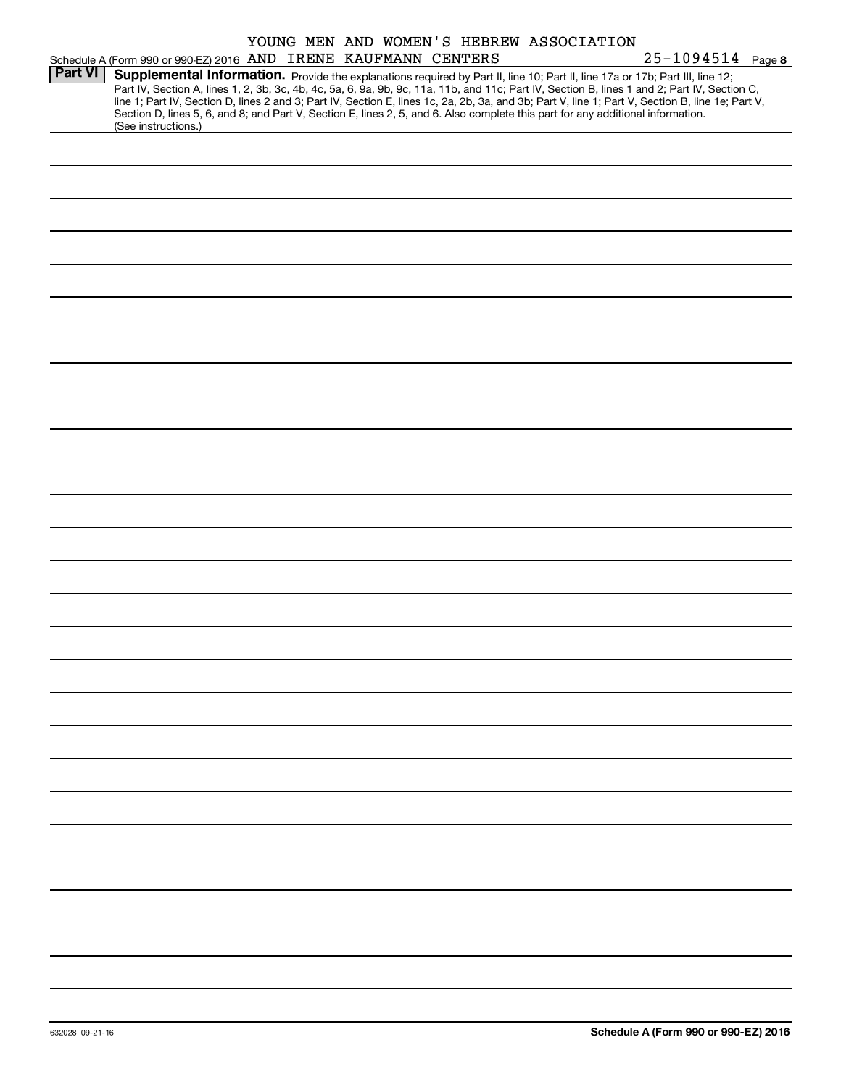|                |                                                                                                                                                  |  | YOUNG MEN AND WOMEN'S HEBREW ASSOCIATION |                   |  |
|----------------|--------------------------------------------------------------------------------------------------------------------------------------------------|--|------------------------------------------|-------------------|--|
|                | Schedule A (Form 990 or 990-EZ) 2016 AND IRENE KAUFMANN CENTERS                                                                                  |  |                                          | 25-1094514 Page 8 |  |
| <b>Part VI</b> | Supplemental Information. Provide the explanations required by Part II, line 10; Part II, line 17a or 17b; Part III, line 12;                    |  |                                          |                   |  |
|                | Part IV, Section A, lines 1, 2, 3b, 3c, 4b, 4c, 5a, 6, 9a, 9b, 9c, 11a, 11b, and 11c; Part IV, Section B, lines 1 and 2; Part IV, Section C,     |  |                                          |                   |  |
|                | line 1; Part IV, Section D, lines 2 and 3; Part IV, Section E, lines 1c, 2a, 2b, 3a, and 3b; Part V, line 1; Part V, Section B, line 1e; Part V, |  |                                          |                   |  |
|                | Section D, lines 5, 6, and 8; and Part V, Section E, lines 2, 5, and 6. Also complete this part for any additional information.                  |  |                                          |                   |  |
|                | (See instructions.)                                                                                                                              |  |                                          |                   |  |
|                |                                                                                                                                                  |  |                                          |                   |  |
|                |                                                                                                                                                  |  |                                          |                   |  |
|                |                                                                                                                                                  |  |                                          |                   |  |
|                |                                                                                                                                                  |  |                                          |                   |  |
|                |                                                                                                                                                  |  |                                          |                   |  |
|                |                                                                                                                                                  |  |                                          |                   |  |
|                |                                                                                                                                                  |  |                                          |                   |  |
|                |                                                                                                                                                  |  |                                          |                   |  |
|                |                                                                                                                                                  |  |                                          |                   |  |
|                |                                                                                                                                                  |  |                                          |                   |  |
|                |                                                                                                                                                  |  |                                          |                   |  |
|                |                                                                                                                                                  |  |                                          |                   |  |
|                |                                                                                                                                                  |  |                                          |                   |  |
|                |                                                                                                                                                  |  |                                          |                   |  |
|                |                                                                                                                                                  |  |                                          |                   |  |
|                |                                                                                                                                                  |  |                                          |                   |  |
|                |                                                                                                                                                  |  |                                          |                   |  |
|                |                                                                                                                                                  |  |                                          |                   |  |
|                |                                                                                                                                                  |  |                                          |                   |  |
|                |                                                                                                                                                  |  |                                          |                   |  |
|                |                                                                                                                                                  |  |                                          |                   |  |
|                |                                                                                                                                                  |  |                                          |                   |  |
|                |                                                                                                                                                  |  |                                          |                   |  |
|                |                                                                                                                                                  |  |                                          |                   |  |
|                |                                                                                                                                                  |  |                                          |                   |  |
|                |                                                                                                                                                  |  |                                          |                   |  |
|                |                                                                                                                                                  |  |                                          |                   |  |
|                |                                                                                                                                                  |  |                                          |                   |  |
|                |                                                                                                                                                  |  |                                          |                   |  |
|                |                                                                                                                                                  |  |                                          |                   |  |
|                |                                                                                                                                                  |  |                                          |                   |  |
|                |                                                                                                                                                  |  |                                          |                   |  |
|                |                                                                                                                                                  |  |                                          |                   |  |
|                |                                                                                                                                                  |  |                                          |                   |  |
|                |                                                                                                                                                  |  |                                          |                   |  |
|                |                                                                                                                                                  |  |                                          |                   |  |
|                |                                                                                                                                                  |  |                                          |                   |  |
|                |                                                                                                                                                  |  |                                          |                   |  |
|                |                                                                                                                                                  |  |                                          |                   |  |
|                |                                                                                                                                                  |  |                                          |                   |  |
|                |                                                                                                                                                  |  |                                          |                   |  |
|                |                                                                                                                                                  |  |                                          |                   |  |
|                |                                                                                                                                                  |  |                                          |                   |  |
|                |                                                                                                                                                  |  |                                          |                   |  |
|                |                                                                                                                                                  |  |                                          |                   |  |
|                |                                                                                                                                                  |  |                                          |                   |  |
|                |                                                                                                                                                  |  |                                          |                   |  |
|                |                                                                                                                                                  |  |                                          |                   |  |
|                |                                                                                                                                                  |  |                                          |                   |  |
|                |                                                                                                                                                  |  |                                          |                   |  |
|                |                                                                                                                                                  |  |                                          |                   |  |
|                |                                                                                                                                                  |  |                                          |                   |  |
|                |                                                                                                                                                  |  |                                          |                   |  |
|                |                                                                                                                                                  |  |                                          |                   |  |
|                |                                                                                                                                                  |  |                                          |                   |  |
|                |                                                                                                                                                  |  |                                          |                   |  |
|                |                                                                                                                                                  |  |                                          |                   |  |
|                |                                                                                                                                                  |  |                                          |                   |  |
|                |                                                                                                                                                  |  |                                          |                   |  |
|                |                                                                                                                                                  |  |                                          |                   |  |
|                |                                                                                                                                                  |  |                                          |                   |  |
|                |                                                                                                                                                  |  |                                          |                   |  |
|                |                                                                                                                                                  |  |                                          |                   |  |
|                |                                                                                                                                                  |  |                                          |                   |  |
|                |                                                                                                                                                  |  |                                          |                   |  |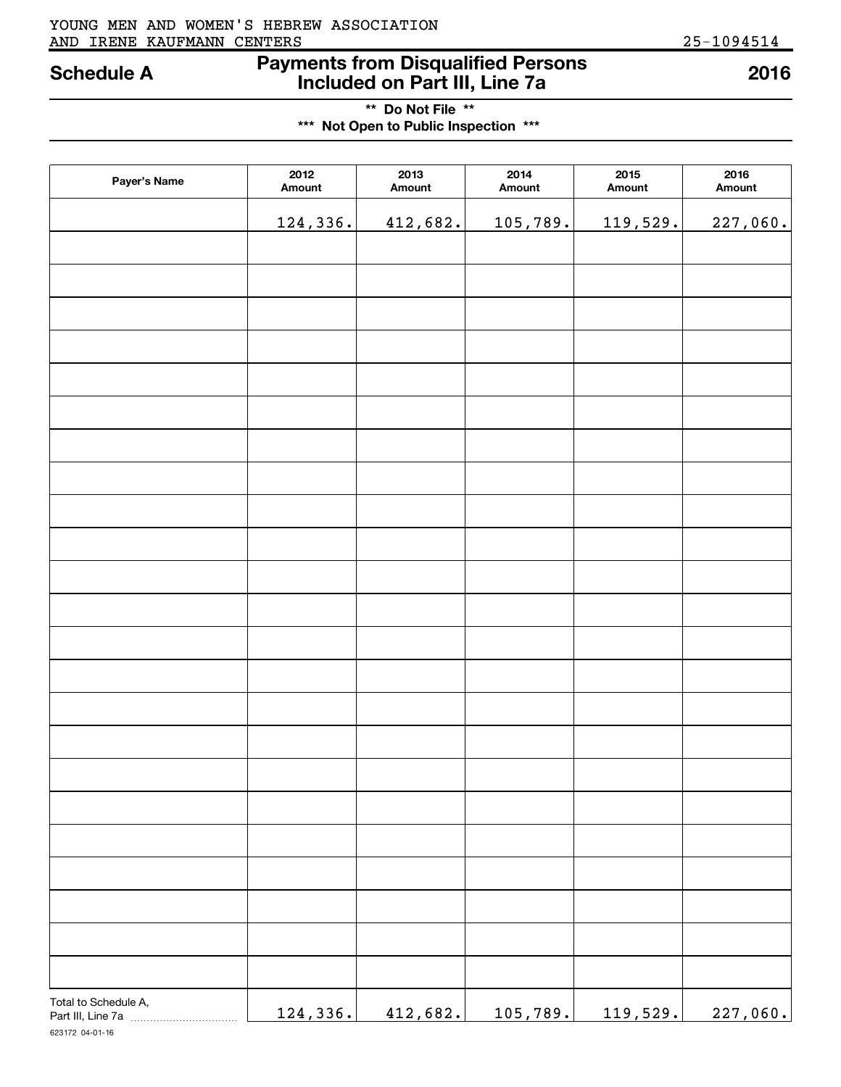# AND IRENE KAUFMANN CENTERS 25-1094514 YOUNG MEN AND WOMEN'S HEBREW ASSOCIATION

# **Payments from Disqualified Persons Included on Part III, Line 7a Schedule A 2016**

**\*\* Do Not File \*\* \*\*\* Not Open to Public Inspection \*\*\***

| Payer's Name         | 2012<br>Amount | 2013<br>Amount | 2014<br>Amount | 2015<br>Amount | 2016<br>Amount |
|----------------------|----------------|----------------|----------------|----------------|----------------|
|                      | 124,336.       | 412,682.       | 105,789.       | 119,529.       | 227,060.       |
|                      |                |                |                |                |                |
|                      |                |                |                |                |                |
|                      |                |                |                |                |                |
|                      |                |                |                |                |                |
|                      |                |                |                |                |                |
|                      |                |                |                |                |                |
|                      |                |                |                |                |                |
|                      |                |                |                |                |                |
|                      |                |                |                |                |                |
|                      |                |                |                |                |                |
|                      |                |                |                |                |                |
|                      |                |                |                |                |                |
|                      |                |                |                |                |                |
|                      |                |                |                |                |                |
|                      |                |                |                |                |                |
|                      |                |                |                |                |                |
|                      |                |                |                |                |                |
|                      |                |                |                |                |                |
|                      |                |                |                |                |                |
|                      |                |                |                |                |                |
|                      |                |                |                |                |                |
|                      |                |                |                |                |                |
|                      |                |                |                |                |                |
| Total to Schedule A, | 124,336.       | 412,682.       | 105,789.       | 119,529.       | 227,060.       |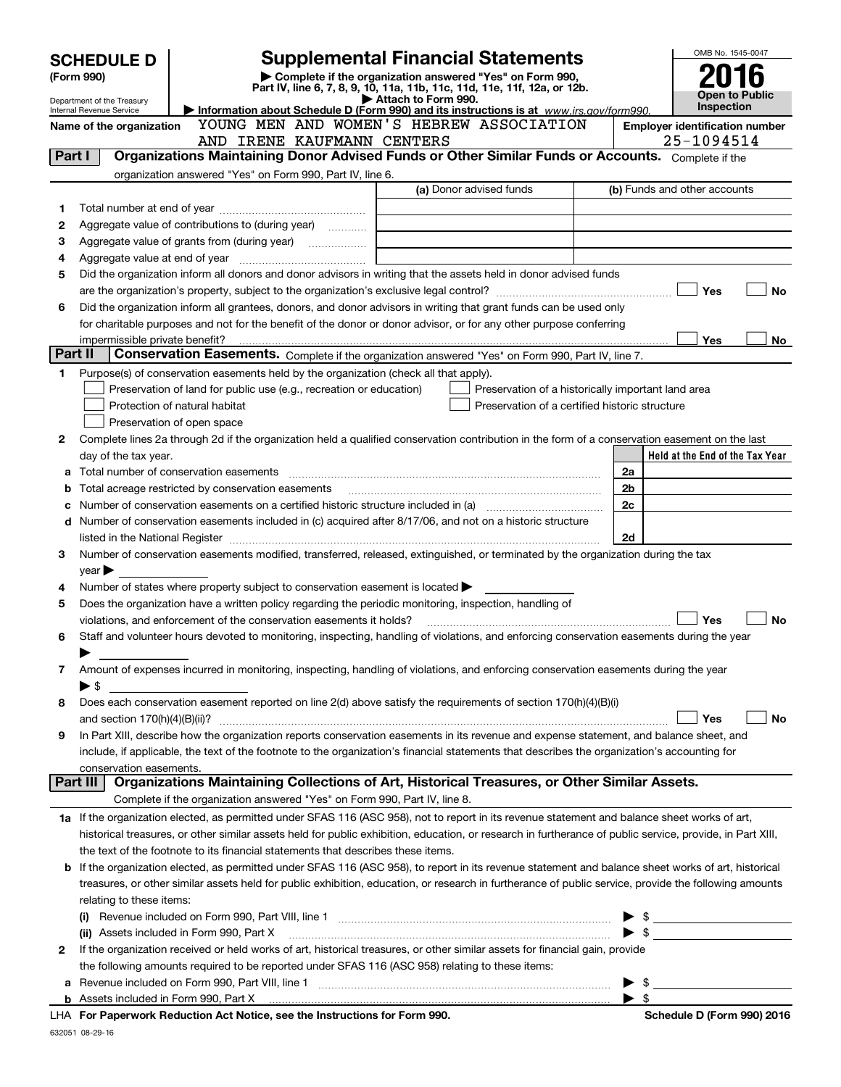|         | <b>SCHEDULE D</b>                                                                                                                |                                                                                                                                                                                                                                         |  |                     | <b>Supplemental Financial Statements</b>                                 |  |    | OMB No. 1545-0047                                                                                                                                          |
|---------|----------------------------------------------------------------------------------------------------------------------------------|-----------------------------------------------------------------------------------------------------------------------------------------------------------------------------------------------------------------------------------------|--|---------------------|--------------------------------------------------------------------------|--|----|------------------------------------------------------------------------------------------------------------------------------------------------------------|
|         | (Form 990)                                                                                                                       |                                                                                                                                                                                                                                         |  |                     | Complete if the organization answered "Yes" on Form 990,                 |  |    |                                                                                                                                                            |
|         |                                                                                                                                  |                                                                                                                                                                                                                                         |  |                     | Part IV, line 6, 7, 8, 9, 10, 11a, 11b, 11c, 11d, 11e, 11f, 12a, or 12b. |  |    | <b>Open to Public</b>                                                                                                                                      |
|         | Department of the Treasury<br>Internal Revenue Service                                                                           | Information about Schedule D (Form 990) and its instructions is at www.irs.gov/form990.                                                                                                                                                 |  | Attach to Form 990. |                                                                          |  |    | <b>Inspection</b>                                                                                                                                          |
|         | Name of the organization                                                                                                         |                                                                                                                                                                                                                                         |  |                     | YOUNG MEN AND WOMEN'S HEBREW ASSOCIATION                                 |  |    | <b>Employer identification number</b>                                                                                                                      |
|         |                                                                                                                                  | AND IRENE KAUFMANN CENTERS                                                                                                                                                                                                              |  |                     |                                                                          |  |    | 25-1094514                                                                                                                                                 |
| Part I  |                                                                                                                                  | Organizations Maintaining Donor Advised Funds or Other Similar Funds or Accounts. Complete if the                                                                                                                                       |  |                     |                                                                          |  |    |                                                                                                                                                            |
|         |                                                                                                                                  | organization answered "Yes" on Form 990, Part IV, line 6.                                                                                                                                                                               |  |                     |                                                                          |  |    |                                                                                                                                                            |
|         |                                                                                                                                  |                                                                                                                                                                                                                                         |  |                     | (a) Donor advised funds                                                  |  |    | (b) Funds and other accounts                                                                                                                               |
| 1       |                                                                                                                                  |                                                                                                                                                                                                                                         |  |                     |                                                                          |  |    |                                                                                                                                                            |
| 2       |                                                                                                                                  | Aggregate value of contributions to (during year)                                                                                                                                                                                       |  |                     |                                                                          |  |    |                                                                                                                                                            |
| з       |                                                                                                                                  |                                                                                                                                                                                                                                         |  |                     |                                                                          |  |    |                                                                                                                                                            |
| 4       |                                                                                                                                  |                                                                                                                                                                                                                                         |  |                     |                                                                          |  |    |                                                                                                                                                            |
| 5       |                                                                                                                                  | Did the organization inform all donors and donor advisors in writing that the assets held in donor advised funds                                                                                                                        |  |                     |                                                                          |  |    |                                                                                                                                                            |
|         |                                                                                                                                  |                                                                                                                                                                                                                                         |  |                     |                                                                          |  |    | Yes<br><b>No</b>                                                                                                                                           |
| 6       |                                                                                                                                  | Did the organization inform all grantees, donors, and donor advisors in writing that grant funds can be used only<br>for charitable purposes and not for the benefit of the donor or donor advisor, or for any other purpose conferring |  |                     |                                                                          |  |    |                                                                                                                                                            |
|         |                                                                                                                                  |                                                                                                                                                                                                                                         |  |                     |                                                                          |  |    | Yes<br>No                                                                                                                                                  |
| Part II |                                                                                                                                  | Conservation Easements. Complete if the organization answered "Yes" on Form 990, Part IV, line 7.                                                                                                                                       |  |                     |                                                                          |  |    |                                                                                                                                                            |
| 1       |                                                                                                                                  | Purpose(s) of conservation easements held by the organization (check all that apply).                                                                                                                                                   |  |                     |                                                                          |  |    |                                                                                                                                                            |
|         |                                                                                                                                  | Preservation of land for public use (e.g., recreation or education)                                                                                                                                                                     |  |                     | Preservation of a historically important land area                       |  |    |                                                                                                                                                            |
|         |                                                                                                                                  | Protection of natural habitat                                                                                                                                                                                                           |  |                     | Preservation of a certified historic structure                           |  |    |                                                                                                                                                            |
|         |                                                                                                                                  | Preservation of open space                                                                                                                                                                                                              |  |                     |                                                                          |  |    |                                                                                                                                                            |
| 2       |                                                                                                                                  | Complete lines 2a through 2d if the organization held a qualified conservation contribution in the form of a conservation easement on the last                                                                                          |  |                     |                                                                          |  |    |                                                                                                                                                            |
|         | day of the tax year.                                                                                                             |                                                                                                                                                                                                                                         |  |                     |                                                                          |  |    | Held at the End of the Tax Year                                                                                                                            |
| а       |                                                                                                                                  |                                                                                                                                                                                                                                         |  |                     |                                                                          |  | 2a |                                                                                                                                                            |
| b       |                                                                                                                                  |                                                                                                                                                                                                                                         |  |                     |                                                                          |  | 2b |                                                                                                                                                            |
| c       |                                                                                                                                  | Number of conservation easements on a certified historic structure included in (a) manufacture included in (a)                                                                                                                          |  |                     |                                                                          |  | 2c |                                                                                                                                                            |
| d       |                                                                                                                                  | Number of conservation easements included in (c) acquired after 8/17/06, and not on a historic structure                                                                                                                                |  |                     |                                                                          |  |    |                                                                                                                                                            |
|         |                                                                                                                                  |                                                                                                                                                                                                                                         |  |                     |                                                                          |  | 2d |                                                                                                                                                            |
| 3       | Number of conservation easements modified, transferred, released, extinguished, or terminated by the organization during the tax |                                                                                                                                                                                                                                         |  |                     |                                                                          |  |    |                                                                                                                                                            |
|         | $\gamma$ ear                                                                                                                     |                                                                                                                                                                                                                                         |  |                     |                                                                          |  |    |                                                                                                                                                            |
| 4       |                                                                                                                                  | Number of states where property subject to conservation easement is located $\blacktriangleright$                                                                                                                                       |  |                     |                                                                          |  |    |                                                                                                                                                            |
| 5       |                                                                                                                                  | Does the organization have a written policy regarding the periodic monitoring, inspection, handling of                                                                                                                                  |  |                     |                                                                          |  |    |                                                                                                                                                            |
| 6       |                                                                                                                                  | violations, and enforcement of the conservation easements it holds?                                                                                                                                                                     |  |                     |                                                                          |  |    | Yes<br><b>No</b>                                                                                                                                           |
|         |                                                                                                                                  | Staff and volunteer hours devoted to monitoring, inspecting, handling of violations, and enforcing conservation easements during the year                                                                                               |  |                     |                                                                          |  |    |                                                                                                                                                            |
| 7       |                                                                                                                                  | Amount of expenses incurred in monitoring, inspecting, handling of violations, and enforcing conservation easements during the year                                                                                                     |  |                     |                                                                          |  |    |                                                                                                                                                            |
|         | $\blacktriangleright$ \$                                                                                                         |                                                                                                                                                                                                                                         |  |                     |                                                                          |  |    |                                                                                                                                                            |
| 8       |                                                                                                                                  | Does each conservation easement reported on line 2(d) above satisfy the requirements of section 170(h)(4)(B)(i)                                                                                                                         |  |                     |                                                                          |  |    |                                                                                                                                                            |
|         |                                                                                                                                  |                                                                                                                                                                                                                                         |  |                     |                                                                          |  |    | Yes<br>No                                                                                                                                                  |
| 9       |                                                                                                                                  | In Part XIII, describe how the organization reports conservation easements in its revenue and expense statement, and balance sheet, and                                                                                                 |  |                     |                                                                          |  |    |                                                                                                                                                            |
|         |                                                                                                                                  | include, if applicable, the text of the footnote to the organization's financial statements that describes the organization's accounting for                                                                                            |  |                     |                                                                          |  |    |                                                                                                                                                            |
|         | conservation easements.                                                                                                          |                                                                                                                                                                                                                                         |  |                     |                                                                          |  |    |                                                                                                                                                            |
|         | Part III                                                                                                                         | Organizations Maintaining Collections of Art, Historical Treasures, or Other Similar Assets.                                                                                                                                            |  |                     |                                                                          |  |    |                                                                                                                                                            |
|         |                                                                                                                                  | Complete if the organization answered "Yes" on Form 990, Part IV, line 8.                                                                                                                                                               |  |                     |                                                                          |  |    |                                                                                                                                                            |
|         |                                                                                                                                  | 1a If the organization elected, as permitted under SFAS 116 (ASC 958), not to report in its revenue statement and balance sheet works of art,                                                                                           |  |                     |                                                                          |  |    |                                                                                                                                                            |
|         |                                                                                                                                  | historical treasures, or other similar assets held for public exhibition, education, or research in furtherance of public service, provide, in Part XIII,                                                                               |  |                     |                                                                          |  |    |                                                                                                                                                            |
|         |                                                                                                                                  | the text of the footnote to its financial statements that describes these items.                                                                                                                                                        |  |                     |                                                                          |  |    |                                                                                                                                                            |
|         |                                                                                                                                  |                                                                                                                                                                                                                                         |  |                     |                                                                          |  |    | <b>b</b> If the organization elected, as permitted under SFAS 116 (ASC 958), to report in its revenue statement and balance sheet works of art, historical |
|         |                                                                                                                                  |                                                                                                                                                                                                                                         |  |                     |                                                                          |  |    | treasures, or other similar assets held for public exhibition, education, or research in furtherance of public service, provide the following amounts      |
|         | relating to these items:                                                                                                         |                                                                                                                                                                                                                                         |  |                     |                                                                          |  |    |                                                                                                                                                            |
|         |                                                                                                                                  |                                                                                                                                                                                                                                         |  |                     |                                                                          |  |    | $\triangleright$ \$                                                                                                                                        |
|         |                                                                                                                                  | (ii) Assets included in Form 990, Part X                                                                                                                                                                                                |  |                     |                                                                          |  |    | $\bullet$ \$                                                                                                                                               |
| 2       |                                                                                                                                  | If the organization received or held works of art, historical treasures, or other similar assets for financial gain, provide                                                                                                            |  |                     |                                                                          |  |    |                                                                                                                                                            |
|         |                                                                                                                                  | the following amounts required to be reported under SFAS 116 (ASC 958) relating to these items:                                                                                                                                         |  |                     |                                                                          |  |    |                                                                                                                                                            |
|         |                                                                                                                                  |                                                                                                                                                                                                                                         |  |                     |                                                                          |  |    | $\blacktriangleright$ \$                                                                                                                                   |
|         |                                                                                                                                  |                                                                                                                                                                                                                                         |  |                     |                                                                          |  |    |                                                                                                                                                            |

**For Paperwork Reduction Act Notice, see the Instructions for Form 990. Schedule D (Form 990) 2016** LHA

632051 08-29-16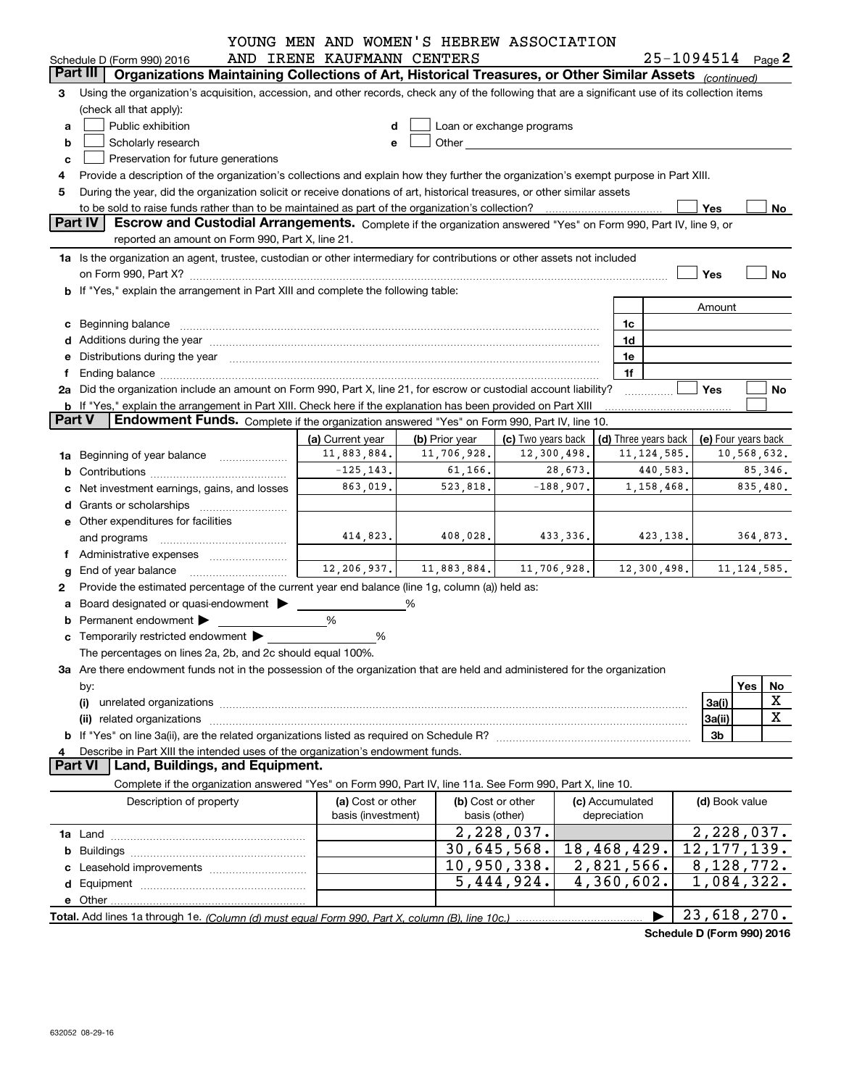|        | YOUNG MEN AND WOMEN'S HEBREW ASSOCIATION                                                                                                                                                                                       |                                         |                             |                             |                 |               |                                            |                         |
|--------|--------------------------------------------------------------------------------------------------------------------------------------------------------------------------------------------------------------------------------|-----------------------------------------|-----------------------------|-----------------------------|-----------------|---------------|--------------------------------------------|-------------------------|
|        | Schedule D (Form 990) 2016                                                                                                                                                                                                     | AND IRENE KAUFMANN CENTERS              |                             |                             |                 |               | $25 - 1094514$ Page 2                      |                         |
|        | Organizations Maintaining Collections of Art, Historical Treasures, or Other Similar Assets (continued)<br>Part III                                                                                                            |                                         |                             |                             |                 |               |                                            |                         |
| 3      | Using the organization's acquisition, accession, and other records, check any of the following that are a significant use of its collection items                                                                              |                                         |                             |                             |                 |               |                                            |                         |
|        | (check all that apply):                                                                                                                                                                                                        |                                         |                             |                             |                 |               |                                            |                         |
| a      | Public exhibition                                                                                                                                                                                                              | d                                       |                             | Loan or exchange programs   |                 |               |                                            |                         |
| b      | Scholarly research                                                                                                                                                                                                             | е                                       |                             |                             |                 |               |                                            |                         |
| c      | Preservation for future generations                                                                                                                                                                                            |                                         |                             |                             |                 |               |                                            |                         |
|        | Provide a description of the organization's collections and explain how they further the organization's exempt purpose in Part XIII.                                                                                           |                                         |                             |                             |                 |               |                                            |                         |
| 5      | During the year, did the organization solicit or receive donations of art, historical treasures, or other similar assets                                                                                                       |                                         |                             |                             |                 |               |                                            |                         |
|        | to be sold to raise funds rather than to be maintained as part of the organization's collection?                                                                                                                               |                                         |                             |                             |                 |               | Yes                                        | No                      |
|        | Part IV<br>Escrow and Custodial Arrangements. Complete if the organization answered "Yes" on Form 990, Part IV, line 9, or                                                                                                     |                                         |                             |                             |                 |               |                                            |                         |
|        | reported an amount on Form 990, Part X, line 21.                                                                                                                                                                               |                                         |                             |                             |                 |               |                                            |                         |
|        | 1a Is the organization an agent, trustee, custodian or other intermediary for contributions or other assets not included                                                                                                       |                                         |                             |                             |                 |               |                                            |                         |
|        | on Form 990, Part X? <b>William Constitution Constitution</b> Construction Construction Construction Constitution Cons                                                                                                         |                                         |                             |                             |                 |               | Yes                                        | No                      |
|        | b If "Yes," explain the arrangement in Part XIII and complete the following table:                                                                                                                                             |                                         |                             |                             |                 |               |                                            |                         |
|        |                                                                                                                                                                                                                                |                                         |                             |                             |                 |               | Amount                                     |                         |
| c      |                                                                                                                                                                                                                                |                                         |                             |                             |                 | 1c            |                                            |                         |
|        |                                                                                                                                                                                                                                |                                         |                             |                             |                 | 1d            |                                            |                         |
|        | Distributions during the year manufactured and continuum and the year manufactured and the year manufactured and the year manufactured and the year manufactured and the year manufactured and the year manufactured and the y |                                         |                             |                             |                 | 1e            |                                            |                         |
|        |                                                                                                                                                                                                                                |                                         |                             |                             |                 | 1f            |                                            |                         |
|        | 2a Did the organization include an amount on Form 990, Part X, line 21, for escrow or custodial account liability?                                                                                                             |                                         |                             |                             |                 |               | Yes                                        | No                      |
|        | <b>b</b> If "Yes," explain the arrangement in Part XIII. Check here if the explanation has been provided on Part XIII                                                                                                          |                                         |                             |                             |                 |               |                                            |                         |
| Part V | Endowment Funds. Complete if the organization answered "Yes" on Form 990, Part IV, line 10.                                                                                                                                    |                                         |                             |                             |                 |               |                                            |                         |
|        |                                                                                                                                                                                                                                | (a) Current year                        | (b) Prior year              | (c) Two years back          |                 |               | (d) Three years back   (e) Four years back |                         |
| 1a     | Beginning of year balance                                                                                                                                                                                                      | 11,883,884.                             | 11,706,928.                 | 12,300,498.                 |                 | 11, 124, 585. |                                            | 10,568,632.             |
|        |                                                                                                                                                                                                                                | $-125, 143.$                            | 61,166.                     | 28,673.                     |                 | 440,583.      |                                            | 85,346.                 |
|        | Net investment earnings, gains, and losses                                                                                                                                                                                     | 863,019.                                | 523,818.                    | $-188,907.$                 |                 | 1,158,468.    |                                            | 835,480.                |
|        |                                                                                                                                                                                                                                |                                         |                             |                             |                 |               |                                            |                         |
|        | e Other expenditures for facilities                                                                                                                                                                                            |                                         |                             |                             |                 |               |                                            |                         |
|        |                                                                                                                                                                                                                                | 414,823.                                | 408,028.                    | 433,336.                    |                 | 423,138.      |                                            | 364,873.                |
|        |                                                                                                                                                                                                                                |                                         |                             |                             |                 |               |                                            |                         |
| g      | End of year balance                                                                                                                                                                                                            |                                         | $12, 206, 937.$ 11,883,884. | 11,706,928.                 |                 | 12,300,498.   |                                            | 11, 124, 585.           |
| 2      | Provide the estimated percentage of the current year end balance (line 1g, column (a)) held as:                                                                                                                                |                                         |                             |                             |                 |               |                                            |                         |
| а      | Board designated or quasi-endowment >                                                                                                                                                                                          |                                         | %                           |                             |                 |               |                                            |                         |
|        | Permanent endowment >                                                                                                                                                                                                          | %                                       |                             |                             |                 |               |                                            |                         |
|        | <b>c</b> Temporarily restricted endowment $\blacktriangleright$                                                                                                                                                                | %                                       |                             |                             |                 |               |                                            |                         |
|        | The percentages on lines 2a, 2b, and 2c should equal 100%.                                                                                                                                                                     |                                         |                             |                             |                 |               |                                            |                         |
|        | 3a Are there endowment funds not in the possession of the organization that are held and administered for the organization                                                                                                     |                                         |                             |                             |                 |               |                                            |                         |
|        |                                                                                                                                                                                                                                |                                         |                             |                             |                 |               |                                            | Yes<br><u>No</u>        |
|        | by:<br>(i)                                                                                                                                                                                                                     |                                         |                             |                             |                 |               | 3a(i)                                      | X                       |
|        |                                                                                                                                                                                                                                |                                         |                             |                             |                 |               | 3a(ii)                                     | $\overline{\mathbf{X}}$ |
|        |                                                                                                                                                                                                                                |                                         |                             |                             |                 |               | 3b                                         |                         |
|        |                                                                                                                                                                                                                                |                                         |                             |                             |                 |               |                                            |                         |
| 4      | Describe in Part XIII the intended uses of the organization's endowment funds.<br>Land, Buildings, and Equipment.<br><b>Part VI</b>                                                                                            |                                         |                             |                             |                 |               |                                            |                         |
|        |                                                                                                                                                                                                                                |                                         |                             |                             |                 |               |                                            |                         |
|        | Complete if the organization answered "Yes" on Form 990, Part IV, line 11a. See Form 990, Part X, line 10.                                                                                                                     |                                         |                             |                             |                 |               |                                            |                         |
|        | Description of property                                                                                                                                                                                                        | (a) Cost or other<br>basis (investment) |                             | (b) Cost or other           | (c) Accumulated |               | (d) Book value                             |                         |
|        |                                                                                                                                                                                                                                |                                         | basis (other)               |                             | depreciation    |               |                                            |                         |
|        |                                                                                                                                                                                                                                |                                         |                             | $\overline{2}$ , 228, 037.  |                 |               |                                            | 2,228,037.              |
| b      |                                                                                                                                                                                                                                |                                         |                             | 30,645,568.                 |                 | 18,468,429.   | $\overline{12}$ , 177, 139.                |                         |
| с      |                                                                                                                                                                                                                                |                                         |                             | $\overline{10}$ , 950, 338. |                 | 2,821,566.    |                                            | 8,128,772.              |
| d      |                                                                                                                                                                                                                                |                                         |                             | 5,444,924.                  |                 | 4,360,602.    | $\overline{1}$ , 084, 3 <u>22.</u>         |                         |
|        |                                                                                                                                                                                                                                |                                         |                             |                             |                 |               |                                            |                         |
|        |                                                                                                                                                                                                                                |                                         |                             |                             |                 |               | 23,618,270.                                |                         |

**Schedule D (Form 990) 2016**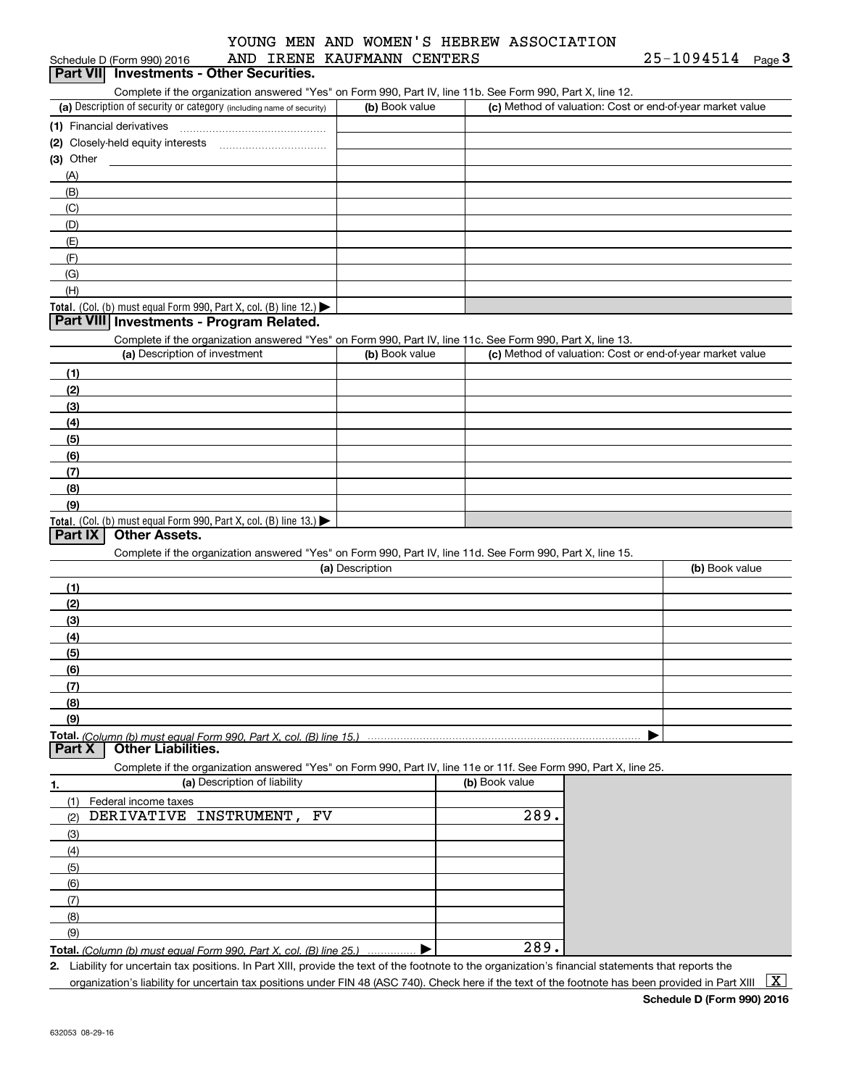| Schedule D (Form 990) 2016                                                                                        | AND IRENE KAUFMANN CENTERS |                |                                                           | $25 - 1094514$ Page 3 |  |
|-------------------------------------------------------------------------------------------------------------------|----------------------------|----------------|-----------------------------------------------------------|-----------------------|--|
| Part VII Investments - Other Securities.                                                                          |                            |                |                                                           |                       |  |
| Complete if the organization answered "Yes" on Form 990, Part IV, line 11b. See Form 990, Part X, line 12.        |                            |                |                                                           |                       |  |
| (a) Description of security or category (including name of security)                                              | (b) Book value             |                | (c) Method of valuation: Cost or end-of-year market value |                       |  |
|                                                                                                                   |                            |                |                                                           |                       |  |
|                                                                                                                   |                            |                |                                                           |                       |  |
| $(3)$ Other                                                                                                       |                            |                |                                                           |                       |  |
| (A)                                                                                                               |                            |                |                                                           |                       |  |
| (B)                                                                                                               |                            |                |                                                           |                       |  |
| (C)                                                                                                               |                            |                |                                                           |                       |  |
| (D)                                                                                                               |                            |                |                                                           |                       |  |
| (E)                                                                                                               |                            |                |                                                           |                       |  |
| (F)                                                                                                               |                            |                |                                                           |                       |  |
| (G)                                                                                                               |                            |                |                                                           |                       |  |
| (H)                                                                                                               |                            |                |                                                           |                       |  |
| Total. (Col. (b) must equal Form 990, Part X, col. (B) line 12.)                                                  |                            |                |                                                           |                       |  |
| Part VIII Investments - Program Related.                                                                          |                            |                |                                                           |                       |  |
| Complete if the organization answered "Yes" on Form 990, Part IV, line 11c. See Form 990, Part X, line 13.        |                            |                |                                                           |                       |  |
| (a) Description of investment                                                                                     | (b) Book value             |                | (c) Method of valuation: Cost or end-of-year market value |                       |  |
| (1)                                                                                                               |                            |                |                                                           |                       |  |
| (2)                                                                                                               |                            |                |                                                           |                       |  |
| (3)                                                                                                               |                            |                |                                                           |                       |  |
| (4)                                                                                                               |                            |                |                                                           |                       |  |
| (5)                                                                                                               |                            |                |                                                           |                       |  |
| (6)                                                                                                               |                            |                |                                                           |                       |  |
| (7)                                                                                                               |                            |                |                                                           |                       |  |
| (8)                                                                                                               |                            |                |                                                           |                       |  |
| (9)                                                                                                               |                            |                |                                                           |                       |  |
| Total. (Col. (b) must equal Form 990, Part X, col. (B) line 13.)                                                  |                            |                |                                                           |                       |  |
| <b>Other Assets.</b><br>Part IX                                                                                   |                            |                |                                                           |                       |  |
| Complete if the organization answered "Yes" on Form 990, Part IV, line 11d. See Form 990, Part X, line 15.        |                            |                |                                                           |                       |  |
|                                                                                                                   | (a) Description            |                |                                                           | (b) Book value        |  |
| (1)                                                                                                               |                            |                |                                                           |                       |  |
| (2)                                                                                                               |                            |                |                                                           |                       |  |
| (3)                                                                                                               |                            |                |                                                           |                       |  |
| (4)                                                                                                               |                            |                |                                                           |                       |  |
| (5)                                                                                                               |                            |                |                                                           |                       |  |
| (6)                                                                                                               |                            |                |                                                           |                       |  |
| (7)                                                                                                               |                            |                |                                                           |                       |  |
| (8)                                                                                                               |                            |                |                                                           |                       |  |
| (9)                                                                                                               |                            |                |                                                           |                       |  |
|                                                                                                                   |                            |                |                                                           |                       |  |
| Part X<br><b>Other Liabilities.</b>                                                                               |                            |                |                                                           |                       |  |
| Complete if the organization answered "Yes" on Form 990, Part IV, line 11e or 11f. See Form 990, Part X, line 25. |                            |                |                                                           |                       |  |
| (a) Description of liability                                                                                      |                            | (b) Book value |                                                           |                       |  |
| 1.                                                                                                                |                            |                |                                                           |                       |  |
| (1)<br>Federal income taxes<br>FV                                                                                 |                            | 289.           |                                                           |                       |  |
| DERIVATIVE INSTRUMENT,<br>(2)                                                                                     |                            |                |                                                           |                       |  |
| (3)                                                                                                               |                            |                |                                                           |                       |  |
| (4)                                                                                                               |                            |                |                                                           |                       |  |
| (5)                                                                                                               |                            |                |                                                           |                       |  |
| (6)                                                                                                               |                            |                |                                                           |                       |  |
| (7)                                                                                                               |                            |                |                                                           |                       |  |
| (8)                                                                                                               |                            |                |                                                           |                       |  |
| (9)                                                                                                               |                            |                |                                                           |                       |  |
| Total. (Column (b) must equal Form 990. Part X, col. (B) line 25.)                                                |                            | 289.           |                                                           |                       |  |
|                                                                                                                   |                            |                |                                                           |                       |  |

**2.** Liability for uncertain tax positions. In Part XIII, provide the text of the footnote to the organization's financial statements that reports the organization's liability for uncertain tax positions under FIN 48 (ASC 740). Check here if the text of the footnote has been provided in Part XIII  $~\boxed{\rm X}$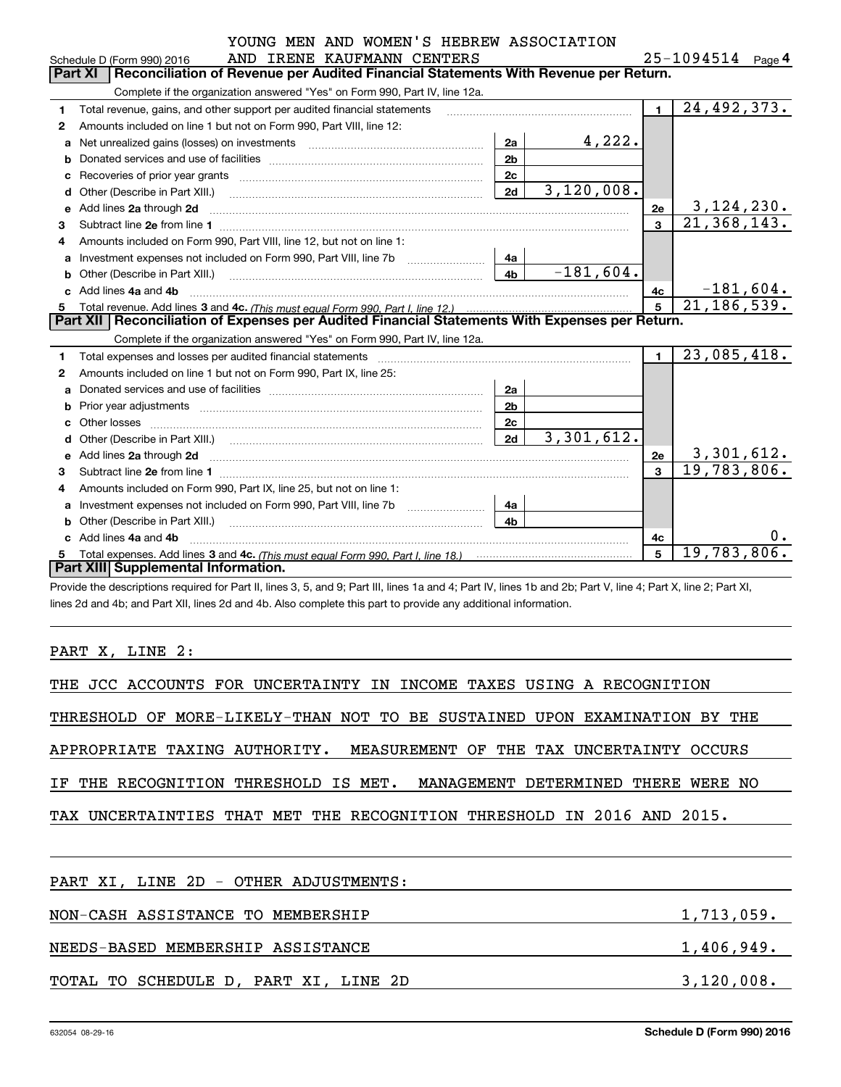| YOUNG MEN AND WOMEN'S HEBREW ASSOCIATION |                |
|------------------------------------------|----------------|
| ANIN TOGNG KAHGMANN CGNUGC               | $95 - 1091511$ |

|   | AND IRENE KAUFMANN CENTERS<br>Schedule D (Form 990) 2016                                                                                                                                                                            |                |             |                | 25-1094514<br>Page $4$    |
|---|-------------------------------------------------------------------------------------------------------------------------------------------------------------------------------------------------------------------------------------|----------------|-------------|----------------|---------------------------|
|   | <b>Part XI</b><br>Reconciliation of Revenue per Audited Financial Statements With Revenue per Return.                                                                                                                               |                |             |                |                           |
|   | Complete if the organization answered "Yes" on Form 990, Part IV, line 12a.                                                                                                                                                         |                |             |                |                           |
| 1 | Total revenue, gains, and other support per audited financial statements                                                                                                                                                            |                |             | $\blacksquare$ | 24,492,373.               |
| 2 | Amounts included on line 1 but not on Form 990, Part VIII, line 12:                                                                                                                                                                 |                |             |                |                           |
| a |                                                                                                                                                                                                                                     | 2a             | 4,222.      |                |                           |
|   |                                                                                                                                                                                                                                     | 2 <sub>b</sub> |             |                |                           |
| C |                                                                                                                                                                                                                                     | 2c             |             |                |                           |
| d | Other (Describe in Part XIII.) <b>Construction Contract Construction</b> Chern Construction Construction Construction                                                                                                               | 2d             | 3,120,008.  |                |                           |
| e | Add lines 2a through 2d                                                                                                                                                                                                             |                |             | <b>2e</b>      | 3,124,230.                |
| 3 |                                                                                                                                                                                                                                     |                |             | $\mathbf{3}$   | $\overline{21,368,143}$ . |
| 4 | Amounts included on Form 990, Part VIII, line 12, but not on line 1:                                                                                                                                                                |                |             |                |                           |
|   | Investment expenses not included on Form 990, Part VIII, line 7b [111] [11] Investment expenses not included on Form 990, Part VIII, line 7b                                                                                        | 4a             |             |                |                           |
| b | Other (Describe in Part XIII.) <b>Construction Contract Construction</b> Chern Construction Construction Construction                                                                                                               | 4 <sub>b</sub> | $-181,604.$ |                |                           |
|   | Add lines 4a and 4b                                                                                                                                                                                                                 |                |             | 4c             | $-181,604.$               |
| 5 |                                                                                                                                                                                                                                     |                |             | 5              | $\overline{21,186,539}$ . |
|   |                                                                                                                                                                                                                                     |                |             |                |                           |
|   | Part XII   Reconciliation of Expenses per Audited Financial Statements With Expenses per Return.                                                                                                                                    |                |             |                |                           |
|   | Complete if the organization answered "Yes" on Form 990, Part IV, line 12a.                                                                                                                                                         |                |             |                |                           |
| 1 |                                                                                                                                                                                                                                     |                |             | $\blacksquare$ | 23,085,418.               |
| 2 | Amounts included on line 1 but not on Form 990, Part IX, line 25:                                                                                                                                                                   |                |             |                |                           |
| a |                                                                                                                                                                                                                                     | 2a             |             |                |                           |
| b |                                                                                                                                                                                                                                     | 2 <sub>b</sub> |             |                |                           |
| c |                                                                                                                                                                                                                                     | 2c             |             |                |                           |
|   |                                                                                                                                                                                                                                     | 2d             | 3,301,612.  |                |                           |
| е |                                                                                                                                                                                                                                     |                |             | 2e             | 3,301,612.                |
| 3 | Add lines 2a through 2d <b>minimum contained a contract and a</b> contract a contract of the contract of the contract of the contract of the contract of the contract of the contract of the contract of the contract of the contra |                |             | $\mathbf{a}$   | 19,783,806.               |
| 4 | Amounts included on Form 990, Part IX, line 25, but not on line 1:                                                                                                                                                                  |                |             |                |                           |
| a | Investment expenses not included on Form 990, Part VIII, line 7b [1000000000000000000000000000000000                                                                                                                                | 4a             |             |                |                           |
|   | Other (Describe in Part XIII.) <b>Construction Contract Construction</b> Chern Construction Construction Construction                                                                                                               | 4b             |             |                |                           |
|   | Add lines 4a and 4b                                                                                                                                                                                                                 |                |             | 4с             | 0.                        |
| 5 | <b>Part XIII Supplemental Information.</b>                                                                                                                                                                                          |                |             | 5              | 19,783,806.               |

Provide the descriptions required for Part II, lines 3, 5, and 9; Part III, lines 1a and 4; Part IV, lines 1b and 2b; Part V, line 4; Part X, line 2; Part XI, lines 2d and 4b; and Part XII, lines 2d and 4b. Also complete this part to provide any additional information.

## PART X, LINE 2:

| THE JCC ACCOUNTS FOR UNCERTAINTY IN INCOME TAXES USING A RECOGNITION      |               |  |  |  |  |  |  |  |
|---------------------------------------------------------------------------|---------------|--|--|--|--|--|--|--|
| THRESHOLD OF MORE-LIKELY-THAN NOT TO BE SUSTAINED UPON EXAMINATION BY THE |               |  |  |  |  |  |  |  |
| APPROPRIATE TAXING AUTHORITY. MEASUREMENT OF THE TAX UNCERTAINTY OCCURS   |               |  |  |  |  |  |  |  |
| IF THE RECOGNITION THRESHOLD IS MET. MANAGEMENT DETERMINED                | THERE WERE NO |  |  |  |  |  |  |  |
| TAX UNCERTAINTIES THAT MET THE RECOGNITION THRESHOLD IN 2016 AND 2015.    |               |  |  |  |  |  |  |  |
|                                                                           |               |  |  |  |  |  |  |  |
| PART XI, LINE 2D - OTHER ADJUSTMENTS:                                     |               |  |  |  |  |  |  |  |
| NON-CASH ASSISTANCE TO MEMBERSHIP                                         | 1,713,059.    |  |  |  |  |  |  |  |
|                                                                           |               |  |  |  |  |  |  |  |

NEEDS-BASED MEMBERSHIP ASSISTANCE 1,406,949.

TOTAL TO SCHEDULE D, PART XI, LINE 2D 3,120,008.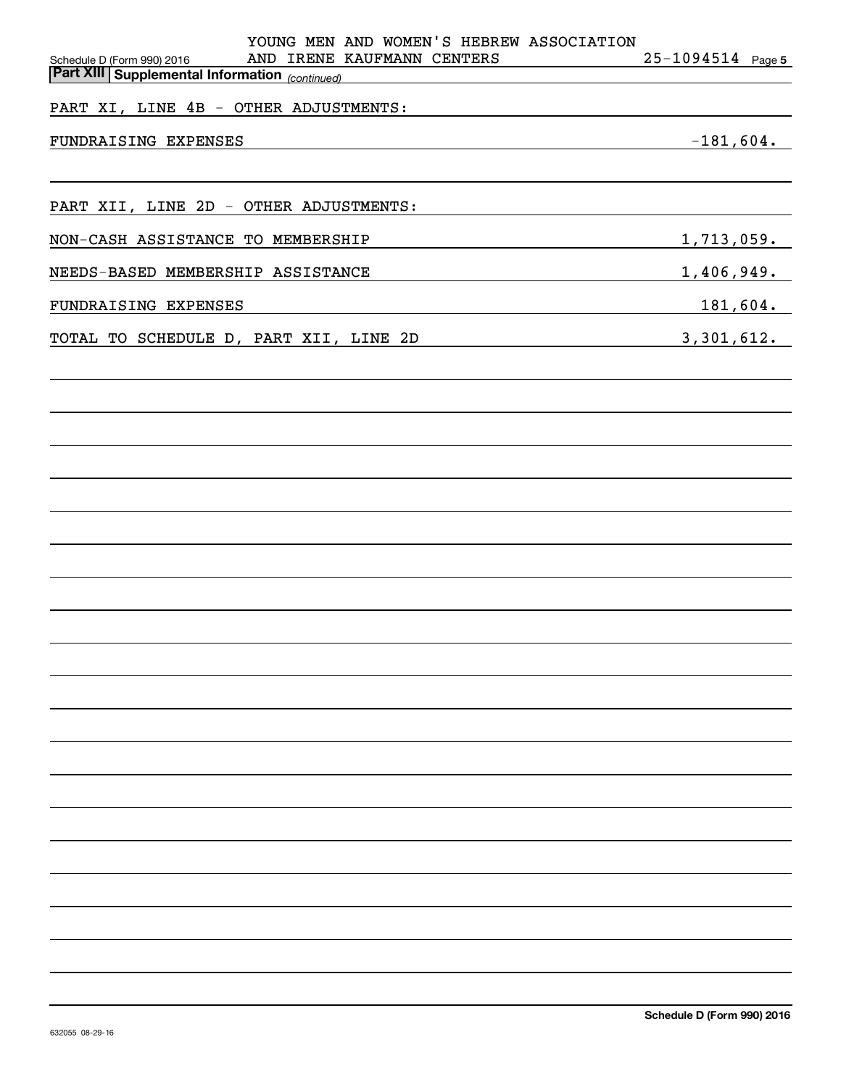| YOUNG MEN AND WOMEN'S HEBREW ASSOCIATION<br>AND IRENE KAUFMANN CENTERS<br>Schedule D (Form 990) 2016<br><b>Part XIII Supplemental Information</b> (continued) | $25 - 1094514$ Page 5 |
|---------------------------------------------------------------------------------------------------------------------------------------------------------------|-----------------------|
|                                                                                                                                                               |                       |
| PART XI, LINE 4B - OTHER ADJUSTMENTS:                                                                                                                         |                       |
| FUNDRAISING EXPENSES                                                                                                                                          | $-181,604.$           |
|                                                                                                                                                               |                       |
| PART XII, LINE 2D - OTHER ADJUSTMENTS:                                                                                                                        |                       |
| NON-CASH ASSISTANCE TO MEMBERSHIP                                                                                                                             | 1,713,059.            |
| NEEDS-BASED MEMBERSHIP ASSISTANCE                                                                                                                             | 1,406,949.            |
| FUNDRAISING EXPENSES                                                                                                                                          | 181,604.              |
| TOTAL TO SCHEDULE D, PART XII, LINE 2D<br><u> 1980 - Johann Barbara, martxa alemaniar a</u>                                                                   | 3,301,612.            |
|                                                                                                                                                               |                       |
|                                                                                                                                                               |                       |
|                                                                                                                                                               |                       |
|                                                                                                                                                               |                       |
|                                                                                                                                                               |                       |
|                                                                                                                                                               |                       |
|                                                                                                                                                               |                       |
|                                                                                                                                                               |                       |
|                                                                                                                                                               |                       |
|                                                                                                                                                               |                       |
|                                                                                                                                                               |                       |
|                                                                                                                                                               |                       |
|                                                                                                                                                               |                       |
|                                                                                                                                                               |                       |
|                                                                                                                                                               |                       |
|                                                                                                                                                               |                       |
|                                                                                                                                                               |                       |
|                                                                                                                                                               |                       |
|                                                                                                                                                               |                       |
|                                                                                                                                                               |                       |
|                                                                                                                                                               |                       |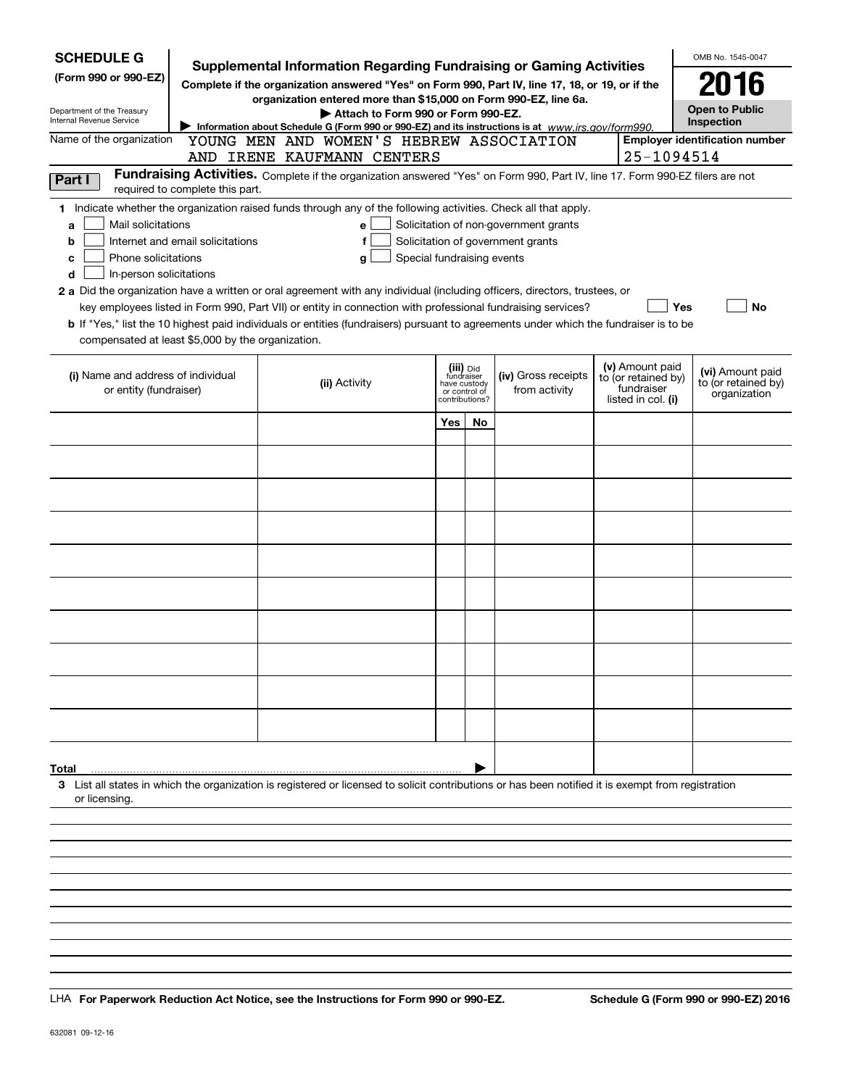| <b>SCHEDULE G</b><br>(Form 990 or 990-EZ)<br>Department of the Treasury<br>Internal Revenue Service                                                                                                                                                                                                                                                                                                                                                                                                                                                                                                                                                                                                                                                                                                                                       | OMB No. 1545-0047<br>2016<br><b>Open to Public</b><br>Inspection                                  |                                                                                                                                                    |              |                                                            |                                      |  |                                                                            |                                                         |  |  |
|-------------------------------------------------------------------------------------------------------------------------------------------------------------------------------------------------------------------------------------------------------------------------------------------------------------------------------------------------------------------------------------------------------------------------------------------------------------------------------------------------------------------------------------------------------------------------------------------------------------------------------------------------------------------------------------------------------------------------------------------------------------------------------------------------------------------------------------------|---------------------------------------------------------------------------------------------------|----------------------------------------------------------------------------------------------------------------------------------------------------|--------------|------------------------------------------------------------|--------------------------------------|--|----------------------------------------------------------------------------|---------------------------------------------------------|--|--|
| Name of the organization                                                                                                                                                                                                                                                                                                                                                                                                                                                                                                                                                                                                                                                                                                                                                                                                                  | Information about Schedule G (Form 990 or 990-EZ) and its instructions is at www.irs.gov/form990. | <b>Employer identification number</b>                                                                                                              |              |                                                            |                                      |  |                                                                            |                                                         |  |  |
|                                                                                                                                                                                                                                                                                                                                                                                                                                                                                                                                                                                                                                                                                                                                                                                                                                           |                                                                                                   | AND IRENE KAUFMANN CENTERS                                                                                                                         |              |                                                            |                                      |  | 25-1094514                                                                 |                                                         |  |  |
| Part I                                                                                                                                                                                                                                                                                                                                                                                                                                                                                                                                                                                                                                                                                                                                                                                                                                    | required to complete this part.                                                                   | Fundraising Activities. Complete if the organization answered "Yes" on Form 990, Part IV, line 17. Form 990-EZ filers are not                      |              |                                                            |                                      |  |                                                                            |                                                         |  |  |
| 1 Indicate whether the organization raised funds through any of the following activities. Check all that apply.<br>Mail solicitations<br>Solicitation of non-government grants<br>e<br>a<br>Internet and email solicitations<br>Solicitation of government grants<br>f<br>b<br>Phone solicitations<br>Special fundraising events<br>с<br>g<br>In-person solicitations<br>d<br>2 a Did the organization have a written or oral agreement with any individual (including officers, directors, trustees, or<br>key employees listed in Form 990, Part VII) or entity in connection with professional fundraising services?<br><b>Yes</b><br>No<br>b If "Yes," list the 10 highest paid individuals or entities (fundraisers) pursuant to agreements under which the fundraiser is to be<br>compensated at least \$5,000 by the organization. |                                                                                                   |                                                                                                                                                    |              |                                                            |                                      |  |                                                                            |                                                         |  |  |
| (i) Name and address of individual<br>or entity (fundraiser)                                                                                                                                                                                                                                                                                                                                                                                                                                                                                                                                                                                                                                                                                                                                                                              |                                                                                                   | (ii) Activity                                                                                                                                      | have custody | (iii) Did<br>fundraiser<br>or control of<br>contributions? | (iv) Gross receipts<br>from activity |  | (v) Amount paid<br>to (or retained by)<br>fundraiser<br>listed in col. (i) | (vi) Amount paid<br>to (or retained by)<br>organization |  |  |
|                                                                                                                                                                                                                                                                                                                                                                                                                                                                                                                                                                                                                                                                                                                                                                                                                                           |                                                                                                   |                                                                                                                                                    | Yes          | No                                                         |                                      |  |                                                                            |                                                         |  |  |
|                                                                                                                                                                                                                                                                                                                                                                                                                                                                                                                                                                                                                                                                                                                                                                                                                                           |                                                                                                   |                                                                                                                                                    |              |                                                            |                                      |  |                                                                            |                                                         |  |  |
|                                                                                                                                                                                                                                                                                                                                                                                                                                                                                                                                                                                                                                                                                                                                                                                                                                           |                                                                                                   |                                                                                                                                                    |              |                                                            |                                      |  |                                                                            |                                                         |  |  |
|                                                                                                                                                                                                                                                                                                                                                                                                                                                                                                                                                                                                                                                                                                                                                                                                                                           |                                                                                                   |                                                                                                                                                    |              |                                                            |                                      |  |                                                                            |                                                         |  |  |
|                                                                                                                                                                                                                                                                                                                                                                                                                                                                                                                                                                                                                                                                                                                                                                                                                                           |                                                                                                   |                                                                                                                                                    |              |                                                            |                                      |  |                                                                            |                                                         |  |  |
|                                                                                                                                                                                                                                                                                                                                                                                                                                                                                                                                                                                                                                                                                                                                                                                                                                           |                                                                                                   |                                                                                                                                                    |              |                                                            |                                      |  |                                                                            |                                                         |  |  |
|                                                                                                                                                                                                                                                                                                                                                                                                                                                                                                                                                                                                                                                                                                                                                                                                                                           |                                                                                                   |                                                                                                                                                    |              |                                                            |                                      |  |                                                                            |                                                         |  |  |
|                                                                                                                                                                                                                                                                                                                                                                                                                                                                                                                                                                                                                                                                                                                                                                                                                                           |                                                                                                   |                                                                                                                                                    |              |                                                            |                                      |  |                                                                            |                                                         |  |  |
|                                                                                                                                                                                                                                                                                                                                                                                                                                                                                                                                                                                                                                                                                                                                                                                                                                           |                                                                                                   |                                                                                                                                                    |              |                                                            |                                      |  |                                                                            |                                                         |  |  |
|                                                                                                                                                                                                                                                                                                                                                                                                                                                                                                                                                                                                                                                                                                                                                                                                                                           |                                                                                                   |                                                                                                                                                    |              |                                                            |                                      |  |                                                                            |                                                         |  |  |
|                                                                                                                                                                                                                                                                                                                                                                                                                                                                                                                                                                                                                                                                                                                                                                                                                                           |                                                                                                   |                                                                                                                                                    |              |                                                            |                                      |  |                                                                            |                                                         |  |  |
| Total<br>or licensing.                                                                                                                                                                                                                                                                                                                                                                                                                                                                                                                                                                                                                                                                                                                                                                                                                    |                                                                                                   | 3 List all states in which the organization is registered or licensed to solicit contributions or has been notified it is exempt from registration |              |                                                            |                                      |  |                                                                            |                                                         |  |  |
|                                                                                                                                                                                                                                                                                                                                                                                                                                                                                                                                                                                                                                                                                                                                                                                                                                           |                                                                                                   |                                                                                                                                                    |              |                                                            |                                      |  |                                                                            |                                                         |  |  |
|                                                                                                                                                                                                                                                                                                                                                                                                                                                                                                                                                                                                                                                                                                                                                                                                                                           |                                                                                                   |                                                                                                                                                    |              |                                                            |                                      |  |                                                                            |                                                         |  |  |
|                                                                                                                                                                                                                                                                                                                                                                                                                                                                                                                                                                                                                                                                                                                                                                                                                                           |                                                                                                   |                                                                                                                                                    |              |                                                            |                                      |  |                                                                            |                                                         |  |  |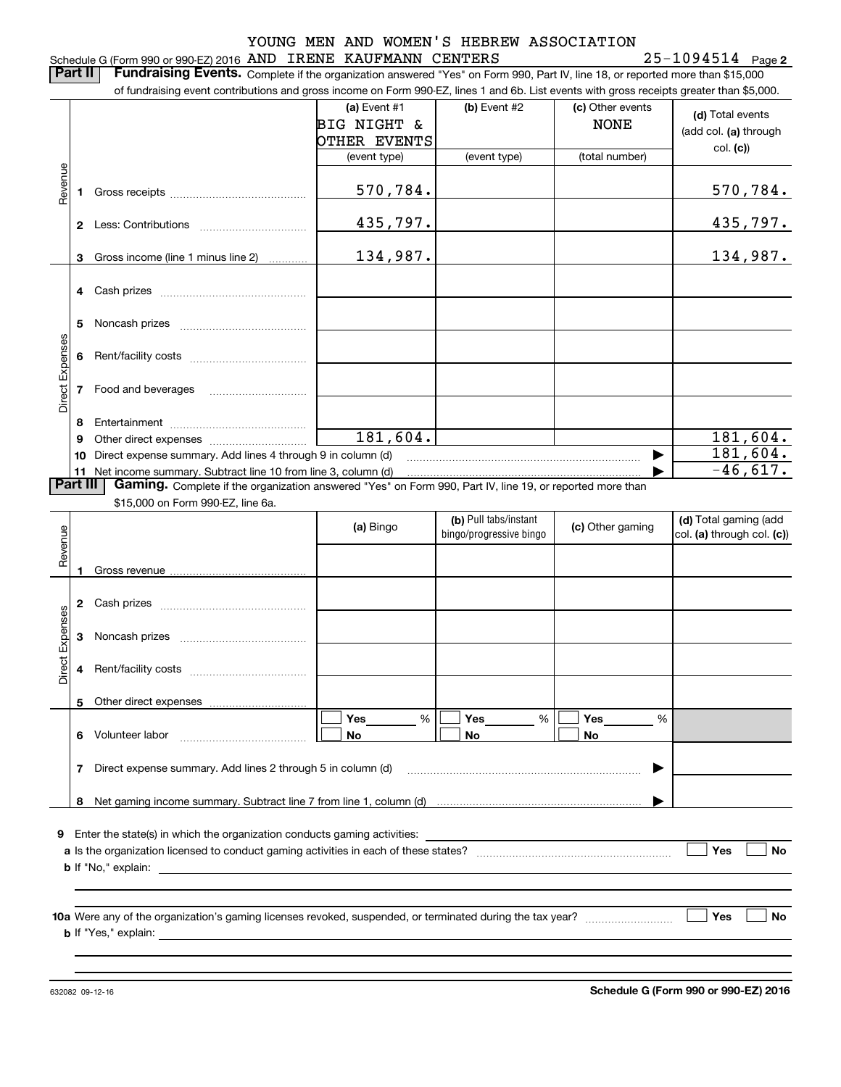# Schedule G (Form 990 or 990-EZ) 2016 Page AND IRENE KAUFMANN CENTERS 25-1094514

25-1094514 Page 2

**Part II** | Fundraising Events. Complete if the organization answered "Yes" on Form 990, Part IV, line 18, or reported more than \$15,000

|                 |          | of fundraising event contributions and gross income on Form 990-EZ, lines 1 and 6b. List events with gross receipts greater than \$5,000. |                                             |                                                  |                                 |                                                       |
|-----------------|----------|-------------------------------------------------------------------------------------------------------------------------------------------|---------------------------------------------|--------------------------------------------------|---------------------------------|-------------------------------------------------------|
|                 |          |                                                                                                                                           | (a) Event #1<br>BIG NIGHT &<br>OTHER EVENTS | (b) Event #2                                     | (c) Other events<br><b>NONE</b> | (d) Total events<br>(add col. (a) through<br>col. (c) |
|                 |          |                                                                                                                                           | (event type)                                | (event type)                                     | (total number)                  |                                                       |
| Revenue         | 1.       |                                                                                                                                           | 570,784.                                    |                                                  |                                 | 570,784.                                              |
|                 |          |                                                                                                                                           | 435,797.                                    |                                                  |                                 | 435,797.                                              |
|                 |          | 3 Gross income (line 1 minus line 2)                                                                                                      | 134,987.                                    |                                                  |                                 | 134,987.                                              |
|                 |          |                                                                                                                                           |                                             |                                                  |                                 |                                                       |
|                 | 5        |                                                                                                                                           |                                             |                                                  |                                 |                                                       |
|                 |          |                                                                                                                                           |                                             |                                                  |                                 |                                                       |
| Direct Expenses |          | <b>7</b> Food and beverages                                                                                                               |                                             |                                                  |                                 |                                                       |
|                 | 8        |                                                                                                                                           |                                             |                                                  |                                 |                                                       |
|                 | 9        |                                                                                                                                           | 181,604.                                    |                                                  |                                 | 181,604.                                              |
|                 |          | 10 Direct expense summary. Add lines 4 through 9 in column (d)                                                                            |                                             |                                                  | ▶                               | 181,604.                                              |
|                 |          | 11 Net income summary. Subtract line 10 from line 3, column (d)                                                                           |                                             |                                                  |                                 | $-46,617.$                                            |
|                 | Part III | Gaming. Complete if the organization answered "Yes" on Form 990, Part IV, line 19, or reported more than                                  |                                             |                                                  |                                 |                                                       |
|                 |          | \$15,000 on Form 990-EZ, line 6a.                                                                                                         |                                             |                                                  |                                 |                                                       |
| Revenue         |          |                                                                                                                                           | (a) Bingo                                   | (b) Pull tabs/instant<br>bingo/progressive bingo | (c) Other gaming                | (d) Total gaming (add<br>col. (a) through col. (c))   |
|                 |          |                                                                                                                                           |                                             |                                                  |                                 |                                                       |
|                 | 1        |                                                                                                                                           |                                             |                                                  |                                 |                                                       |
|                 |          |                                                                                                                                           |                                             |                                                  |                                 |                                                       |
|                 |          |                                                                                                                                           |                                             |                                                  |                                 |                                                       |
| Direct Expenses |          |                                                                                                                                           |                                             |                                                  |                                 |                                                       |
|                 | 5        |                                                                                                                                           |                                             |                                                  |                                 |                                                       |
|                 |          |                                                                                                                                           | Yes<br>%                                    | %                                                | Yes<br>%                        |                                                       |
|                 |          | 6 Volunteer labor                                                                                                                         | No                                          | No                                               | No                              |                                                       |
|                 |          | 7 Direct expense summary. Add lines 2 through 5 in column (d)                                                                             |                                             |                                                  |                                 |                                                       |

**9**Enter the state(s) in which the organization conducts gaming activities:

**8**Net gaming income summary. Subtract line 7 from line 1, column (d)

| a Is the organization licensed to conduct gaming activities in each of these states? |  | <b>Yes</b> | No |
|--------------------------------------------------------------------------------------|--|------------|----|
| <b>b</b> If "No," explain:                                                           |  |            |    |

**10a** Were any of the organization's gaming licenses revoked, suspended, or terminated during the tax year? \_\_\_\_\_\_\_\_\_\_\_\_\_\_\_\_ **b** If "Yes," explain:

…… ▶

**Yes**

**No**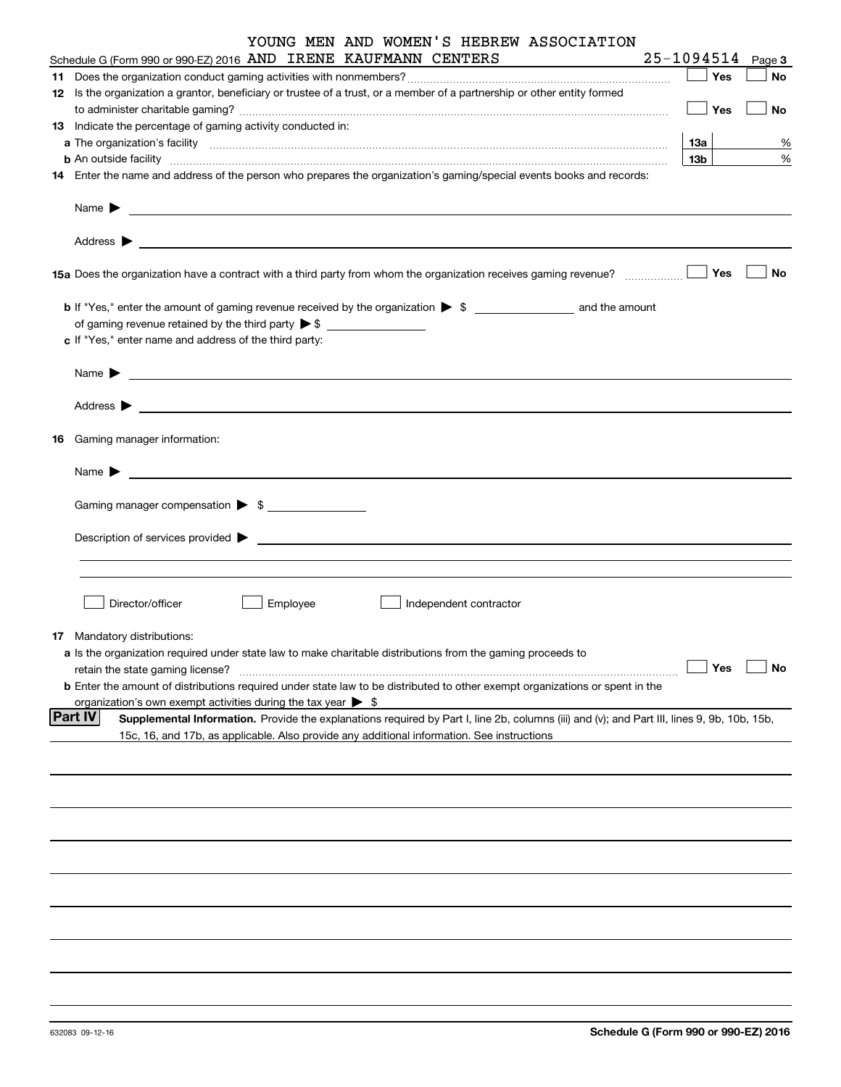| YOUNG MEN AND WOMEN'S HEBREW ASSOCIATION                                                                                                                                                                                                                                                                                                                          | 25-1094514      |        |
|-------------------------------------------------------------------------------------------------------------------------------------------------------------------------------------------------------------------------------------------------------------------------------------------------------------------------------------------------------------------|-----------------|--------|
| Schedule G (Form 990 or 990-EZ) 2016 AND IRENE KAUFMANN CENTERS                                                                                                                                                                                                                                                                                                   |                 | Page 3 |
|                                                                                                                                                                                                                                                                                                                                                                   | $\Box$ Yes      | No     |
| 12 Is the organization a grantor, beneficiary or trustee of a trust, or a member of a partnership or other entity formed                                                                                                                                                                                                                                          | $\Box$ Yes      |        |
| 13 Indicate the percentage of gaming activity conducted in:                                                                                                                                                                                                                                                                                                       |                 | No     |
|                                                                                                                                                                                                                                                                                                                                                                   | 13а             | %      |
|                                                                                                                                                                                                                                                                                                                                                                   | 13 <sub>b</sub> | %      |
| <b>b</b> An outside facility <b>contained a contract and a contract of the contract of the contract of the contract of the contract of the contract of the contract of the contract of the contract of the contract of the contract o</b><br>14 Enter the name and address of the person who prepares the organization's gaming/special events books and records: |                 |        |
|                                                                                                                                                                                                                                                                                                                                                                   |                 |        |
|                                                                                                                                                                                                                                                                                                                                                                   |                 |        |
|                                                                                                                                                                                                                                                                                                                                                                   |                 |        |
|                                                                                                                                                                                                                                                                                                                                                                   |                 |        |
| 15 Yes                                                                                                                                                                                                                                                                                                                                                            |                 | No     |
|                                                                                                                                                                                                                                                                                                                                                                   |                 |        |
|                                                                                                                                                                                                                                                                                                                                                                   |                 |        |
| c If "Yes," enter name and address of the third party:                                                                                                                                                                                                                                                                                                            |                 |        |
|                                                                                                                                                                                                                                                                                                                                                                   |                 |        |
|                                                                                                                                                                                                                                                                                                                                                                   |                 |        |
|                                                                                                                                                                                                                                                                                                                                                                   |                 |        |
| 16 Gaming manager information:                                                                                                                                                                                                                                                                                                                                    |                 |        |
| <u> 1989 - Johann Barbara, martin amerikan basal dan berasal dan berasal dalam basal dan berasal dan berasal dan</u><br>Name $\blacktriangleright$                                                                                                                                                                                                                |                 |        |
|                                                                                                                                                                                                                                                                                                                                                                   |                 |        |
| Gaming manager compensation > \$                                                                                                                                                                                                                                                                                                                                  |                 |        |
| $Description of services provided$ $\triangleright$                                                                                                                                                                                                                                                                                                               |                 |        |
|                                                                                                                                                                                                                                                                                                                                                                   |                 |        |
|                                                                                                                                                                                                                                                                                                                                                                   |                 |        |
| Director/officer<br>Employee<br>Independent contractor                                                                                                                                                                                                                                                                                                            |                 |        |
| <b>17</b> Mandatory distributions:                                                                                                                                                                                                                                                                                                                                |                 |        |
| a Is the organization required under state law to make charitable distributions from the gaming proceeds to                                                                                                                                                                                                                                                       |                 |        |
| retain the state gaming license?                                                                                                                                                                                                                                                                                                                                  | Yes             | No     |
| <b>b</b> Enter the amount of distributions required under state law to be distributed to other exempt organizations or spent in the                                                                                                                                                                                                                               |                 |        |
| organization's own exempt activities during the tax year $\triangleright$ \$                                                                                                                                                                                                                                                                                      |                 |        |
| <b>Part IV</b><br>Supplemental Information. Provide the explanations required by Part I, line 2b, columns (iii) and (v); and Part III, lines 9, 9b, 10b, 15b,                                                                                                                                                                                                     |                 |        |
| 15c, 16, and 17b, as applicable. Also provide any additional information. See instructions                                                                                                                                                                                                                                                                        |                 |        |
|                                                                                                                                                                                                                                                                                                                                                                   |                 |        |
|                                                                                                                                                                                                                                                                                                                                                                   |                 |        |
|                                                                                                                                                                                                                                                                                                                                                                   |                 |        |
|                                                                                                                                                                                                                                                                                                                                                                   |                 |        |
|                                                                                                                                                                                                                                                                                                                                                                   |                 |        |
|                                                                                                                                                                                                                                                                                                                                                                   |                 |        |
|                                                                                                                                                                                                                                                                                                                                                                   |                 |        |
|                                                                                                                                                                                                                                                                                                                                                                   |                 |        |
|                                                                                                                                                                                                                                                                                                                                                                   |                 |        |
|                                                                                                                                                                                                                                                                                                                                                                   |                 |        |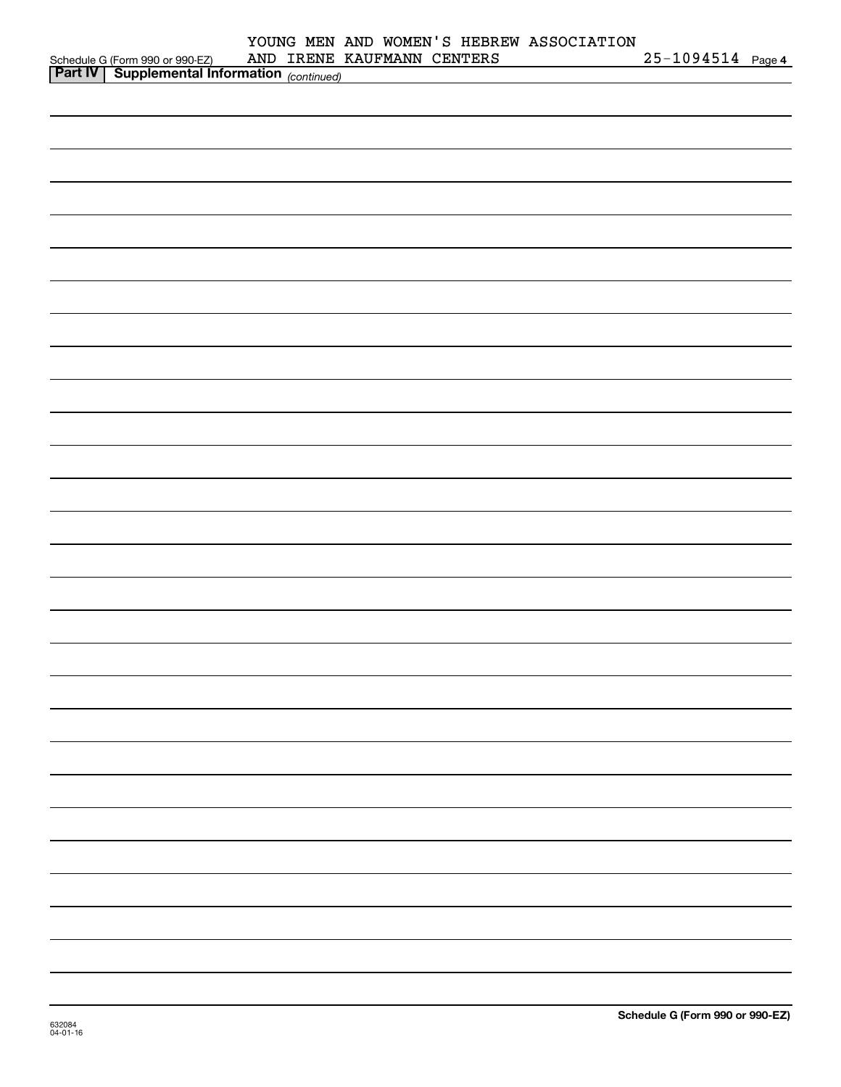| Schedule G (Form 990 or 990-EZ) AND IRENE<br><b>Part IV</b> Supplemental Information (continued) | AND IRENE KAUFMANN CENTERS | $25 - 1094514$ Page 4 |
|--------------------------------------------------------------------------------------------------|----------------------------|-----------------------|
|                                                                                                  |                            |                       |
|                                                                                                  |                            |                       |
|                                                                                                  |                            |                       |
|                                                                                                  |                            |                       |
|                                                                                                  |                            |                       |
|                                                                                                  |                            |                       |
|                                                                                                  |                            |                       |
|                                                                                                  |                            |                       |
|                                                                                                  |                            |                       |
|                                                                                                  |                            |                       |
|                                                                                                  |                            |                       |
|                                                                                                  |                            |                       |
|                                                                                                  |                            |                       |
|                                                                                                  |                            |                       |
|                                                                                                  |                            |                       |
|                                                                                                  |                            |                       |
|                                                                                                  |                            |                       |
|                                                                                                  |                            |                       |
|                                                                                                  |                            |                       |
|                                                                                                  |                            |                       |
|                                                                                                  |                            |                       |
|                                                                                                  |                            |                       |
|                                                                                                  |                            |                       |
|                                                                                                  |                            |                       |
|                                                                                                  |                            |                       |
|                                                                                                  |                            |                       |
|                                                                                                  |                            |                       |
|                                                                                                  |                            |                       |
|                                                                                                  |                            |                       |
|                                                                                                  |                            |                       |
|                                                                                                  |                            |                       |
|                                                                                                  |                            |                       |
|                                                                                                  |                            |                       |
|                                                                                                  |                            |                       |
|                                                                                                  |                            |                       |
|                                                                                                  |                            |                       |
|                                                                                                  |                            |                       |
|                                                                                                  |                            |                       |
|                                                                                                  |                            |                       |
|                                                                                                  |                            |                       |
|                                                                                                  |                            |                       |
|                                                                                                  |                            |                       |
|                                                                                                  |                            |                       |
|                                                                                                  |                            |                       |
|                                                                                                  |                            |                       |
|                                                                                                  |                            |                       |
|                                                                                                  |                            |                       |
|                                                                                                  |                            |                       |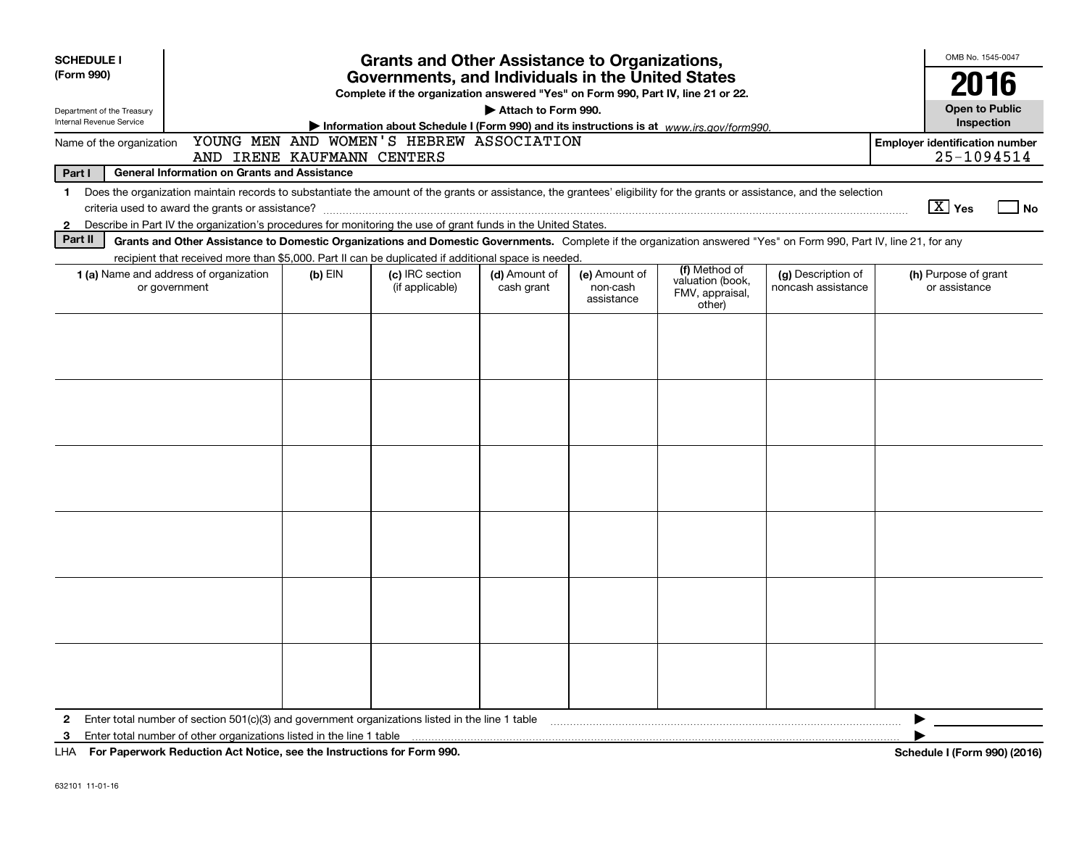| <b>SCHEDULE I</b>                                      | <b>Grants and Other Assistance to Organizations,</b>                                                                                                                                                                                                                                                  |                            |                                                                                                                                       |                             |                                         |                                                                                         |                                          | OMB No. 1545-0047                                   |
|--------------------------------------------------------|-------------------------------------------------------------------------------------------------------------------------------------------------------------------------------------------------------------------------------------------------------------------------------------------------------|----------------------------|---------------------------------------------------------------------------------------------------------------------------------------|-----------------------------|-----------------------------------------|-----------------------------------------------------------------------------------------|------------------------------------------|-----------------------------------------------------|
| (Form 990)                                             |                                                                                                                                                                                                                                                                                                       |                            | Governments, and Individuals in the United States<br>Complete if the organization answered "Yes" on Form 990, Part IV, line 21 or 22. |                             |                                         |                                                                                         |                                          | 2016                                                |
| Department of the Treasury<br>Internal Revenue Service |                                                                                                                                                                                                                                                                                                       |                            |                                                                                                                                       | Attach to Form 990.         |                                         | Information about Schedule I (Form 990) and its instructions is at www.irs.gov/form990. |                                          | <b>Open to Public</b><br>Inspection                 |
| Name of the organization                               |                                                                                                                                                                                                                                                                                                       | AND IRENE KAUFMANN CENTERS | YOUNG MEN AND WOMEN'S HEBREW ASSOCIATION                                                                                              |                             |                                         |                                                                                         |                                          | <b>Employer identification number</b><br>25-1094514 |
| Part I                                                 | <b>General Information on Grants and Assistance</b>                                                                                                                                                                                                                                                   |                            |                                                                                                                                       |                             |                                         |                                                                                         |                                          |                                                     |
| 1.<br>$\mathbf{2}$                                     | Does the organization maintain records to substantiate the amount of the grants or assistance, the grantees' eligibility for the grants or assistance, and the selection<br>Describe in Part IV the organization's procedures for monitoring the use of grant funds in the United States.             |                            |                                                                                                                                       |                             |                                         |                                                                                         |                                          | $\boxed{\text{X}}$ Yes<br>l No                      |
| Part II                                                | Grants and Other Assistance to Domestic Organizations and Domestic Governments. Complete if the organization answered "Yes" on Form 990, Part IV, line 21, for any                                                                                                                                    |                            |                                                                                                                                       |                             |                                         |                                                                                         |                                          |                                                     |
|                                                        | recipient that received more than \$5,000. Part II can be duplicated if additional space is needed.<br>1 (a) Name and address of organization<br>or government                                                                                                                                        | (b) EIN                    | (c) IRC section<br>(if applicable)                                                                                                    | (d) Amount of<br>cash grant | (e) Amount of<br>non-cash<br>assistance | (f) Method of<br>valuation (book,<br>FMV, appraisal,<br>other)                          | (g) Description of<br>noncash assistance | (h) Purpose of grant<br>or assistance               |
|                                                        |                                                                                                                                                                                                                                                                                                       |                            |                                                                                                                                       |                             |                                         |                                                                                         |                                          |                                                     |
|                                                        |                                                                                                                                                                                                                                                                                                       |                            |                                                                                                                                       |                             |                                         |                                                                                         |                                          |                                                     |
|                                                        |                                                                                                                                                                                                                                                                                                       |                            |                                                                                                                                       |                             |                                         |                                                                                         |                                          |                                                     |
|                                                        |                                                                                                                                                                                                                                                                                                       |                            |                                                                                                                                       |                             |                                         |                                                                                         |                                          |                                                     |
|                                                        |                                                                                                                                                                                                                                                                                                       |                            |                                                                                                                                       |                             |                                         |                                                                                         |                                          |                                                     |
|                                                        |                                                                                                                                                                                                                                                                                                       |                            |                                                                                                                                       |                             |                                         |                                                                                         |                                          |                                                     |
| $\mathbf{2}$<br>3                                      | Enter total number of section 501(c)(3) and government organizations listed in the line 1 table [10] concommunically contained interactions and table [10] and property and government organizations listed in the line 1 tabl<br>Pro Bronzo de Britannico Art Notes - con de Junhora de Art Prou 000 |                            |                                                                                                                                       |                             |                                         |                                                                                         |                                          | 0.00110040                                          |

**For Paperwork Reduction Act Notice, see the Instructions for Form 990. Schedule I (Form 990) (2016)** LHA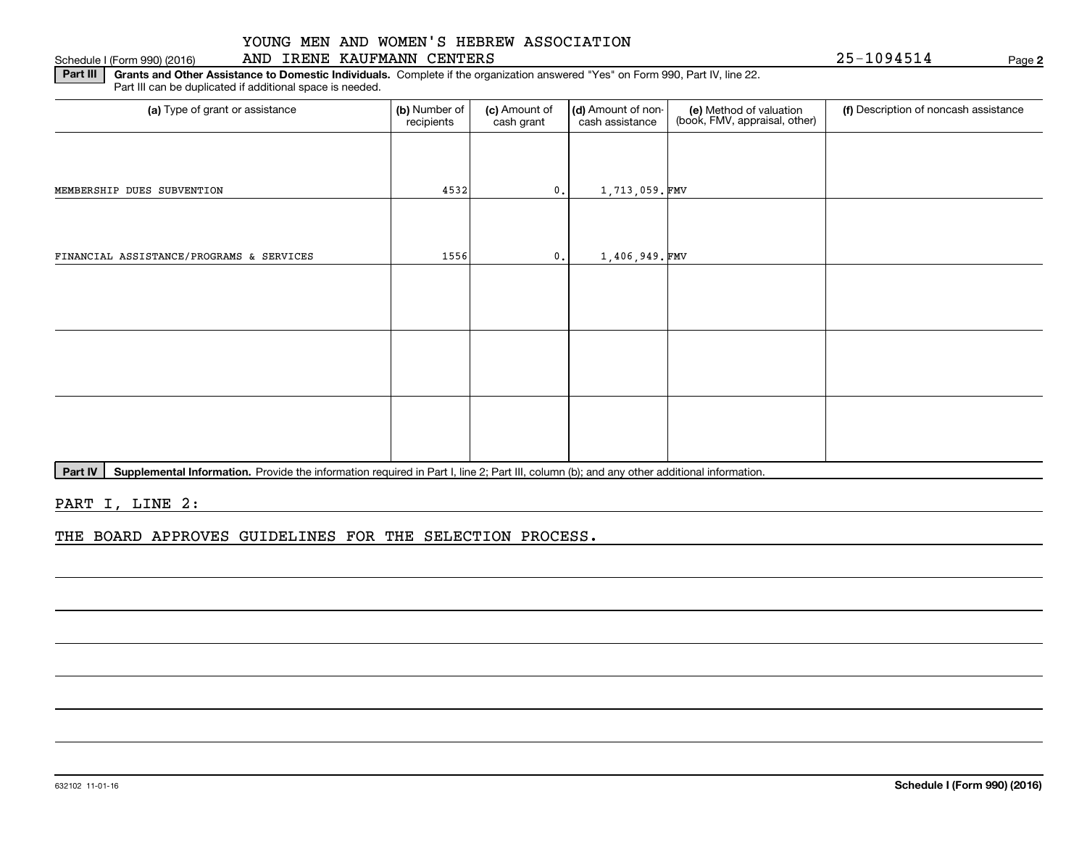# Schedule I (Form 990) (2016) **AND IRENE KAUFMANN CENTERS** Page

**2**

**Part III | Grants and Other Assistance to Domestic Individuals. Complete if the organization answered "Yes" on Form 990, Part IV, line 22.** Part III can be duplicated if additional space is needed.

| (a) Type of grant or assistance          | (b) Number of<br>recipients | (c) Amount of<br>cash grant | (d) Amount of non-<br>cash assistance | (e) Method of valuation<br>(book, FMV, appraisal, other) | (f) Description of noncash assistance |
|------------------------------------------|-----------------------------|-----------------------------|---------------------------------------|----------------------------------------------------------|---------------------------------------|
|                                          |                             |                             |                                       |                                                          |                                       |
| MEMBERSHIP DUES SUBVENTION               | 4532                        | 0.                          | 1,713,059.FMV                         |                                                          |                                       |
|                                          |                             |                             |                                       |                                                          |                                       |
| FINANCIAL ASSISTANCE/PROGRAMS & SERVICES | 1556                        | 0.                          | $1,406,949$ . FMV                     |                                                          |                                       |
|                                          |                             |                             |                                       |                                                          |                                       |
|                                          |                             |                             |                                       |                                                          |                                       |
|                                          |                             |                             |                                       |                                                          |                                       |
|                                          |                             |                             |                                       |                                                          |                                       |
|                                          |                             |                             |                                       |                                                          |                                       |
|                                          |                             |                             |                                       |                                                          |                                       |

Part IV | Supplemental Information. Provide the information required in Part I, line 2; Part III, column (b); and any other additional information.

PART I, LINE 2:

THE BOARD APPROVES GUIDELINES FOR THE SELECTION PROCESS.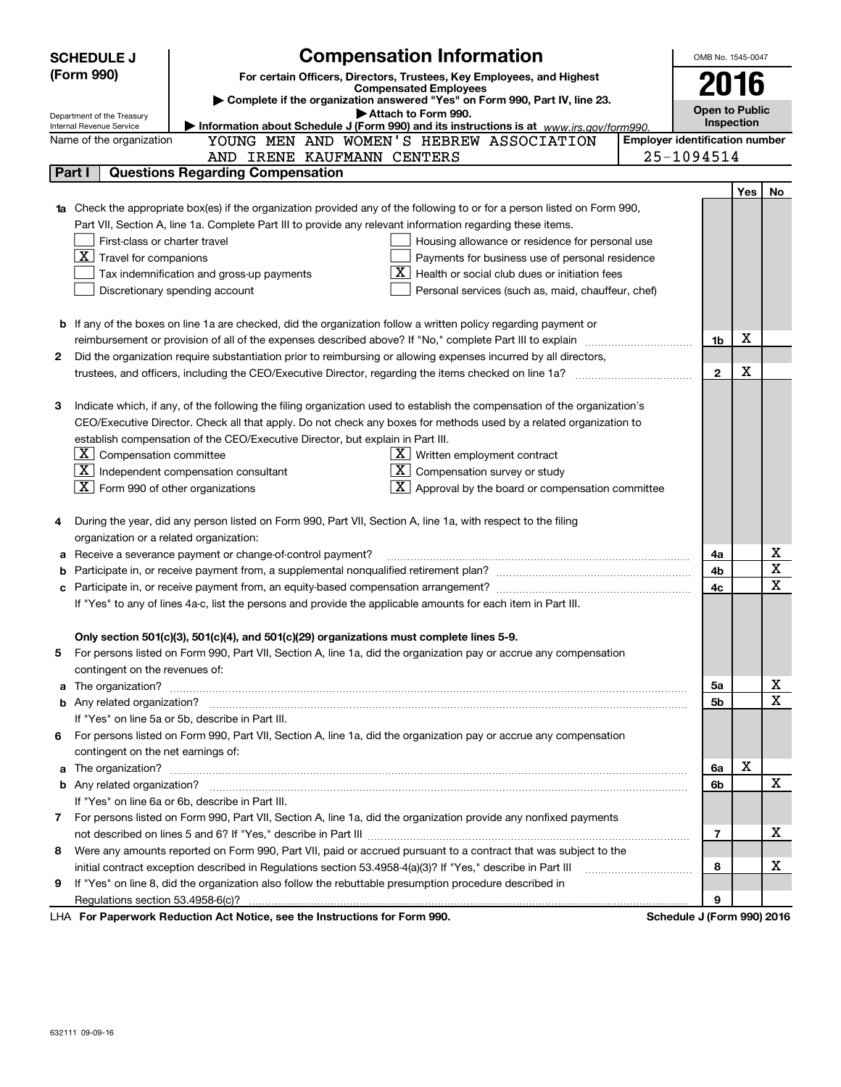|   | <b>SCHEDULE J</b>                                                                   | <b>Compensation Information</b>                                                                                           |                                       | OMB No. 1545-0047         |            |        |  |
|---|-------------------------------------------------------------------------------------|---------------------------------------------------------------------------------------------------------------------------|---------------------------------------|---------------------------|------------|--------|--|
|   | (Form 990)<br>For certain Officers, Directors, Trustees, Key Employees, and Highest |                                                                                                                           |                                       |                           |            |        |  |
|   | 2016<br><b>Compensated Employees</b>                                                |                                                                                                                           |                                       |                           |            |        |  |
|   |                                                                                     | Complete if the organization answered "Yes" on Form 990, Part IV, line 23.<br>Attach to Form 990.                         |                                       | <b>Open to Public</b>     |            |        |  |
|   | Department of the Treasury<br>Internal Revenue Service                              | Information about Schedule J (Form 990) and its instructions is at www.irs.gov/form990.                                   |                                       |                           | Inspection |        |  |
|   | Name of the organization                                                            | YOUNG MEN AND WOMEN'S HEBREW ASSOCIATION                                                                                  | <b>Employer identification number</b> |                           |            |        |  |
|   |                                                                                     | AND IRENE KAUFMANN CENTERS                                                                                                |                                       | 25-1094514                |            |        |  |
|   | Part I                                                                              | <b>Questions Regarding Compensation</b>                                                                                   |                                       |                           |            |        |  |
|   |                                                                                     |                                                                                                                           |                                       |                           | Yes        | No     |  |
|   |                                                                                     | Check the appropriate box(es) if the organization provided any of the following to or for a person listed on Form 990,    |                                       |                           |            |        |  |
|   |                                                                                     | Part VII, Section A, line 1a. Complete Part III to provide any relevant information regarding these items.                |                                       |                           |            |        |  |
|   | First-class or charter travel                                                       | Housing allowance or residence for personal use                                                                           |                                       |                           |            |        |  |
|   | $\overline{X}$ Travel for companions                                                | Payments for business use of personal residence                                                                           |                                       |                           |            |        |  |
|   |                                                                                     | X.<br>Health or social club dues or initiation fees<br>Tax indemnification and gross-up payments                          |                                       |                           |            |        |  |
|   |                                                                                     | Discretionary spending account<br>Personal services (such as, maid, chauffeur, chef)                                      |                                       |                           |            |        |  |
|   |                                                                                     |                                                                                                                           |                                       |                           |            |        |  |
|   |                                                                                     | <b>b</b> If any of the boxes on line 1a are checked, did the organization follow a written policy regarding payment or    |                                       |                           |            |        |  |
|   |                                                                                     |                                                                                                                           |                                       | 1b                        | х          |        |  |
| 2 |                                                                                     | Did the organization require substantiation prior to reimbursing or allowing expenses incurred by all directors,          |                                       |                           |            |        |  |
|   |                                                                                     |                                                                                                                           |                                       | $\mathbf{2}$              | X          |        |  |
|   |                                                                                     |                                                                                                                           |                                       |                           |            |        |  |
| З |                                                                                     | Indicate which, if any, of the following the filing organization used to establish the compensation of the organization's |                                       |                           |            |        |  |
|   |                                                                                     | CEO/Executive Director. Check all that apply. Do not check any boxes for methods used by a related organization to        |                                       |                           |            |        |  |
|   |                                                                                     | establish compensation of the CEO/Executive Director, but explain in Part III.                                            |                                       |                           |            |        |  |
|   | $\boxed{\textbf{X}}$ Compensation committee                                         | $X$ Written employment contract                                                                                           |                                       |                           |            |        |  |
|   |                                                                                     | $\boxed{\textbf{X}}$ Independent compensation consultant<br>$\overline{X}$ Compensation survey or study                   |                                       |                           |            |        |  |
|   | $\boxed{\textbf{X}}$ Form 990 of other organizations                                | $\boxed{\textbf{X}}$ Approval by the board or compensation committee                                                      |                                       |                           |            |        |  |
|   |                                                                                     |                                                                                                                           |                                       |                           |            |        |  |
| 4 |                                                                                     | During the year, did any person listed on Form 990, Part VII, Section A, line 1a, with respect to the filing              |                                       |                           |            |        |  |
|   | organization or a related organization:                                             |                                                                                                                           |                                       |                           |            |        |  |
| а |                                                                                     | Receive a severance payment or change-of-control payment?                                                                 |                                       | 4a                        |            | x      |  |
| b |                                                                                     |                                                                                                                           |                                       | 4b                        |            | X      |  |
|   |                                                                                     |                                                                                                                           |                                       | 4c                        |            | X      |  |
|   |                                                                                     | If "Yes" to any of lines 4a-c, list the persons and provide the applicable amounts for each item in Part III.             |                                       |                           |            |        |  |
|   |                                                                                     |                                                                                                                           |                                       |                           |            |        |  |
|   |                                                                                     | Only section 501(c)(3), 501(c)(4), and 501(c)(29) organizations must complete lines 5-9.                                  |                                       |                           |            |        |  |
| 5 |                                                                                     | For persons listed on Form 990, Part VII, Section A, line 1a, did the organization pay or accrue any compensation         |                                       |                           |            |        |  |
|   | contingent on the revenues of:                                                      |                                                                                                                           |                                       |                           |            |        |  |
| a |                                                                                     |                                                                                                                           |                                       | 5a                        |            | х<br>X |  |
|   |                                                                                     |                                                                                                                           |                                       | 5b                        |            |        |  |
|   |                                                                                     | If "Yes" on line 5a or 5b, describe in Part III.                                                                          |                                       |                           |            |        |  |
| 6 |                                                                                     | For persons listed on Form 990, Part VII, Section A, line 1a, did the organization pay or accrue any compensation         |                                       |                           |            |        |  |
|   | contingent on the net earnings of:                                                  |                                                                                                                           |                                       |                           | X          |        |  |
| a |                                                                                     |                                                                                                                           |                                       | 6a                        |            | X      |  |
|   |                                                                                     |                                                                                                                           |                                       | 6b                        |            |        |  |
|   |                                                                                     | If "Yes" on line 6a or 6b, describe in Part III.                                                                          |                                       |                           |            |        |  |
|   |                                                                                     | 7 For persons listed on Form 990, Part VII, Section A, line 1a, did the organization provide any nonfixed payments        |                                       |                           |            | х      |  |
|   |                                                                                     | Were any amounts reported on Form 990, Part VII, paid or accrued pursuant to a contract that was subject to the           |                                       | 7                         |            |        |  |
| 8 |                                                                                     |                                                                                                                           |                                       | 8                         |            | х      |  |
| 9 |                                                                                     | initial contract exception described in Regulations section 53.4958-4(a)(3)? If "Yes," describe in Part III               |                                       |                           |            |        |  |
|   |                                                                                     | If "Yes" on line 8, did the organization also follow the rebuttable presumption procedure described in                    |                                       | 9                         |            |        |  |
|   |                                                                                     | For Departuark Poduction Act Notice, see the Instructions for Form 000                                                    |                                       | Pohodulo 1/Form 000) 2016 |            |        |  |

LHA For Paperwork Reduction Act Notice, see the Instructions for Form 990. Schedule J (Form 990) 2016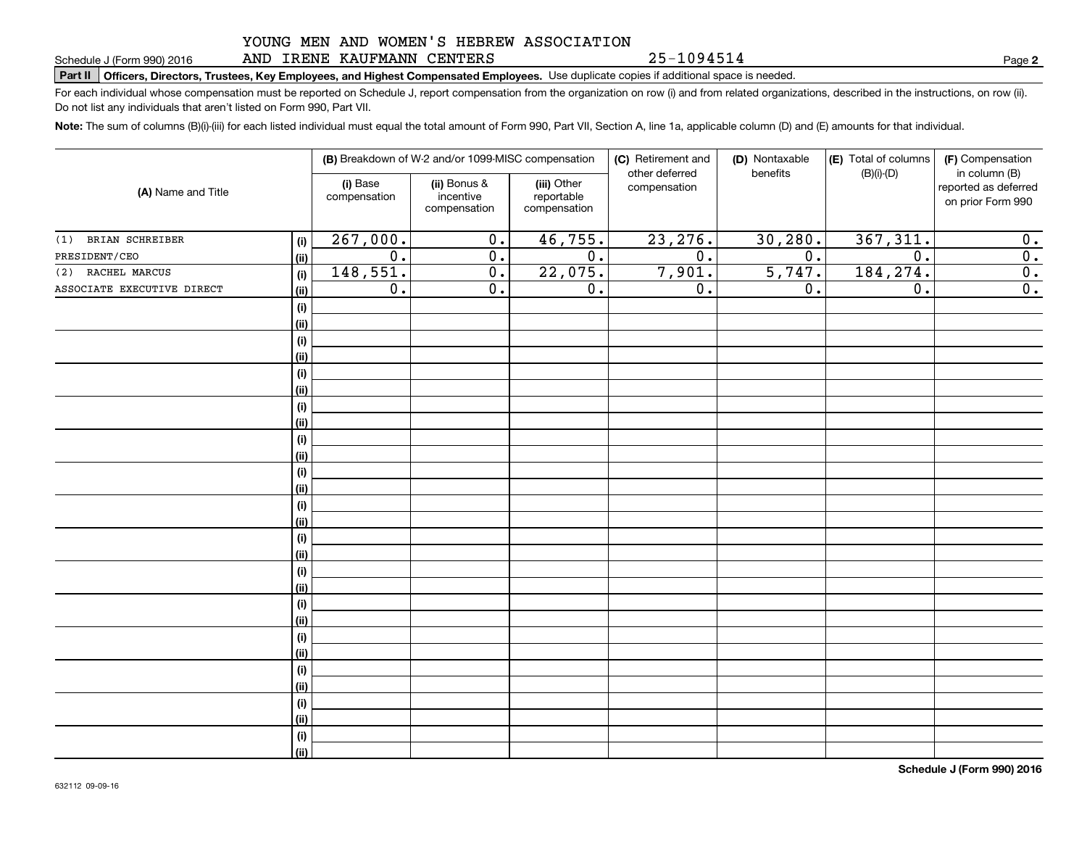25-1094514

**2**

# **Part II Officers, Directors, Trustees, Key Employees, and Highest Compensated Employees.**  Schedule J (Form 990) 2016 Page Use duplicate copies if additional space is needed.

AND IRENE KAUFMANN CENTERS

For each individual whose compensation must be reported on Schedule J, report compensation from the organization on row (i) and from related organizations, described in the instructions, on row (ii). Do not list any individuals that aren't listed on Form 990, Part VII.

**Note:**  The sum of columns (B)(i)-(iii) for each listed individual must equal the total amount of Form 990, Part VII, Section A, line 1a, applicable column (D) and (E) amounts for that individual.

| (A) Name and Title         |      |                          | (B) Breakdown of W-2 and/or 1099-MISC compensation |                                           | (C) Retirement and             | (D) Nontaxable   | (E) Total of columns<br>benefits |                                                            |  |
|----------------------------|------|--------------------------|----------------------------------------------------|-------------------------------------------|--------------------------------|------------------|----------------------------------|------------------------------------------------------------|--|
|                            |      | (i) Base<br>compensation | (ii) Bonus &<br>incentive<br>compensation          | (iii) Other<br>reportable<br>compensation | other deferred<br>compensation |                  | $(B)(i)-(D)$                     | in column (B)<br>reported as deferred<br>on prior Form 990 |  |
| BRIAN SCHREIBER<br>(1)     | (i)  | 267,000.                 | $\overline{0}$ .                                   | 46,755.                                   | 23, 276.                       | 30, 280.         | 367, 311.                        | 0.                                                         |  |
| PRESIDENT/CEO              | (ii) | $\overline{0}$ .         | $\overline{0}$ .                                   | $\overline{0}$ .                          | $\overline{0}$ .               | $\overline{0}$ . | $\overline{0}$ .                 | $\overline{0}$ .                                           |  |
| RACHEL MARCUS<br>(2)       | (i)  | 148,551.                 | $\overline{0}$ .                                   | 22,075.                                   | 7,901.                         | 5,747.           | 184, 274.                        | $\overline{0}$ .                                           |  |
| ASSOCIATE EXECUTIVE DIRECT | (ii) | $\overline{0}$ .         | $\overline{0}$ .                                   | $\overline{0}$ .                          | $\overline{0}$ .               | $\overline{0}$ . | $\overline{0}$ .                 | $\overline{0}$ .                                           |  |
|                            | (i)  |                          |                                                    |                                           |                                |                  |                                  |                                                            |  |
|                            | (ii) |                          |                                                    |                                           |                                |                  |                                  |                                                            |  |
|                            | (i)  |                          |                                                    |                                           |                                |                  |                                  |                                                            |  |
|                            | (ii) |                          |                                                    |                                           |                                |                  |                                  |                                                            |  |
|                            | (i)  |                          |                                                    |                                           |                                |                  |                                  |                                                            |  |
|                            | (ii) |                          |                                                    |                                           |                                |                  |                                  |                                                            |  |
|                            | (i)  |                          |                                                    |                                           |                                |                  |                                  |                                                            |  |
|                            | (ii) |                          |                                                    |                                           |                                |                  |                                  |                                                            |  |
|                            | (i)  |                          |                                                    |                                           |                                |                  |                                  |                                                            |  |
|                            | (ii) |                          |                                                    |                                           |                                |                  |                                  |                                                            |  |
|                            | (i)  |                          |                                                    |                                           |                                |                  |                                  |                                                            |  |
|                            | (ii) |                          |                                                    |                                           |                                |                  |                                  |                                                            |  |
|                            | (i)  |                          |                                                    |                                           |                                |                  |                                  |                                                            |  |
|                            | (ii) |                          |                                                    |                                           |                                |                  |                                  |                                                            |  |
|                            | (i)  |                          |                                                    |                                           |                                |                  |                                  |                                                            |  |
|                            | (ii) |                          |                                                    |                                           |                                |                  |                                  |                                                            |  |
|                            | (i)  |                          |                                                    |                                           |                                |                  |                                  |                                                            |  |
|                            | (ii) |                          |                                                    |                                           |                                |                  |                                  |                                                            |  |
|                            | (i)  |                          |                                                    |                                           |                                |                  |                                  |                                                            |  |
|                            | (ii) |                          |                                                    |                                           |                                |                  |                                  |                                                            |  |
|                            | (i)  |                          |                                                    |                                           |                                |                  |                                  |                                                            |  |
|                            | (ii) |                          |                                                    |                                           |                                |                  |                                  |                                                            |  |
|                            | (i)  |                          |                                                    |                                           |                                |                  |                                  |                                                            |  |
|                            | (ii) |                          |                                                    |                                           |                                |                  |                                  |                                                            |  |
|                            | (i)  |                          |                                                    |                                           |                                |                  |                                  |                                                            |  |
|                            | (ii) |                          |                                                    |                                           |                                |                  |                                  |                                                            |  |
|                            | (i)  |                          |                                                    |                                           |                                |                  |                                  |                                                            |  |
|                            | (ii) |                          |                                                    |                                           |                                |                  |                                  |                                                            |  |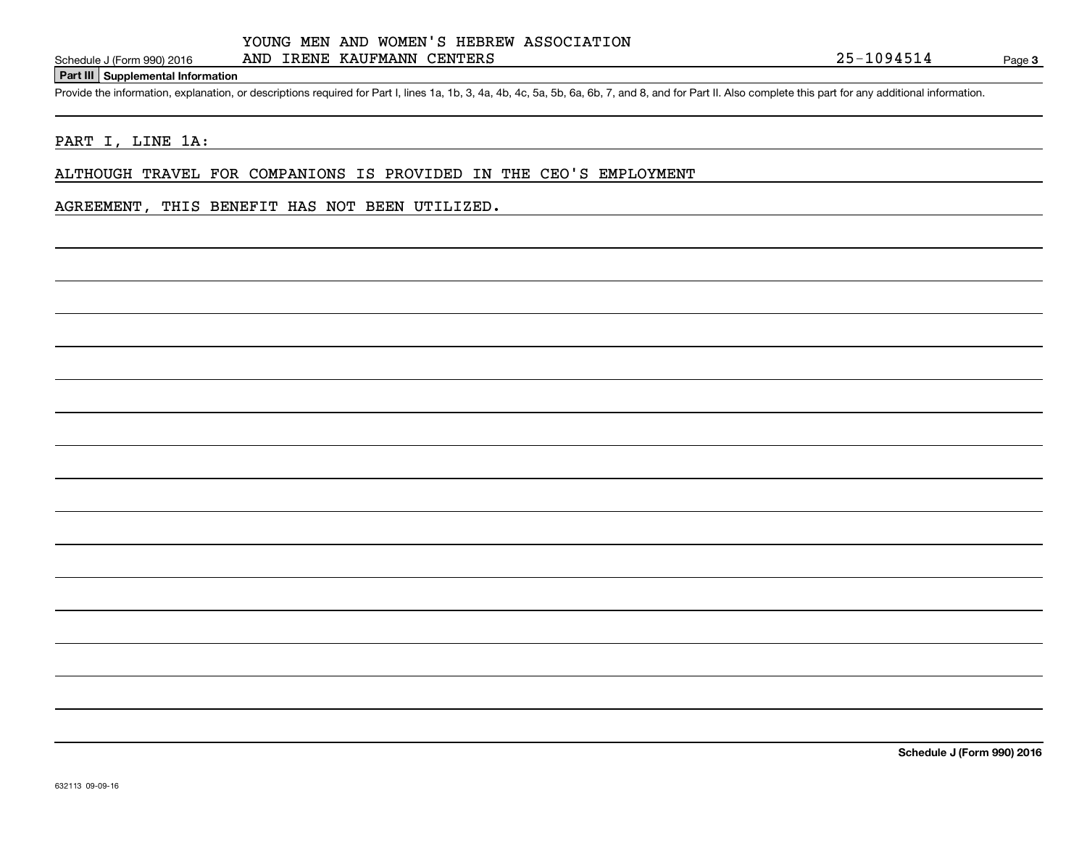#### **Part III Supplemental Information**

Schedule J (Form 990) 2016 AND IRENE KAUFMANN CENTERS<br>Part III Supplemental Information<br>Provide the information, explanation, or descriptions required for Part I, lines 1a, 1b, 3, 4a, 4b, 4c, 5a, 5b, 6a, 6b, 7, and 8, and

# PART I, LINE 1A:

ALTHOUGH TRAVEL FOR COMPANIONS IS PROVIDED IN THE CEO'S EMPLOYMENT

# AGREEMENT, THIS BENEFIT HAS NOT BEEN UTILIZED.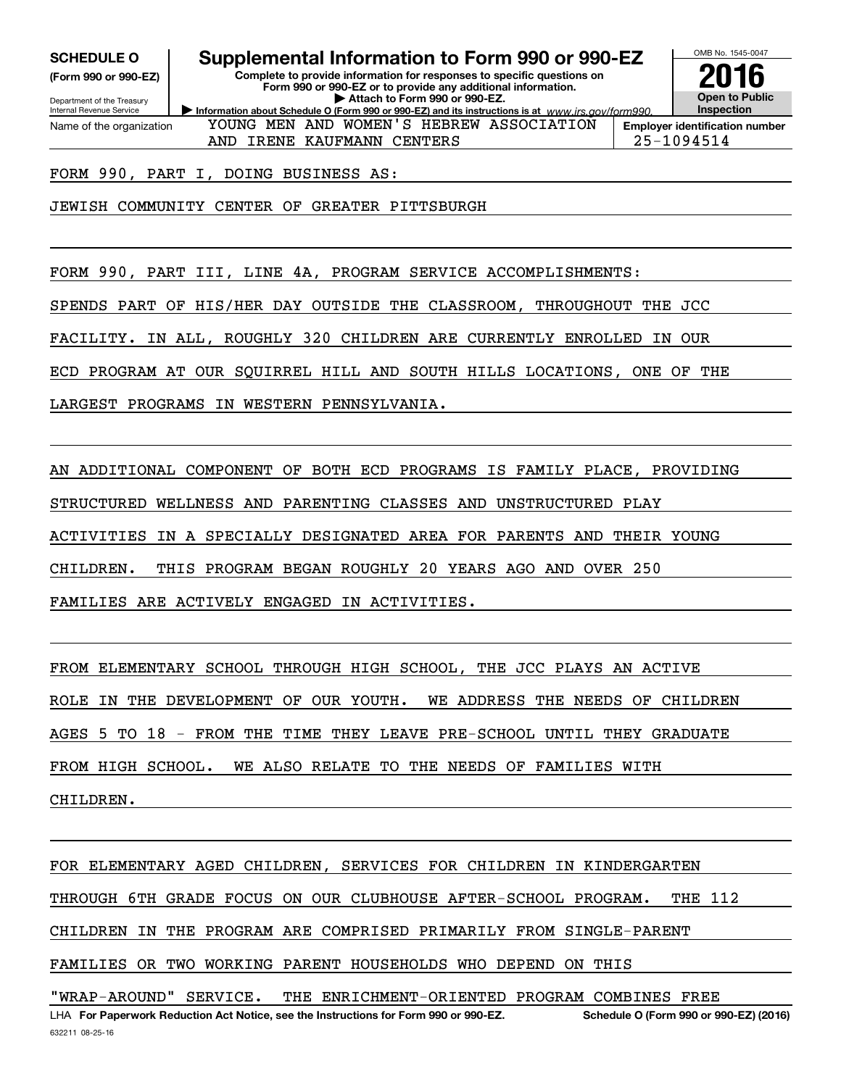**(Form 990 or 990-EZ)**

Department of the Treasury Internal Revenue Service Name of the organization

# **SCHEDULE O Supplemental Information to Form 990 or 990-EZ**

**Information about Schedule O (Form 990 or 990-EZ) and its instructions is at**  $www.irs.gov/form990.$ **Complete to provide information for responses to specific questions on Form 990 or 990-EZ or to provide any additional information. | Attach to Form 990 or 990-EZ.**

YOUNG MEN AND WOMEN'S HEBREW ASSOCIATION



**Employer identification number** AND IRENE KAUFMANN CENTERS | 25-1094514

FORM 990, PART I, DOING BUSINESS AS:

JEWISH COMMUNITY CENTER OF GREATER PITTSBURGH

FORM 990, PART III, LINE 4A, PROGRAM SERVICE ACCOMPLISHMENTS:

SPENDS PART OF HIS/HER DAY OUTSIDE THE CLASSROOM, THROUGHOUT THE JCC

FACILITY. IN ALL, ROUGHLY 320 CHILDREN ARE CURRENTLY ENROLLED IN OUR

ECD PROGRAM AT OUR SQUIRREL HILL AND SOUTH HILLS LOCATIONS, ONE OF THE

LARGEST PROGRAMS IN WESTERN PENNSYLVANIA.

AN ADDITIONAL COMPONENT OF BOTH ECD PROGRAMS IS FAMILY PLACE, PROVIDING STRUCTURED WELLNESS AND PARENTING CLASSES AND UNSTRUCTURED PLAY ACTIVITIES IN A SPECIALLY DESIGNATED AREA FOR PARENTS AND THEIR YOUNG CHILDREN. THIS PROGRAM BEGAN ROUGHLY 20 YEARS AGO AND OVER 250 FAMILIES ARE ACTIVELY ENGAGED IN ACTIVITIES.

FROM ELEMENTARY SCHOOL THROUGH HIGH SCHOOL, THE JCC PLAYS AN ACTIVE ROLE IN THE DEVELOPMENT OF OUR YOUTH. WE ADDRESS THE NEEDS OF CHILDREN AGES 5 TO 18 - FROM THE TIME THEY LEAVE PRE-SCHOOL UNTIL THEY GRADUATE FROM HIGH SCHOOL. WE ALSO RELATE TO THE NEEDS OF FAMILIES WITH CHILDREN.

LHA For Paperwork Reduction Act Notice, see the Instructions for Form 990 or 990-EZ. Schedule O (Form 990 or 990-EZ) (2016) FOR ELEMENTARY AGED CHILDREN, SERVICES FOR CHILDREN IN KINDERGARTEN THROUGH 6TH GRADE FOCUS ON OUR CLUBHOUSE AFTER-SCHOOL PROGRAM. THE 112 CHILDREN IN THE PROGRAM ARE COMPRISED PRIMARILY FROM SINGLE-PARENT FAMILIES OR TWO WORKING PARENT HOUSEHOLDS WHO DEPEND ON THIS "WRAP-AROUND" SERVICE. THE ENRICHMENT-ORIENTED PROGRAM COMBINES FREE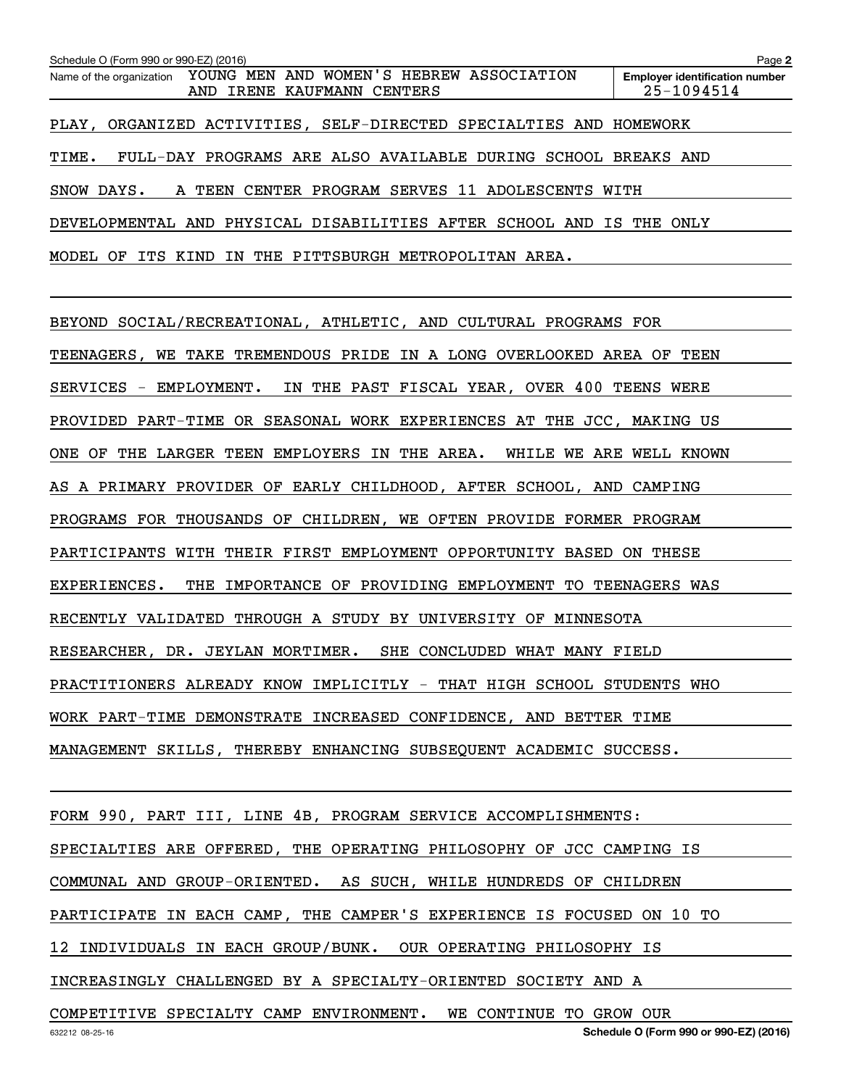| Schedule O (Form 990 or 990-EZ) (2016)<br>Page 2 |                                                                      |                                       |  |  |  |  |  |
|--------------------------------------------------|----------------------------------------------------------------------|---------------------------------------|--|--|--|--|--|
|                                                  | Name of the organization YOUNG MEN AND WOMEN'S HEBREW ASSOCIATION    | <b>Employer identification number</b> |  |  |  |  |  |
|                                                  | AND IRENE KAUFMANN CENTERS                                           | 25-1094514                            |  |  |  |  |  |
|                                                  | PLAY, ORGANIZED ACTIVITIES, SELF-DIRECTED SPECIALTIES AND HOMEWORK   |                                       |  |  |  |  |  |
| TIME.                                            | FULL-DAY PROGRAMS ARE ALSO AVAILABLE DURING SCHOOL BREAKS AND        |                                       |  |  |  |  |  |
|                                                  | SNOW DAYS. A TEEN CENTER PROGRAM SERVES 11 ADOLESCENTS WITH          |                                       |  |  |  |  |  |
|                                                  | DEVELOPMENTAL AND PHYSICAL DISABILITIES AFTER SCHOOL AND IS THE ONLY |                                       |  |  |  |  |  |
|                                                  | MODEL OF ITS KIND IN THE PITTSBURGH METROPOLITAN AREA.               |                                       |  |  |  |  |  |

BEYOND SOCIAL/RECREATIONAL, ATHLETIC, AND CULTURAL PROGRAMS FOR TEENAGERS, WE TAKE TREMENDOUS PRIDE IN A LONG OVERLOOKED AREA OF TEEN SERVICES - EMPLOYMENT. IN THE PAST FISCAL YEAR, OVER 400 TEENS WERE PROVIDED PART-TIME OR SEASONAL WORK EXPERIENCES AT THE JCC, MAKING US ONE OF THE LARGER TEEN EMPLOYERS IN THE AREA. WHILE WE ARE WELL KNOWN AS A PRIMARY PROVIDER OF EARLY CHILDHOOD, AFTER SCHOOL, AND CAMPING PROGRAMS FOR THOUSANDS OF CHILDREN, WE OFTEN PROVIDE FORMER PROGRAM PARTICIPANTS WITH THEIR FIRST EMPLOYMENT OPPORTUNITY BASED ON THESE EXPERIENCES. THE IMPORTANCE OF PROVIDING EMPLOYMENT TO TEENAGERS WAS RECENTLY VALIDATED THROUGH A STUDY BY UNIVERSITY OF MINNESOTA RESEARCHER, DR. JEYLAN MORTIMER. SHE CONCLUDED WHAT MANY FIELD PRACTITIONERS ALREADY KNOW IMPLICITLY - THAT HIGH SCHOOL STUDENTS WHO WORK PART-TIME DEMONSTRATE INCREASED CONFIDENCE, AND BETTER TIME MANAGEMENT SKILLS, THEREBY ENHANCING SUBSEQUENT ACADEMIC SUCCESS.

FORM 990, PART III, LINE 4B, PROGRAM SERVICE ACCOMPLISHMENTS: SPECIALTIES ARE OFFERED, THE OPERATING PHILOSOPHY OF JCC CAMPING IS COMMUNAL AND GROUP-ORIENTED. AS SUCH, WHILE HUNDREDS OF CHILDREN PARTICIPATE IN EACH CAMP, THE CAMPER'S EXPERIENCE IS FOCUSED ON 10 TO 12 INDIVIDUALS IN EACH GROUP/BUNK. OUR OPERATING PHILOSOPHY IS INCREASINGLY CHALLENGED BY A SPECIALTY-ORIENTED SOCIETY AND A COMPETITIVE SPECIALTY CAMP ENVIRONMENT. WE CONTINUE TO GROW OUR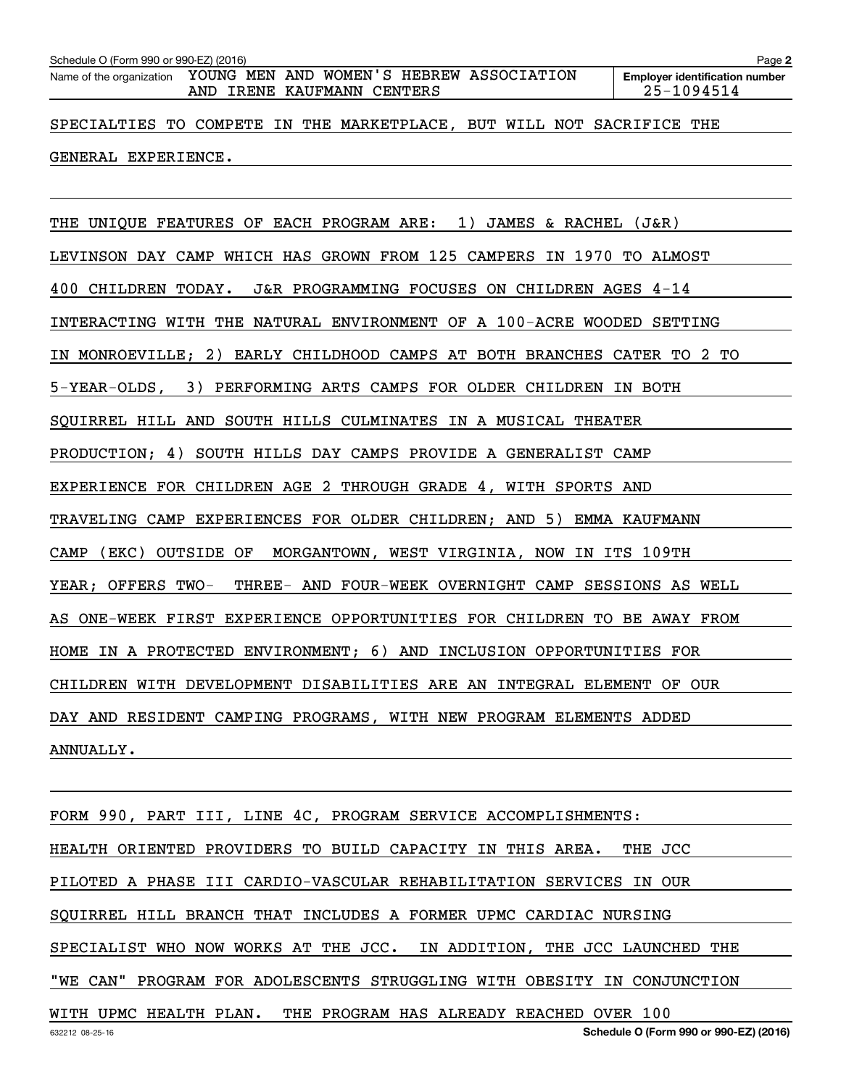| Schedule O (Form 990 or 990-EZ) (2016)<br>Name of the organization YOUNG MEN AND WOMEN'S HEBREW ASSOCIATION<br>AND IRENE KAUFMANN CENTERS | Page 2<br><b>Employer identification number</b><br>25-1094514 |  |  |  |  |  |  |
|-------------------------------------------------------------------------------------------------------------------------------------------|---------------------------------------------------------------|--|--|--|--|--|--|
| SPECIALTIES TO COMPETE IN THE MARKETPLACE, BUT WILL NOT SACRIFICE THE                                                                     |                                                               |  |  |  |  |  |  |
| GENERAL EXPERIENCE.                                                                                                                       |                                                               |  |  |  |  |  |  |

THE UNIQUE FEATURES OF EACH PROGRAM ARE: 1) JAMES & RACHEL (J&R) LEVINSON DAY CAMP WHICH HAS GROWN FROM 125 CAMPERS IN 1970 TO ALMOST 400 CHILDREN TODAY. J&R PROGRAMMING FOCUSES ON CHILDREN AGES 4-14 INTERACTING WITH THE NATURAL ENVIRONMENT OF A 100-ACRE WOODED SETTING IN MONROEVILLE; 2) EARLY CHILDHOOD CAMPS AT BOTH BRANCHES CATER TO 2 TO 5-YEAR-OLDS, 3) PERFORMING ARTS CAMPS FOR OLDER CHILDREN IN BOTH SQUIRREL HILL AND SOUTH HILLS CULMINATES IN A MUSICAL THEATER PRODUCTION; 4) SOUTH HILLS DAY CAMPS PROVIDE A GENERALIST CAMP EXPERIENCE FOR CHILDREN AGE 2 THROUGH GRADE 4, WITH SPORTS AND TRAVELING CAMP EXPERIENCES FOR OLDER CHILDREN; AND 5) EMMA KAUFMANN CAMP (EKC) OUTSIDE OF MORGANTOWN, WEST VIRGINIA, NOW IN ITS 109TH YEAR; OFFERS TWO- THREE- AND FOUR-WEEK OVERNIGHT CAMP SESSIONS AS WELL AS ONE-WEEK FIRST EXPERIENCE OPPORTUNITIES FOR CHILDREN TO BE AWAY FROM HOME IN A PROTECTED ENVIRONMENT; 6) AND INCLUSION OPPORTUNITIES FOR CHILDREN WITH DEVELOPMENT DISABILITIES ARE AN INTEGRAL ELEMENT OF OUR DAY AND RESIDENT CAMPING PROGRAMS, WITH NEW PROGRAM ELEMENTS ADDED ANNUALLY.

632212 08-25-16 FORM 990, PART III, LINE 4C, PROGRAM SERVICE ACCOMPLISHMENTS: HEALTH ORIENTED PROVIDERS TO BUILD CAPACITY IN THIS AREA. THE JCC PILOTED A PHASE III CARDIO-VASCULAR REHABILITATION SERVICES IN OUR SQUIRREL HILL BRANCH THAT INCLUDES A FORMER UPMC CARDIAC NURSING SPECIALIST WHO NOW WORKS AT THE JCC. IN ADDITION, THE JCC LAUNCHED THE "WE CAN" PROGRAM FOR ADOLESCENTS STRUGGLING WITH OBESITY IN CONJUNCTION WITH UPMC HEALTH PLAN. THE PROGRAM HAS ALREADY REACHED OVER 100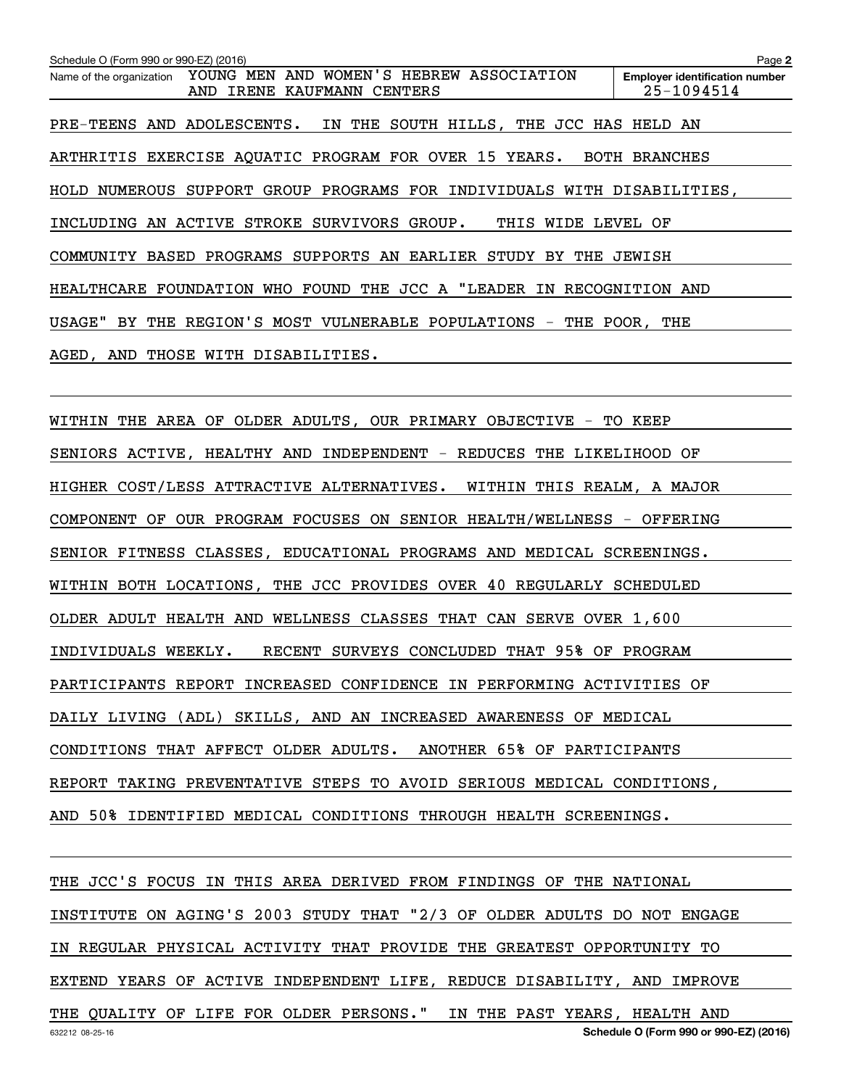**2Employer identification number** Schedule O (Form 990 or 990-EZ) (2016)<br>Name of the organization YOUNG MEN AND WOMEN'S HEBREW ASSOCIATION Employer identification number PRE-TEENS AND ADOLESCENTS. IN THE SOUTH HILLS, THE JCC HAS HELD AN ARTHRITIS EXERCISE AQUATIC PROGRAM FOR OVER 15 YEARS. BOTH BRANCHES HOLD NUMEROUS SUPPORT GROUP PROGRAMS FOR INDIVIDUALS WITH DISABILITIES, INCLUDING AN ACTIVE STROKE SURVIVORS GROUP. THIS WIDE LEVEL OF COMMUNITY BASED PROGRAMS SUPPORTS AN EARLIER STUDY BY THE JEWISH HEALTHCARE FOUNDATION WHO FOUND THE JCC A "LEADER IN RECOGNITION AND USAGE" BY THE REGION'S MOST VULNERABLE POPULATIONS - THE POOR, THE AGED, AND THOSE WITH DISABILITIES. AND IRENE KAUFMANN CENTERS 25-1094514

WITHIN THE AREA OF OLDER ADULTS, OUR PRIMARY OBJECTIVE - TO KEEP SENIORS ACTIVE, HEALTHY AND INDEPENDENT - REDUCES THE LIKELIHOOD OF HIGHER COST/LESS ATTRACTIVE ALTERNATIVES. WITHIN THIS REALM, A MAJOR COMPONENT OF OUR PROGRAM FOCUSES ON SENIOR HEALTH/WELLNESS - OFFERING SENIOR FITNESS CLASSES, EDUCATIONAL PROGRAMS AND MEDICAL SCREENINGS. WITHIN BOTH LOCATIONS, THE JCC PROVIDES OVER 40 REGULARLY SCHEDULED OLDER ADULT HEALTH AND WELLNESS CLASSES THAT CAN SERVE OVER 1,600 INDIVIDUALS WEEKLY. RECENT SURVEYS CONCLUDED THAT 95% OF PROGRAM PARTICIPANTS REPORT INCREASED CONFIDENCE IN PERFORMING ACTIVITIES OF DAILY LIVING (ADL) SKILLS, AND AN INCREASED AWARENESS OF MEDICAL CONDITIONS THAT AFFECT OLDER ADULTS. ANOTHER 65% OF PARTICIPANTS REPORT TAKING PREVENTATIVE STEPS TO AVOID SERIOUS MEDICAL CONDITIONS, AND 50% IDENTIFIED MEDICAL CONDITIONS THROUGH HEALTH SCREENINGS.

632212 08-25-16 **Schedule O (Form 990 or 990-EZ) (2016)** THE JCC'S FOCUS IN THIS AREA DERIVED FROM FINDINGS OF THE NATIONAL INSTITUTE ON AGING'S 2003 STUDY THAT "2/3 OF OLDER ADULTS DO NOT ENGAGE IN REGULAR PHYSICAL ACTIVITY THAT PROVIDE THE GREATEST OPPORTUNITY TO EXTEND YEARS OF ACTIVE INDEPENDENT LIFE, REDUCE DISABILITY, AND IMPROVE THE QUALITY OF LIFE FOR OLDER PERSONS." IN THE PAST YEARS, HEALTH AND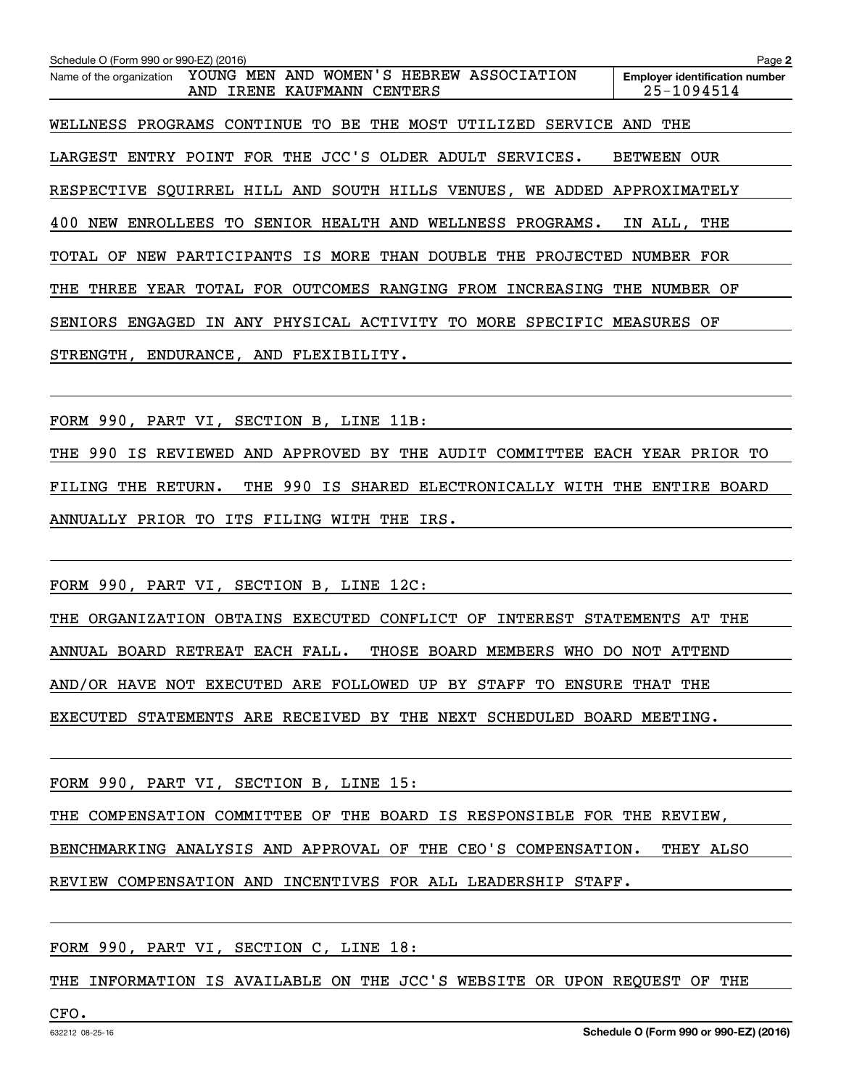**2Employer identification number** Schedule O (Form 990 or 990-EZ) (2016)<br>Name of the organization YOUNG MEN AND WOMEN'S HEBREW ASSOCIATION Employer identification number WELLNESS PROGRAMS CONTINUE TO BE THE MOST UTILIZED SERVICE AND THE LARGEST ENTRY POINT FOR THE JCC'S OLDER ADULT SERVICES. BETWEEN OUR RESPECTIVE SQUIRREL HILL AND SOUTH HILLS VENUES, WE ADDED APPROXIMATELY 400 NEW ENROLLEES TO SENIOR HEALTH AND WELLNESS PROGRAMS. IN ALL, THE TOTAL OF NEW PARTICIPANTS IS MORE THAN DOUBLE THE PROJECTED NUMBER FOR THE THREE YEAR TOTAL FOR OUTCOMES RANGING FROM INCREASING THE NUMBER OF SENIORS ENGAGED IN ANY PHYSICAL ACTIVITY TO MORE SPECIFIC MEASURES OF STRENGTH, ENDURANCE, AND FLEXIBILITY. AND IRENE KAUFMANN CENTERS 25-1094514

FORM 990, PART VI, SECTION B, LINE 11B:

THE 990 IS REVIEWED AND APPROVED BY THE AUDIT COMMITTEE EACH YEAR PRIOR TO FILING THE RETURN. THE 990 IS SHARED ELECTRONICALLY WITH THE ENTIRE BOARD ANNUALLY PRIOR TO ITS FILING WITH THE IRS.

FORM 990, PART VI, SECTION B, LINE 12C:

THE ORGANIZATION OBTAINS EXECUTED CONFLICT OF INTEREST STATEMENTS AT THE ANNUAL BOARD RETREAT EACH FALL. THOSE BOARD MEMBERS WHO DO NOT ATTEND AND/OR HAVE NOT EXECUTED ARE FOLLOWED UP BY STAFF TO ENSURE THAT THE EXECUTED STATEMENTS ARE RECEIVED BY THE NEXT SCHEDULED BOARD MEETING.

FORM 990, PART VI, SECTION B, LINE 15:

THE COMPENSATION COMMITTEE OF THE BOARD IS RESPONSIBLE FOR THE REVIEW,

BENCHMARKING ANALYSIS AND APPROVAL OF THE CEO'S COMPENSATION. THEY ALSO

REVIEW COMPENSATION AND INCENTIVES FOR ALL LEADERSHIP STAFF.

FORM 990, PART VI, SECTION C, LINE 18:

THE INFORMATION IS AVAILABLE ON THE JCC'S WEBSITE OR UPON REQUEST OF THE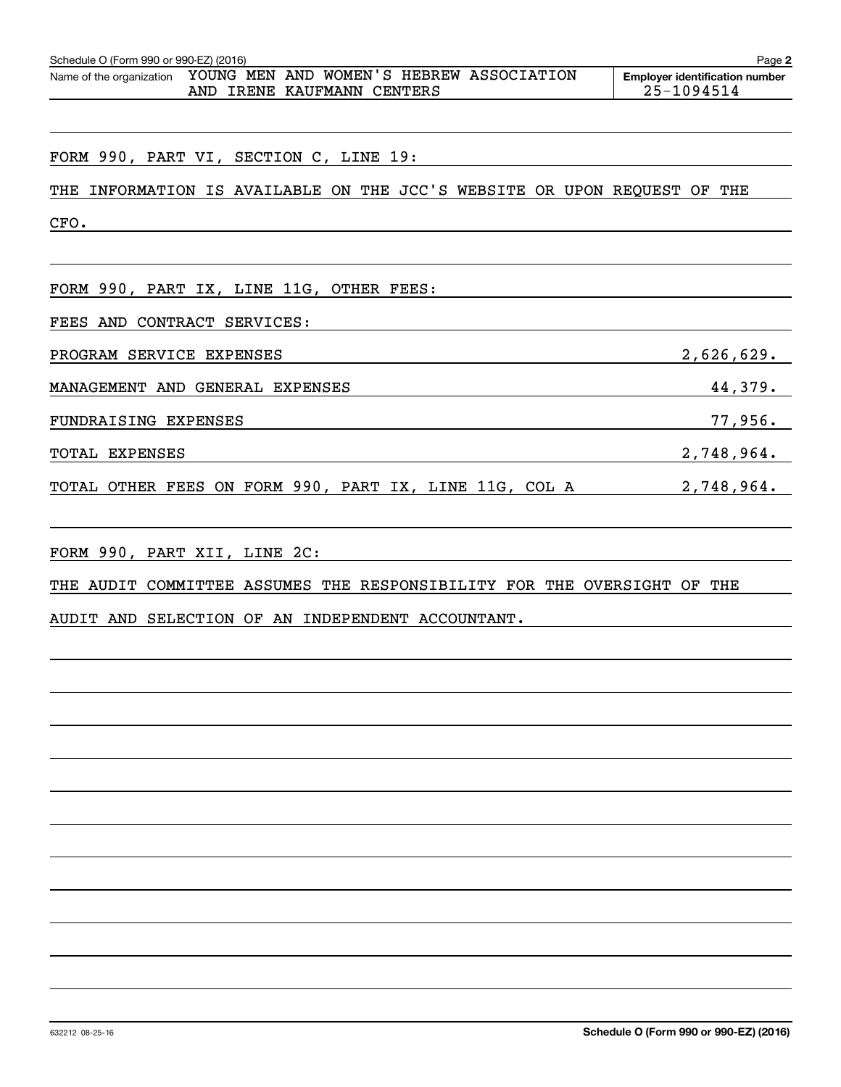| Schedule O (Form 990 or 990-EZ) (2016)                                                             | Page 2                                              |
|----------------------------------------------------------------------------------------------------|-----------------------------------------------------|
| YOUNG MEN AND WOMEN'S HEBREW ASSOCIATION<br>Name of the organization<br>AND IRENE KAUFMANN CENTERS | <b>Employer identification number</b><br>25-1094514 |
|                                                                                                    |                                                     |
| FORM 990, PART VI, SECTION C, LINE 19:                                                             |                                                     |
| INFORMATION IS AVAILABLE ON THE JCC'S WEBSITE OR UPON REQUEST OF THE<br>THE                        |                                                     |
| CFO.                                                                                               |                                                     |
|                                                                                                    |                                                     |
| FORM 990, PART IX, LINE 11G, OTHER FEES:                                                           |                                                     |
| FEES AND CONTRACT SERVICES:                                                                        |                                                     |
| PROGRAM SERVICE EXPENSES                                                                           | 2,626,629.                                          |
| MANAGEMENT AND GENERAL EXPENSES                                                                    | 44,379.                                             |
| FUNDRAISING EXPENSES                                                                               | 77,956.                                             |
| TOTAL EXPENSES                                                                                     | 2,748,964.                                          |
| TOTAL OTHER FEES ON FORM 990, PART IX, LINE 11G, COL A                                             | 2,748,964.                                          |
|                                                                                                    |                                                     |
| FORM 990, PART XII, LINE 2C:                                                                       |                                                     |
| THE AUDIT COMMITTEE ASSUMES THE RESPONSIBILITY FOR THE OVERSIGHT OF THE                            |                                                     |
| AUDIT AND SELECTION OF AN INDEPENDENT ACCOUNTANT.                                                  |                                                     |
|                                                                                                    |                                                     |
|                                                                                                    |                                                     |
|                                                                                                    |                                                     |
|                                                                                                    |                                                     |
|                                                                                                    |                                                     |
|                                                                                                    |                                                     |